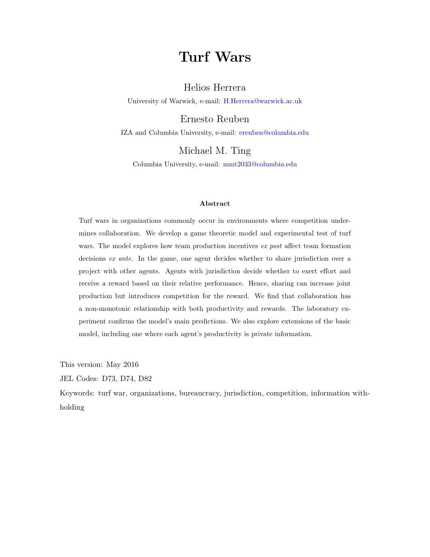# Turf Wars

# Helios Herrera

University of Warwick, e-mail: [H.Herrera@warwick.ac.uk](mailto:H.Herrera@warwick.ac.uk)

Ernesto Reuben

IZA and Columbia University, e-mail: [ereuben@columbia.edu](mailto:ereuben@columbia.edu)

Michael M. Ting

Columbia University, e-mail: [mmt2033@columbia.edu](mailto:mmt2033@columbia.edu)

### Abstract

Turf wars in organizations commonly occur in environments where competition undermines collaboration. We develop a game theoretic model and experimental test of turf wars. The model explores how team production incentives ex post affect team formation decisions ex ante. In the game, one agent decides whether to share jurisdiction over a project with other agents. Agents with jurisdiction decide whether to exert effort and receive a reward based on their relative performance. Hence, sharing can increase joint production but introduces competition for the reward. We find that collaboration has a non-monotonic relationship with both productivity and rewards. The laboratory experiment confirms the model's main predictions. We also explore extensions of the basic model, including one where each agent's productivity is private information.

This version: May 2016

JEL Codes: D73, D74, D82

Keywords: turf war, organizations, bureaucracy, jurisdiction, competition, information withholding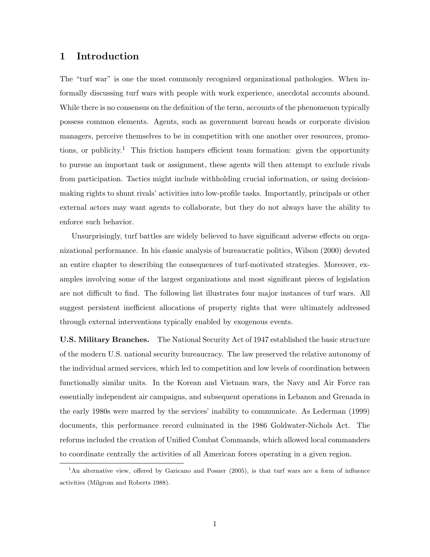# 1 Introduction

The "turf war" is one the most commonly recognized organizational pathologies. When informally discussing turf wars with people with work experience, anecdotal accounts abound. While there is no consensus on the definition of the term, accounts of the phenomenon typically possess common elements. Agents, such as government bureau heads or corporate division managers, perceive themselves to be in competition with one another over resources, promotions, or publicity.<sup>1</sup> This friction hampers efficient team formation: given the opportunity to pursue an important task or assignment, these agents will then attempt to exclude rivals from participation. Tactics might include withholding crucial information, or using decisionmaking rights to shunt rivals' activities into low-profile tasks. Importantly, principals or other external actors may want agents to collaborate, but they do not always have the ability to enforce such behavior.

Unsurprisingly, turf battles are widely believed to have significant adverse effects on organizational performance. In his classic analysis of bureaucratic politics, [Wilson](#page-30-0) [\(2000\)](#page-30-0) devoted an entire chapter to describing the consequences of turf-motivated strategies. Moreover, examples involving some of the largest organizations and most significant pieces of legislation are not difficult to find. The following list illustrates four major instances of turf wars. All suggest persistent inefficient allocations of property rights that were ultimately addressed through external interventions typically enabled by exogenous events.

U.S. Military Branches. The National Security Act of 1947 established the basic structure of the modern U.S. national security bureaucracy. The law preserved the relative autonomy of the individual armed services, which led to competition and low levels of coordination between functionally similar units. In the Korean and Vietnam wars, the Navy and Air Force ran essentially independent air campaigns, and subsequent operations in Lebanon and Grenada in the early 1980s were marred by the services' inability to communicate. As [Lederman](#page-29-0) [\(1999\)](#page-29-0) documents, this performance record culminated in the 1986 Goldwater-Nichols Act. The reforms included the creation of Unified Combat Commands, which allowed local commanders to coordinate centrally the activities of all American forces operating in a given region.

<sup>&</sup>lt;sup>1</sup>An alternative view, offered by [Garicano and Posner](#page-28-0) [\(2005\)](#page-28-0), is that turf wars are a form of influence activities [\(Milgrom and Roberts](#page-29-1) [1988\)](#page-29-1).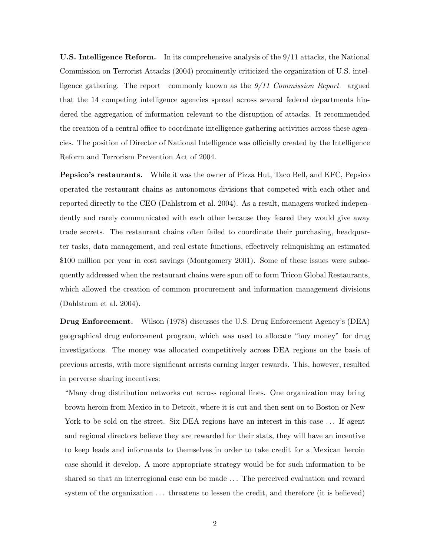U.S. Intelligence Reform. In its comprehensive analysis of the 9/11 attacks, the [National](#page-29-2) [Commission on Terrorist Attacks](#page-29-2) [\(2004\)](#page-29-2) prominently criticized the organization of U.S. intelligence gathering. The report—commonly known as the 9/11 Commission Report—argued that the 14 competing intelligence agencies spread across several federal departments hindered the aggregation of information relevant to the disruption of attacks. It recommended the creation of a central office to coordinate intelligence gathering activities across these agencies. The position of Director of National Intelligence was officially created by the Intelligence Reform and Terrorism Prevention Act of 2004.

Pepsico's restaurants. While it was the owner of Pizza Hut, Taco Bell, and KFC, Pepsico operated the restaurant chains as autonomous divisions that competed with each other and reported directly to the CEO [\(Dahlstrom et al.](#page-28-1) [2004\)](#page-28-1). As a result, managers worked independently and rarely communicated with each other because they feared they would give away trade secrets. The restaurant chains often failed to coordinate their purchasing, headquarter tasks, data management, and real estate functions, effectively relinquishing an estimated \$100 million per year in cost savings [\(Montgomery](#page-29-3) [2001\)](#page-29-3). Some of these issues were subsequently addressed when the restaurant chains were spun off to form Tricon Global Restaurants, which allowed the creation of common procurement and information management divisions [\(Dahlstrom et al.](#page-28-1) [2004\)](#page-28-1).

Drug Enforcement. [Wilson](#page-30-1) [\(1978\)](#page-30-1) discusses the U.S. Drug Enforcement Agency's (DEA) geographical drug enforcement program, which was used to allocate "buy money" for drug investigations. The money was allocated competitively across DEA regions on the basis of previous arrests, with more significant arrests earning larger rewards. This, however, resulted in perverse sharing incentives:

"Many drug distribution networks cut across regional lines. One organization may bring brown heroin from Mexico in to Detroit, where it is cut and then sent on to Boston or New York to be sold on the street. Six DEA regions have an interest in this case ... If agent and regional directors believe they are rewarded for their stats, they will have an incentive to keep leads and informants to themselves in order to take credit for a Mexican heroin case should it develop. A more appropriate strategy would be for such information to be shared so that an interregional case can be made . . . The perceived evaluation and reward system of the organization  $\dots$  threatens to lessen the credit, and therefore (it is believed)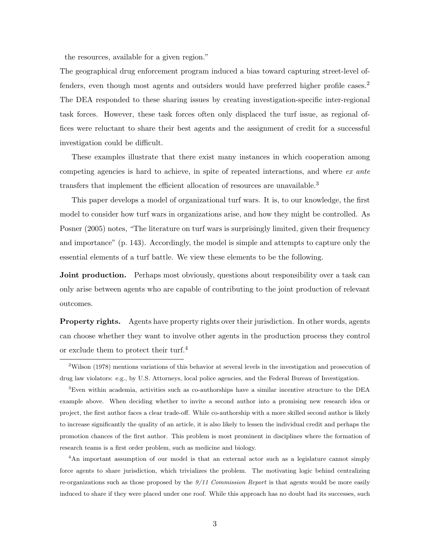the resources, available for a given region."

The geographical drug enforcement program induced a bias toward capturing street-level offenders, even though most agents and outsiders would have preferred higher profile cases.<sup>2</sup> The DEA responded to these sharing issues by creating investigation-specific inter-regional task forces. However, these task forces often only displaced the turf issue, as regional offices were reluctant to share their best agents and the assignment of credit for a successful investigation could be difficult.

These examples illustrate that there exist many instances in which cooperation among competing agencies is hard to achieve, in spite of repeated interactions, and where ex ante transfers that implement the efficient allocation of resources are unavailable.<sup>3</sup>

This paper develops a model of organizational turf wars. It is, to our knowledge, the first model to consider how turf wars in organizations arise, and how they might be controlled. As [Posner](#page-30-2) [\(2005\)](#page-30-2) notes, "The literature on turf wars is surprisingly limited, given their frequency and importance" (p. 143). Accordingly, the model is simple and attempts to capture only the essential elements of a turf battle. We view these elements to be the following.

**Joint production.** Perhaps most obviously, questions about responsibility over a task can only arise between agents who are capable of contributing to the joint production of relevant outcomes.

Property rights. Agents have property rights over their jurisdiction. In other words, agents can choose whether they want to involve other agents in the production process they control or exclude them to protect their turf.<sup>4</sup>

<sup>4</sup>An important assumption of our model is that an external actor such as a legislature cannot simply force agents to share jurisdiction, which trivializes the problem. The motivating logic behind centralizing re-organizations such as those proposed by the  $9/11$  Commission Report is that agents would be more easily induced to share if they were placed under one roof. While this approach has no doubt had its successes, such

<sup>2</sup>[Wilson](#page-30-1) [\(1978\)](#page-30-1) mentions variations of this behavior at several levels in the investigation and prosecution of drug law violators: e.g., by U.S. Attorneys, local police agencies, and the Federal Bureau of Investigation.

<sup>3</sup>Even within academia, activities such as co-authorships have a similar incentive structure to the DEA example above. When deciding whether to invite a second author into a promising new research idea or project, the first author faces a clear trade-off. While co-authorship with a more skilled second author is likely to increase significantly the quality of an article, it is also likely to lessen the individual credit and perhaps the promotion chances of the first author. This problem is most prominent in disciplines where the formation of research teams is a first order problem, such as medicine and biology.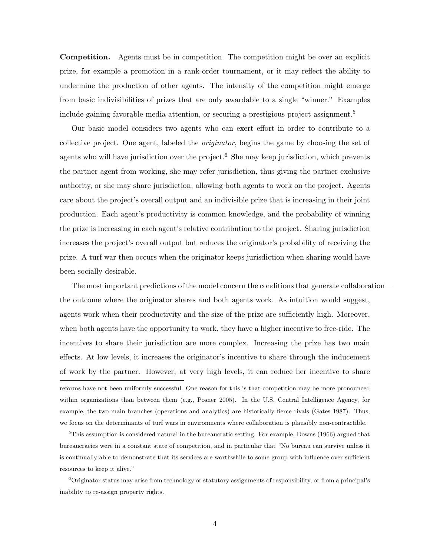Competition. Agents must be in competition. The competition might be over an explicit prize, for example a promotion in a rank-order tournament, or it may reflect the ability to undermine the production of other agents. The intensity of the competition might emerge from basic indivisibilities of prizes that are only awardable to a single "winner." Examples include gaining favorable media attention, or securing a prestigious project assignment.<sup>5</sup>

Our basic model considers two agents who can exert effort in order to contribute to a collective project. One agent, labeled the originator, begins the game by choosing the set of agents who will have jurisdiction over the project.<sup>6</sup> She may keep jurisdiction, which prevents the partner agent from working, she may refer jurisdiction, thus giving the partner exclusive authority, or she may share jurisdiction, allowing both agents to work on the project. Agents care about the project's overall output and an indivisible prize that is increasing in their joint production. Each agent's productivity is common knowledge, and the probability of winning the prize is increasing in each agent's relative contribution to the project. Sharing jurisdiction increases the project's overall output but reduces the originator's probability of receiving the prize. A turf war then occurs when the originator keeps jurisdiction when sharing would have been socially desirable.

The most important predictions of the model concern the conditions that generate collaboration the outcome where the originator shares and both agents work. As intuition would suggest, agents work when their productivity and the size of the prize are sufficiently high. Moreover, when both agents have the opportunity to work, they have a higher incentive to free-ride. The incentives to share their jurisdiction are more complex. Increasing the prize has two main effects. At low levels, it increases the originator's incentive to share through the inducement of work by the partner. However, at very high levels, it can reduce her incentive to share reforms have not been uniformly successful. One reason for this is that competition may be more pronounced within organizations than between them (e.g., [Posner](#page-30-2) [2005\)](#page-30-2). In the U.S. Central Intelligence Agency, for example, the two main branches (operations and analytics) are historically fierce rivals [\(Gates](#page-28-2) [1987\)](#page-28-2). Thus, we focus on the determinants of turf wars in environments where collaboration is plausibly non-contractible.

 ${}^{5}$ This assumption is considered natural in the bureaucratic setting. For example, [Downs](#page-28-3) [\(1966\)](#page-28-3) argued that bureaucracies were in a constant state of competition, and in particular that "No bureau can survive unless it is continually able to demonstrate that its services are worthwhile to some group with influence over sufficient resources to keep it alive."

<sup>6</sup>Originator status may arise from technology or statutory assignments of responsibility, or from a principal's inability to re-assign property rights.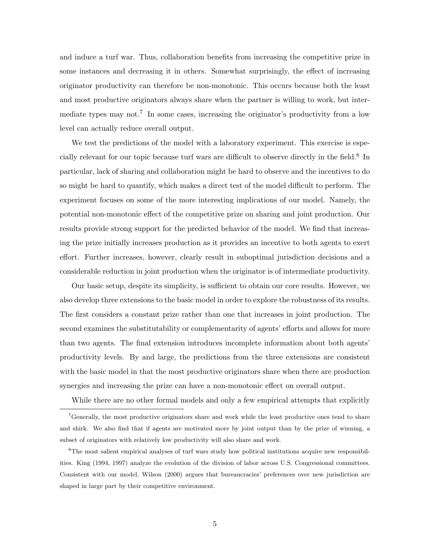and induce a turf war. Thus, collaboration benefits from increasing the competitive prize in some instances and decreasing it in others. Somewhat surprisingly, the effect of increasing originator productivity can therefore be non-monotonic. This occurs because both the least and most productive originators always share when the partner is willing to work, but intermediate types may not.<sup>7</sup> In some cases, increasing the originator's productivity from a low level can actually reduce overall output.

We test the predictions of the model with a laboratory experiment. This exercise is especially relevant for our topic because turf wars are difficult to observe directly in the field.<sup>8</sup> In particular, lack of sharing and collaboration might be hard to observe and the incentives to do so might be hard to quantify, which makes a direct test of the model difficult to perform. The experiment focuses on some of the more interesting implications of our model. Namely, the potential non-monotonic effect of the competitive prize on sharing and joint production. Our results provide strong support for the predicted behavior of the model. We find that increasing the prize initially increases production as it provides an incentive to both agents to exert effort. Further increases, however, clearly result in suboptimal jurisdiction decisions and a considerable reduction in joint production when the originator is of intermediate productivity.

Our basic setup, despite its simplicity, is sufficient to obtain our core results. However, we also develop three extensions to the basic model in order to explore the robustness of its results. The first considers a constant prize rather than one that increases in joint production. The second examines the substitutability or complementarity of agents' efforts and allows for more than two agents. The final extension introduces incomplete information about both agents' productivity levels. By and large, the predictions from the three extensions are consistent with the basic model in that the most productive originators share when there are production synergies and increasing the prize can have a non-monotonic effect on overall output.

While there are no other formal models and only a few empirical attempts that explicitly

<sup>7</sup>Generally, the most productive originators share and work while the least productive ones tend to share and shirk. We also find that if agents are motivated more by joint output than by the prize of winning, a subset of originators with relatively low productivity will also share and work.

<sup>&</sup>lt;sup>8</sup>The most salient empirical analyses of turf wars study how political institutions acquire new responsibilities. [King](#page-29-4) [\(1994,](#page-29-4) [1997\)](#page-29-5) analyze the evolution of the division of labor across U.S. Congressional committees. Consistent with our model, [Wilson](#page-30-0) [\(2000\)](#page-30-0) argues that bureaucracies' preferences over new jurisdiction are shaped in large part by their competitive environment.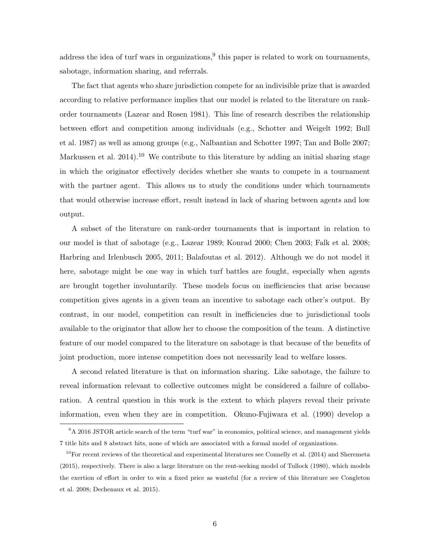address the idea of turf wars in organizations,<sup>9</sup> this paper is related to work on tournaments, sabotage, information sharing, and referrals.

The fact that agents who share jurisdiction compete for an indivisible prize that is awarded according to relative performance implies that our model is related to the literature on rankorder tournaments [\(Lazear and Rosen](#page-29-6) [1981\)](#page-29-6). This line of research describes the relationship between effort and competition among individuals (e.g., [Schotter and Weigelt](#page-30-3) [1992;](#page-30-3) [Bull](#page-27-0) [et al.](#page-27-0) [1987\)](#page-27-0) as well as among groups (e.g., [Nalbantian and Schotter](#page-29-7) [1997;](#page-29-7) [Tan and Bolle](#page-30-4) [2007;](#page-30-4) [Markussen et al.](#page-29-8) [2014\)](#page-29-8).<sup>10</sup> We contribute to this literature by adding an initial sharing stage in which the originator effectively decides whether she wants to compete in a tournament with the partner agent. This allows us to study the conditions under which tournaments that would otherwise increase effort, result instead in lack of sharing between agents and low output.

A subset of the literature on rank-order tournaments that is important in relation to our model is that of sabotage (e.g., [Lazear](#page-29-9) [1989;](#page-29-9) [Konrad](#page-29-10) [2000;](#page-29-10) [Chen](#page-27-1) [2003;](#page-27-1) [Falk et al.](#page-28-4) [2008;](#page-28-4) [Harbring and Irlenbusch](#page-28-5) [2005,](#page-28-5) [2011;](#page-29-11) [Balafoutas et al.](#page-27-2) [2012\)](#page-27-2). Although we do not model it here, sabotage might be one way in which turf battles are fought, especially when agents are brought together involuntarily. These models focus on inefficiencies that arise because competition gives agents in a given team an incentive to sabotage each other's output. By contrast, in our model, competition can result in inefficiencies due to jurisdictional tools available to the originator that allow her to choose the composition of the team. A distinctive feature of our model compared to the literature on sabotage is that because of the benefits of joint production, more intense competition does not necessarily lead to welfare losses.

A second related literature is that on information sharing. Like sabotage, the failure to reveal information relevant to collective outcomes might be considered a failure of collaboration. A central question in this work is the extent to which players reveal their private information, even when they are in competition. [Okuno-Fujiwara et al.](#page-29-12) [\(1990\)](#page-29-12) develop a

<sup>&</sup>lt;sup>9</sup>A 2016 JSTOR article search of the term "turf war" in economics, political science, and management yields 7 title hits and 8 abstract hits, none of which are associated with a formal model of organizations.

 $10$ For recent reviews of the theoretical and experimental literatures see [Connelly et al.](#page-28-6) [\(2014\)](#page-28-6) and [Sheremeta](#page-30-5) [\(2015\)](#page-30-5), respectively. There is also a large literature on the rent-seeking model of [Tullock](#page-30-6) [\(1980\)](#page-30-6), which models the exertion of effort in order to win a fixed price as wasteful (for a review of this literature see [Congleton](#page-28-7) [et al.](#page-28-7) [2008;](#page-28-7) [Dechenaux et al.](#page-28-8) [2015\)](#page-28-8).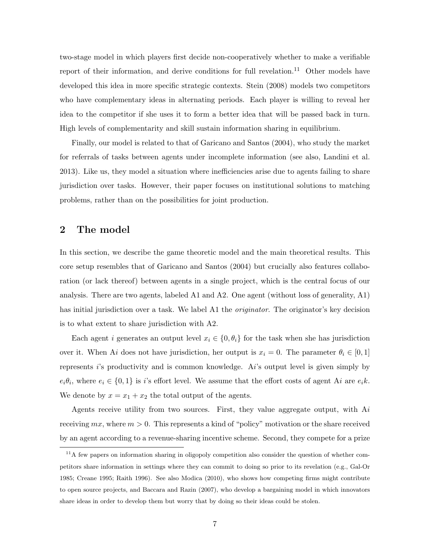two-stage model in which players first decide non-cooperatively whether to make a verifiable report of their information, and derive conditions for full revelation.<sup>11</sup> Other models have developed this idea in more specific strategic contexts. [Stein](#page-30-7) [\(2008\)](#page-30-7) models two competitors who have complementary ideas in alternating periods. Each player is willing to reveal her idea to the competitor if she uses it to form a better idea that will be passed back in turn. High levels of complementarity and skill sustain information sharing in equilibrium.

Finally, our model is related to that of [Garicano and Santos](#page-28-9) [\(2004\)](#page-28-9), who study the market for referrals of tasks between agents under incomplete information (see also, [Landini et al.](#page-29-13) [2013\)](#page-29-13). Like us, they model a situation where inefficiencies arise due to agents failing to share jurisdiction over tasks. However, their paper focuses on institutional solutions to matching problems, rather than on the possibilities for joint production.

# 2 The model

In this section, we describe the game theoretic model and the main theoretical results. This core setup resembles that of [Garicano and Santos](#page-28-9) [\(2004\)](#page-28-9) but crucially also features collaboration (or lack thereof) between agents in a single project, which is the central focus of our analysis. There are two agents, labeled A1 and A2. One agent (without loss of generality, A1) has initial jurisdiction over a task. We label A1 the *originator*. The originator's key decision is to what extent to share jurisdiction with A2.

Each agent *i* generates an output level  $x_i \in \{0, \theta_i\}$  for the task when she has jurisdiction over it. When Ai does not have jurisdiction, her output is  $x_i = 0$ . The parameter  $\theta_i \in [0, 1]$ represents i's productivity and is common knowledge. Ai's output level is given simply by  $e_i\theta_i$ , where  $e_i \in \{0,1\}$  is i's effort level. We assume that the effort costs of agent Ai are  $e_i k$ . We denote by  $x = x_1 + x_2$  the total output of the agents.

Agents receive utility from two sources. First, they value aggregate output, with  $Ai$ receiving  $mx$ , where  $m > 0$ . This represents a kind of "policy" motivation or the share received by an agent according to a revenue-sharing incentive scheme. Second, they compete for a prize

<sup>&</sup>lt;sup>11</sup>A few papers on information sharing in oligopoly competition also consider the question of whether competitors share information in settings where they can commit to doing so prior to its revelation (e.g., [Gal-Or](#page-28-10) [1985;](#page-28-10) [Creane](#page-28-11) [1995;](#page-28-11) [Raith](#page-30-8) [1996\)](#page-30-8). See also [Modica](#page-29-14) [\(2010\)](#page-29-14), who shows how competing firms might contribute to open source projects, and [Baccara and Razin](#page-27-3) [\(2007\)](#page-27-3), who develop a bargaining model in which innovators share ideas in order to develop them but worry that by doing so their ideas could be stolen.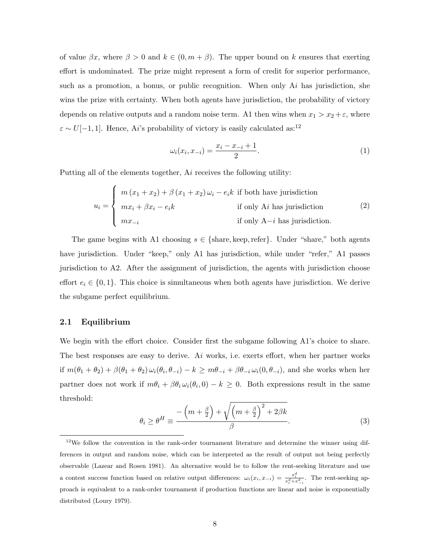of value  $\beta x$ , where  $\beta > 0$  and  $k \in (0, m + \beta)$ . The upper bound on k ensures that exerting effort is undominated. The prize might represent a form of credit for superior performance, such as a promotion, a bonus, or public recognition. When only  $Ai$  has jurisdiction, she wins the prize with certainty. When both agents have jurisdiction, the probability of victory depends on relative outputs and a random noise term. A1 then wins when  $x_1 > x_2 + \varepsilon$ , where  $\varepsilon \sim U[-1,1]$ . Hence, Ai's probability of victory is easily calculated as:<sup>12</sup>

$$
\omega_i(x_i, x_{-i}) = \frac{x_i - x_{-i} + 1}{2}.\tag{1}
$$

Putting all of the elements together, Ai receives the following utility:

<span id="page-8-0"></span>
$$
u_i = \begin{cases} m(x_1 + x_2) + \beta(x_1 + x_2)\omega_i - e_i k & \text{if both have jurisdiction} \\ mx_i + \beta x_i - e_i k & \text{if only A}i \text{ has jurisdiction} \\ mx_{-i} & \text{if only A}-i \text{ has jurisdiction} \end{cases}
$$
(2)

The game begins with A1 choosing  $s \in \{\text{share}, \text{keep}, \text{refer}\}.$  Under "share," both agents have jurisdiction. Under "keep," only A1 has jurisdiction, while under "refer," A1 passes jurisdiction to A2. After the assignment of jurisdiction, the agents with jurisdiction choose effort  $e_i \in \{0, 1\}$ . This choice is simultaneous when both agents have jurisdiction. We derive the subgame perfect equilibrium.

## 2.1 Equilibrium

We begin with the effort choice. Consider first the subgame following A1's choice to share. The best responses are easy to derive. Ai works, i.e. exerts effort, when her partner works if  $m(\theta_1 + \theta_2) + \beta(\theta_1 + \theta_2) \omega_i(\theta_i, \theta_{-i}) - k \geq m\theta_{-i} + \beta\theta_{-i} \omega_i(0, \theta_{-i})$ , and she works when her partner does not work if  $m\theta_i + \beta \theta_i \omega_i(\theta_i, 0) - k \geq 0$ . Both expressions result in the same threshold:

$$
\theta_i \ge \theta^H \equiv \frac{-\left(m + \frac{\beta}{2}\right) + \sqrt{\left(m + \frac{\beta}{2}\right)^2 + 2\beta k}}{\beta}.
$$
\n(3)

<sup>12</sup>We follow the convention in the rank-order tournament literature and determine the winner using differences in output and random noise, which can be interpreted as the result of output not being perfectly observable [\(Lazear and Rosen](#page-29-6) [1981\)](#page-29-6). An alternative would be to follow the rent-seeking literature and use a contest success function based on relative output differences:  $\omega_i(x_i, x_{-i}) = \frac{x_i^d}{x_i^d + x_{-i}^d}$ . The rent-seeking approach is equivalent to a rank-order tournament if production functions are linear and noise is exponentially distributed [\(Loury](#page-29-15) [1979\)](#page-29-15).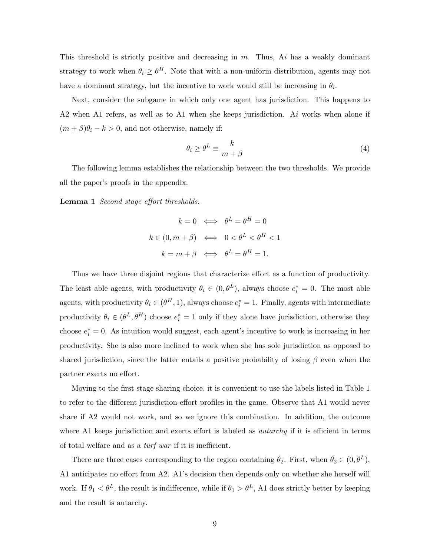This threshold is strictly positive and decreasing in  $m$ . Thus,  $Ai$  has a weakly dominant strategy to work when  $\theta_i \geq \theta^H$ . Note that with a non-uniform distribution, agents may not have a dominant strategy, but the incentive to work would still be increasing in  $\theta_i$ .

Next, consider the subgame in which only one agent has jurisdiction. This happens to A2 when A1 refers, as well as to A1 when she keeps jurisdiction. Ai works when alone if  $(m + \beta)\theta_i - k > 0$ , and not otherwise, namely if:

$$
\theta_i \ge \theta^L \equiv \frac{k}{m+\beta} \tag{4}
$$

The following lemma establishes the relationship between the two thresholds. We provide all the paper's proofs in the appendix.

Lemma 1 Second stage effort thresholds.

$$
k = 0 \iff \theta^L = \theta^H = 0
$$
  

$$
k \in (0, m + \beta) \iff 0 < \theta^L < \theta^H < 1
$$
  

$$
k = m + \beta \iff \theta^L = \theta^H = 1.
$$

Thus we have three disjoint regions that characterize effort as a function of productivity. The least able agents, with productivity  $\theta_i \in (0, \theta^L)$ , always choose  $e_i^* = 0$ . The most able agents, with productivity  $\theta_i \in (\theta^H, 1)$ , always choose  $e_i^* = 1$ . Finally, agents with intermediate productivity  $\theta_i \in (\theta^L, \theta^H)$  choose  $e_i^* = 1$  only if they alone have jurisdiction, otherwise they choose  $e_i^* = 0$ . As intuition would suggest, each agent's incentive to work is increasing in her productivity. She is also more inclined to work when she has sole jurisdiction as opposed to shared jurisdiction, since the latter entails a positive probability of losing  $\beta$  even when the partner exerts no effort.

Moving to the first stage sharing choice, it is convenient to use the labels listed in Table [1](#page-10-0) to refer to the different jurisdiction-effort profiles in the game. Observe that A1 would never share if A2 would not work, and so we ignore this combination. In addition, the outcome where A1 keeps jurisdiction and exerts effort is labeled as *autarchy* if it is efficient in terms of total welfare and as a turf war if it is inefficient.

There are three cases corresponding to the region containing  $\theta_2$ . First, when  $\theta_2 \in (0, \theta^L)$ , A1 anticipates no effort from A2. A1's decision then depends only on whether she herself will work. If  $\theta_1 < \theta^L$ , the result is indifference, while if  $\theta_1 > \theta^L$ , A1 does strictly better by keeping and the result is autarchy.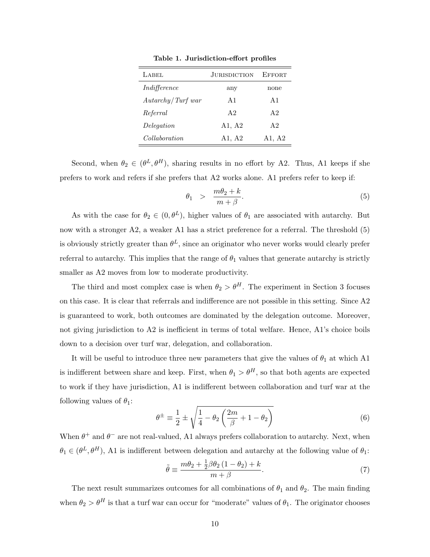<span id="page-10-0"></span>

| LABEL                | <b>JURISDICTION</b> | <b>EFFORT</b>  |
|----------------------|---------------------|----------------|
| Indifference         | any                 | none           |
| Autarchy / Turf war  | A1                  | A <sub>1</sub> |
| Referral             | A <sub>2</sub>      | A <sub>2</sub> |
| Delegation           | A1, A2              | A <sub>2</sub> |
| <i>Collaboration</i> | A1, A2              | A1, A2         |

Table 1. Jurisdiction-effort profiles

Second, when  $\theta_2 \in (\theta^L, \theta^H)$ , sharing results in no effort by A2. Thus, A1 keeps if she prefers to work and refers if she prefers that A2 works alone. A1 prefers refer to keep if:

<span id="page-10-1"></span>
$$
\theta_1 > \frac{m\theta_2 + k}{m + \beta}.\tag{5}
$$

As with the case for  $\theta_2 \in (0, \theta^L)$ , higher values of  $\theta_1$  are associated with autarchy. But now with a stronger A2, a weaker A1 has a strict preference for a referral. The threshold  $(5)$ is obviously strictly greater than  $\theta^L$ , since an originator who never works would clearly prefer referral to autarchy. This implies that the range of  $\theta_1$  values that generate autarchy is strictly smaller as A2 moves from low to moderate productivity.

The third and most complex case is when  $\theta_2 > \theta^H$ . The experiment in Section [3](#page-14-0) focuses on this case. It is clear that referrals and indifference are not possible in this setting. Since A2 is guaranteed to work, both outcomes are dominated by the delegation outcome. Moreover, not giving jurisdiction to A2 is inefficient in terms of total welfare. Hence, A1's choice boils down to a decision over turf war, delegation, and collaboration.

It will be useful to introduce three new parameters that give the values of  $\theta_1$  at which A1 is indifferent between share and keep. First, when  $\theta_1 > \theta^H$ , so that both agents are expected to work if they have jurisdiction, A1 is indifferent between collaboration and turf war at the following values of  $\theta_1$ :

$$
\theta^{\pm} \equiv \frac{1}{2} \pm \sqrt{\frac{1}{4} - \theta_2 \left(\frac{2m}{\beta} + 1 - \theta_2\right)}\tag{6}
$$

When  $\theta^+$  and  $\theta^-$  are not real-valued, A1 always prefers collaboration to autarchy. Next, when  $\theta_1 \in (\theta^L, \theta^H)$ , A1 is indifferent between delegation and autarchy at the following value of  $\theta_1$ :

$$
\tilde{\theta} \equiv \frac{m\theta_2 + \frac{1}{2}\beta\theta_2\left(1 - \theta_2\right) + k}{m + \beta}.\tag{7}
$$

The next result summarizes outcomes for all combinations of  $\theta_1$  and  $\theta_2$ . The main finding when  $\theta_2 > \theta^H$  is that a turf war can occur for "moderate" values of  $\theta_1$ . The originator chooses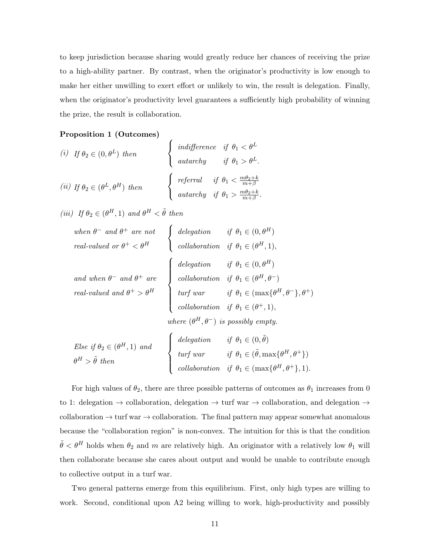to keep jurisdiction because sharing would greatly reduce her chances of receiving the prize to a high-ability partner. By contrast, when the originator's productivity is low enough to make her either unwilling to exert effort or unlikely to win, the result is delegation. Finally, when the originator's productivity level guarantees a sufficiently high probability of winning the prize, the result is collaboration.

#### <span id="page-11-0"></span>Proposition 1 (Outcomes)

(i) If 
$$
\theta_2 \in (0, \theta^L)
$$
 then 
$$
\begin{cases} \text{indifference} & \text{if } \theta_1 < \theta^L \\ \text{autarchy} & \text{if } \theta_1 > \theta^L. \end{cases}
$$
  
\n(ii) If  $\theta_2 \in (\theta^L, \theta^H)$  then 
$$
\begin{cases} \text{refernal} & \text{if } \theta_1 < \frac{m\theta_2 + k}{m + \beta} \\ \text{autarchy} & \text{if } \theta_1 > \frac{m\theta_2 + k}{m + \beta}. \end{cases}
$$

 $\epsilon$ 

(iii) If  $\theta_2 \in (\theta^H, 1)$  and  $\theta^H < \tilde{\theta}$  then

| when $\theta^-$ and $\theta^+$ are not<br>real-valued or $\theta^+ < \theta^H$ $\left\{\begin{array}{ll}\n\text{delegation} & \text{if } \theta_1 \in (0, \theta^H) \\ \text{collaboration} & \text{if } \theta_1 \in (\theta^H, 1),\n\end{array}\right.$                                                                                                                                                                                                                                                             |                                                 |  |
|-----------------------------------------------------------------------------------------------------------------------------------------------------------------------------------------------------------------------------------------------------------------------------------------------------------------------------------------------------------------------------------------------------------------------------------------------------------------------------------------------------------------------|-------------------------------------------------|--|
|                                                                                                                                                                                                                                                                                                                                                                                                                                                                                                                       |                                                 |  |
| $\label{eq:1} \begin{array}{ll} \mbox{\em and when $\theta^-$ and $\theta^+$ are} \\ \mbox{\em real-valued and $\theta^+$ > $\theta^H$} \end{array} \left\{ \begin{array}{ll} \mbox{\em{delegation}} & \mbox{\em if $\theta_1 \in (0, \theta^H)$} \\ \mbox{\em{collaboration}} & \mbox{\rm if $\theta_1 \in (\theta^H, \theta^-$) } \\ \mbox{\rm trif}{\rm \hspace{0.5mm} \textit{var}} & \mbox{\rm if $\theta_1 \in (\max \{\theta^H, \theta^-$), \theta^+$} \} \\ \mbox{\rm \hspace{0.5mm} \textit{collaboration}}$ |                                                 |  |
|                                                                                                                                                                                                                                                                                                                                                                                                                                                                                                                       |                                                 |  |
|                                                                                                                                                                                                                                                                                                                                                                                                                                                                                                                       |                                                 |  |
|                                                                                                                                                                                                                                                                                                                                                                                                                                                                                                                       |                                                 |  |
|                                                                                                                                                                                                                                                                                                                                                                                                                                                                                                                       | where $(\theta^H, \theta^-)$ is possibly empty. |  |
|                                                                                                                                                                                                                                                                                                                                                                                                                                                                                                                       |                                                 |  |

\n
$$
Else if \theta_2 \in (\theta^H, 1) \text{ and } \begin{cases} \text{delegation} & \text{if } \theta_1 \in (0, \tilde{\theta}) \\ \text{turf war} & \text{if } \theta_1 \in (\tilde{\theta}, \max\{\theta^H, \theta^+\}) \\ \text{collaboration} & \text{if } \theta_1 \in (\max\{\theta^H, \theta^+\}, 1). \end{cases}
$$
\n

For high values of  $\theta_2$ , there are three possible patterns of outcomes as  $\theta_1$  increases from 0 to 1: delegation  $\rightarrow$  collaboration, delegation  $\rightarrow$  turf war  $\rightarrow$  collaboration, and delegation  $\rightarrow$ collaboration  $\rightarrow$  turf war  $\rightarrow$  collaboration. The final pattern may appear somewhat anomalous because the "collaboration region" is non-convex. The intuition for this is that the condition  $\tilde{\theta} < \theta^H$  holds when  $\theta_2$  and m are relatively high. An originator with a relatively low  $\theta_1$  will then collaborate because she cares about output and would be unable to contribute enough to collective output in a turf war.

Two general patterns emerge from this equilibrium. First, only high types are willing to work. Second, conditional upon A2 being willing to work, high-productivity and possibly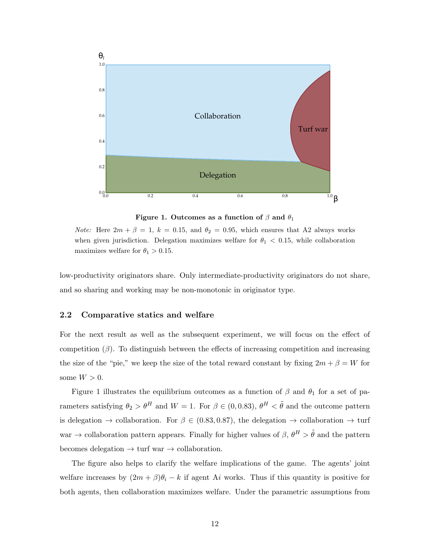<span id="page-12-0"></span>

Figure 1. Outcomes as a function of  $\beta$  and  $\theta_1$ 

*Note:* Here  $2m + \beta = 1$ ,  $k = 0.15$ , and  $\theta_2 = 0.95$ , which ensures that A2 always works when given jurisdiction. Delegation maximizes welfare for  $\theta_1 < 0.15$ , while collaboration maximizes welfare for  $\theta_1 > 0.15$ .

low-productivity originators share. Only intermediate-productivity originators do not share, and so sharing and working may be non-monotonic in originator type.

## <span id="page-12-1"></span>2.2 Comparative statics and welfare

For the next result as well as the subsequent experiment, we will focus on the effect of competition  $(\beta)$ . To distinguish between the effects of increasing competition and increasing the size of the "pie," we keep the size of the total reward constant by fixing  $2m + \beta = W$  for some  $W > 0$ .

Figure [1](#page-12-0) illustrates the equilibrium outcomes as a function of  $\beta$  and  $\theta_1$  for a set of parameters satisfying  $\theta_2 > \theta^H$  and  $W = 1$ . For  $\beta \in (0, 0.83)$ ,  $\theta^H < \tilde{\theta}$  and the outcome pattern is delegation  $\rightarrow$  collaboration. For  $\beta \in (0.83, 0.87)$ , the delegation  $\rightarrow$  collaboration  $\rightarrow$  turf war  $\rightarrow$  collaboration pattern appears. Finally for higher values of  $\beta$ ,  $\theta^H > \tilde{\theta}$  and the pattern becomes delegation  $\rightarrow$  turf war  $\rightarrow$  collaboration.

The figure also helps to clarify the welfare implications of the game. The agents' joint welfare increases by  $(2m + \beta)\theta_i - k$  if agent Ai works. Thus if this quantity is positive for both agents, then collaboration maximizes welfare. Under the parametric assumptions from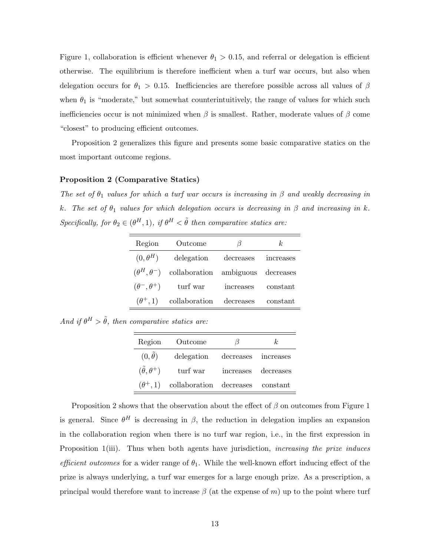Figure [1,](#page-12-0) collaboration is efficient whenever  $\theta_1 > 0.15$ , and referral or delegation is efficient otherwise. The equilibrium is therefore inefficient when a turf war occurs, but also when delegation occurs for  $\theta_1 > 0.15$ . Inefficiencies are therefore possible across all values of  $\beta$ when  $\theta_1$  is "moderate," but somewhat counterintuitively, the range of values for which such inefficiencies occur is not minimized when  $\beta$  is smallest. Rather, moderate values of  $\beta$  come "closest" to producing efficient outcomes.

Proposition [2](#page-13-0) generalizes this figure and presents some basic comparative statics on the most important outcome regions.

#### <span id="page-13-0"></span>Proposition 2 (Comparative Statics)

The set of  $\theta_1$  values for which a turf war occurs is increasing in  $\beta$  and weakly decreasing in k. The set of  $\theta_1$  values for which delegation occurs is decreasing in  $\beta$  and increasing in k. Specifically, for  $\theta_2 \in (\theta^H, 1)$ , if  $\theta^H < \tilde{\theta}$  then comparative statics are:

| Region          | Outcome                                                  | 17        | k         |  |
|-----------------|----------------------------------------------------------|-----------|-----------|--|
| $(0, \theta^H)$ | delegation                                               | decreases | increases |  |
|                 | $(\theta^H, \theta^-)$ collaboration ambiguous decreases |           |           |  |
|                 | $(\theta^-, \theta^+)$ turf war                          | increases | constant  |  |
| $(\theta^+,1)$  | collaboration                                            | decreases | constant  |  |
|                 |                                                          |           |           |  |

And if  $\theta^H > \tilde{\theta}$ , then comparative statics are:

| Region                       | Outcome                                          | 15                  | k. |
|------------------------------|--------------------------------------------------|---------------------|----|
| $(0,\tilde{\theta})$         | delegation                                       | decreases increases |    |
| $(\tilde{\theta}, \theta^+)$ | turf war increases decreases                     |                     |    |
|                              | $(\theta^+, 1)$ collaboration decreases constant |                     |    |

Proposition [2](#page-13-0) shows that the observation about the effect of  $\beta$  on outcomes from Figure [1](#page-12-0) is general. Since  $\theta^H$  is decreasing in  $\beta$ , the reduction in delegation implies an expansion in the collaboration region when there is no turf war region, i.e., in the first expression in Proposition [1\(](#page-11-0)iii). Thus when both agents have jurisdiction, *increasing the prize induces* efficient outcomes for a wider range of  $\theta_1$ . While the well-known effort inducing effect of the prize is always underlying, a turf war emerges for a large enough prize. As a prescription, a principal would therefore want to increase  $\beta$  (at the expense of m) up to the point where turf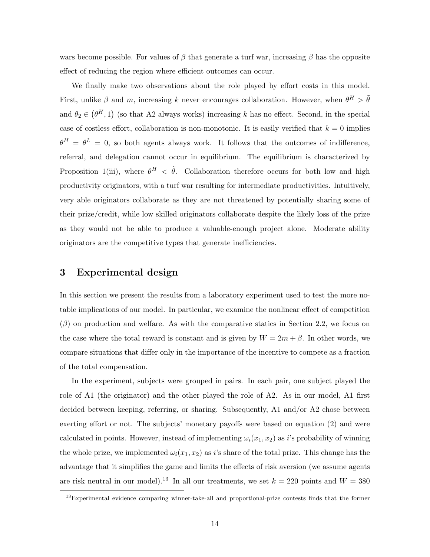wars become possible. For values of  $\beta$  that generate a turf war, increasing  $\beta$  has the opposite effect of reducing the region where efficient outcomes can occur.

We finally make two observations about the role played by effort costs in this model. First, unlike  $\beta$  and m, increasing k never encourages collaboration. However, when  $\theta^H > \tilde{\theta}$ and  $\theta_2 \in (\theta^H, 1)$  (so that A2 always works) increasing k has no effect. Second, in the special case of costless effort, collaboration is non-monotonic. It is easily verified that  $k = 0$  implies  $\theta^H = \theta^L = 0$ , so both agents always work. It follows that the outcomes of indifference, referral, and delegation cannot occur in equilibrium. The equilibrium is characterized by Proposition [1\(](#page-11-0)iii), where  $\theta^H$  <  $\tilde{\theta}$ . Collaboration therefore occurs for both low and high productivity originators, with a turf war resulting for intermediate productivities. Intuitively, very able originators collaborate as they are not threatened by potentially sharing some of their prize/credit, while low skilled originators collaborate despite the likely loss of the prize as they would not be able to produce a valuable-enough project alone. Moderate ability originators are the competitive types that generate inefficiencies.

# <span id="page-14-0"></span>3 Experimental design

In this section we present the results from a laboratory experiment used to test the more notable implications of our model. In particular, we examine the nonlinear effect of competition  $(\beta)$  on production and welfare. As with the comparative statics in Section [2.2,](#page-12-1) we focus on the case where the total reward is constant and is given by  $W = 2m + \beta$ . In other words, we compare situations that differ only in the importance of the incentive to compete as a fraction of the total compensation.

In the experiment, subjects were grouped in pairs. In each pair, one subject played the role of A1 (the originator) and the other played the role of A2. As in our model, A1 first decided between keeping, referring, or sharing. Subsequently, A1 and/or A2 chose between exerting effort or not. The subjects' monetary payoffs were based on equation [\(2\)](#page-8-0) and were calculated in points. However, instead of implementing  $\omega_i(x_1, x_2)$  as i's probability of winning the whole prize, we implemented  $\omega_i(x_1, x_2)$  as i's share of the total prize. This change has the advantage that it simplifies the game and limits the effects of risk aversion (we assume agents are risk neutral in our model).<sup>13</sup> In all our treatments, we set  $k = 220$  points and  $W = 380$ 

<sup>&</sup>lt;sup>13</sup>Experimental evidence comparing winner-take-all and proportional-prize contests finds that the former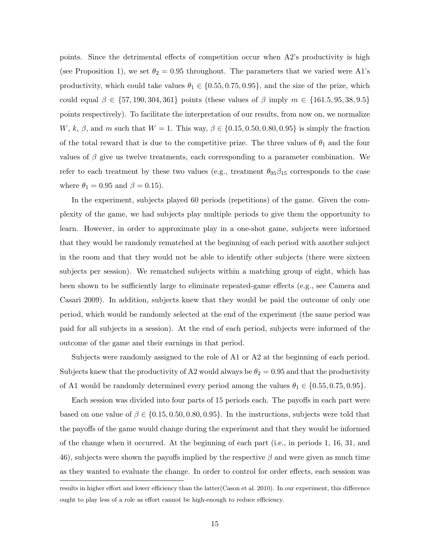points. Since the detrimental effects of competition occur when A2's productivity is high (see Proposition [1\)](#page-11-0), we set  $\theta_2 = 0.95$  throughout. The parameters that we varied were A1's productivity, which could take values  $\theta_1 \in \{0.55, 0.75, 0.95\}$ , and the size of the prize, which could equal  $\beta \in \{57, 190, 304, 361\}$  points (these values of  $\beta$  imply  $m \in \{161.5, 95, 38, 9.5\}$ points respectively). To facilitate the interpretation of our results, from now on, we normalize W, k,  $\beta$ , and m such that  $W = 1$ . This way,  $\beta \in \{0.15, 0.50, 0.80, 0.95\}$  is simply the fraction of the total reward that is due to the competitive prize. The three values of  $\theta_1$  and the four values of  $\beta$  give us twelve treatments, each corresponding to a parameter combination. We refer to each treatment by these two values (e.g., treatment  $\theta_{95}\beta_{15}$  corresponds to the case where  $\theta_1 = 0.95$  and  $\beta = 0.15$ ).

In the experiment, subjects played 60 periods (repetitions) of the game. Given the complexity of the game, we had subjects play multiple periods to give them the opportunity to learn. However, in order to approximate play in a one-shot game, subjects were informed that they would be randomly rematched at the beginning of each period with another subject in the room and that they would not be able to identify other subjects (there were sixteen subjects per session). We rematched subjects within a matching group of eight, which has been shown to be sufficiently large to eliminate repeated-game effects (e.g., see [Camera and](#page-27-4) [Casari](#page-27-4) [2009\)](#page-27-4). In addition, subjects knew that they would be paid the outcome of only one period, which would be randomly selected at the end of the experiment (the same period was paid for all subjects in a session). At the end of each period, subjects were informed of the outcome of the game and their earnings in that period.

Subjects were randomly assigned to the role of A1 or A2 at the beginning of each period. Subjects knew that the productivity of A2 would always be  $\theta_2 = 0.95$  and that the productivity of A1 would be randomly determined every period among the values  $\theta_1 \in \{0.55, 0.75, 0.95\}.$ 

Each session was divided into four parts of 15 periods each. The payoffs in each part were based on one value of  $\beta \in \{0.15, 0.50, 0.80, 0.95\}$ . In the instructions, subjects were told that the payoffs of the game would change during the experiment and that they would be informed of the change when it occurred. At the beginning of each part (i.e., in periods 1, 16, 31, and 46), subjects were shown the payoffs implied by the respective  $\beta$  and were given as much time as they wanted to evaluate the change. In order to control for order effects, each session was

results in higher effort and lower efficiency than the latter[\(Cason et al.](#page-27-5) [2010\)](#page-27-5). In our experiment, this difference ought to play less of a role as effort cannot be high-enough to reduce efficiency.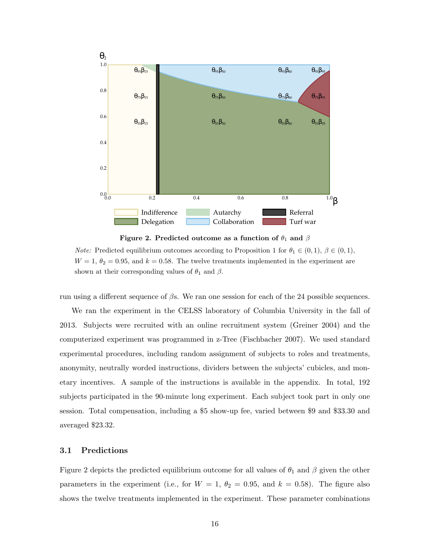<span id="page-16-0"></span>

Figure 2. Predicted outcome as a function of  $\theta_1$  and  $\beta$ 

*Note:* Predicted equilibrium outcomes according to Proposition [1](#page-11-0) for  $\theta_1 \in (0,1)$ ,  $\beta \in (0,1)$ ,  $W = 1, \theta_2 = 0.95$ , and  $k = 0.58$ . The twelve treatments implemented in the experiment are shown at their corresponding values of  $\theta_1$  and  $\beta$ .

run using a different sequence of  $\beta s$ . We ran one session for each of the 24 possible sequences.

We ran the experiment in the CELSS laboratory of Columbia University in the fall of 2013. Subjects were recruited with an online recruitment system [\(Greiner](#page-28-12) [2004\)](#page-28-12) and the computerized experiment was programmed in z-Tree [\(Fischbacher](#page-28-13) [2007\)](#page-28-13). We used standard experimental procedures, including random assignment of subjects to roles and treatments, anonymity, neutrally worded instructions, dividers between the subjects' cubicles, and monetary incentives. A sample of the instructions is available in the appendix. In total, 192 subjects participated in the 90-minute long experiment. Each subject took part in only one session. Total compensation, including a \$5 show-up fee, varied between \$9 and \$33.30 and averaged \$23.32.

# 3.1 Predictions

Figure [2](#page-16-0) depicts the predicted equilibrium outcome for all values of  $\theta_1$  and  $\beta$  given the other parameters in the experiment (i.e., for  $W = 1$ ,  $\theta_2 = 0.95$ , and  $k = 0.58$ ). The figure also shows the twelve treatments implemented in the experiment. These parameter combinations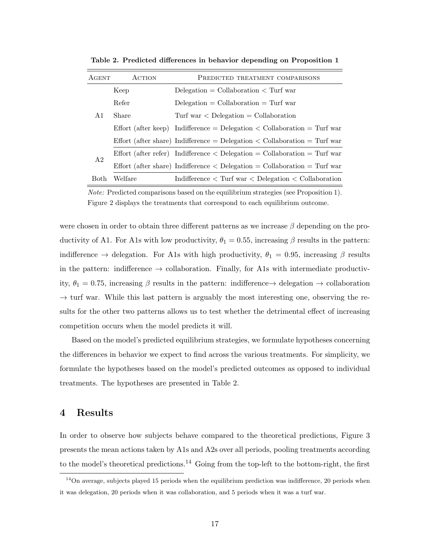| <b>AGENT</b>   | ACTION  | PREDICTED TREATMENT COMPARISONS                                                   |  |  |  |  |
|----------------|---------|-----------------------------------------------------------------------------------|--|--|--|--|
|                | Keep    | Delegation = Collaboration $\langle$ Turf war                                     |  |  |  |  |
|                | Refer   | $Delegation = Collaboration = Turf war$                                           |  |  |  |  |
| A1             | Share   | Turf war $\langle$ Delegation = Collaboration                                     |  |  |  |  |
|                |         | Effort (after keep) Indifference = Delegation $\lt$ Collaboration = Turf war      |  |  |  |  |
|                |         | Effort (after share) Indifference = Delegation $\langle$ Collaboration = Turf war |  |  |  |  |
|                |         | Effort (after refer) Indifference $\langle$ Delegation = Collaboration = Turf war |  |  |  |  |
| A <sub>2</sub> |         | Effort (after share) Indifference $\langle$ Delegation = Collaboration = Turf war |  |  |  |  |
| <b>Both</b>    | Welfare | Indifference $\langle$ Turf war $\langle$ Delegation $\langle$ Collaboration      |  |  |  |  |

<span id="page-17-0"></span>Table 2. Predicted differences in behavior depending on Proposition [1](#page-11-0)

Note: Predicted comparisons based on the equilibrium strategies (see Proposition [1\)](#page-11-0). Figure [2](#page-16-0) displays the treatments that correspond to each equilibrium outcome.

were chosen in order to obtain three different patterns as we increase  $\beta$  depending on the productivity of A1. For A1s with low productivity,  $\theta_1 = 0.55$ , increasing  $\beta$  results in the pattern: indifference  $\rightarrow$  delegation. For A1s with high productivity,  $\theta_1 = 0.95$ , increasing  $\beta$  results in the pattern: indifference  $\rightarrow$  collaboration. Finally, for A1s with intermediate productivity,  $\theta_1 = 0.75$ , increasing  $\beta$  results in the pattern: indifference  $\rightarrow$  delegation  $\rightarrow$  collaboration  $\rightarrow$  turf war. While this last pattern is arguably the most interesting one, observing the results for the other two patterns allows us to test whether the detrimental effect of increasing competition occurs when the model predicts it will.

Based on the model's predicted equilibrium strategies, we formulate hypotheses concerning the differences in behavior we expect to find across the various treatments. For simplicity, we formulate the hypotheses based on the model's predicted outcomes as opposed to individual treatments. The hypotheses are presented in Table [2.](#page-17-0)

# 4 Results

In order to observe how subjects behave compared to the theoretical predictions, Figure [3](#page-18-0) presents the mean actions taken by A1s and A2s over all periods, pooling treatments according to the model's theoretical predictions.<sup>14</sup> Going from the top-left to the bottom-right, the first

 $14$ On average, subjects played 15 periods when the equilibrium prediction was indifference, 20 periods when it was delegation, 20 periods when it was collaboration, and 5 periods when it was a turf war.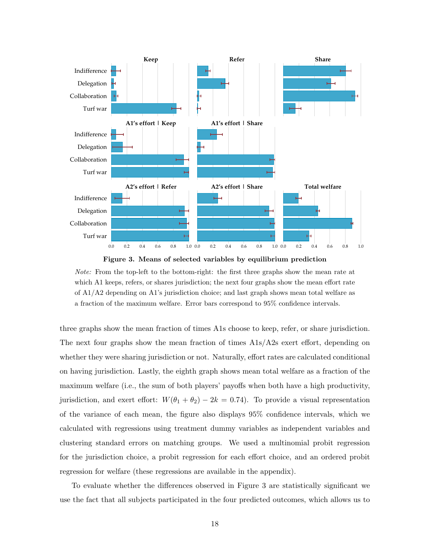<span id="page-18-0"></span>



Note: From the top-left to the bottom-right: the first three graphs show the mean rate at which A1 keeps, refers, or shares jurisdiction; the next four graphs show the mean effort rate of A1/A2 depending on A1's jurisdiction choice; and last graph shows mean total welfare as a fraction of the maximum welfare. Error bars correspond to 95% confidence intervals.

three graphs show the mean fraction of times A1s choose to keep, refer, or share jurisdiction. The next four graphs show the mean fraction of times A1s/A2s exert effort, depending on whether they were sharing jurisdiction or not. Naturally, effort rates are calculated conditional on having jurisdiction. Lastly, the eighth graph shows mean total welfare as a fraction of the maximum welfare (i.e., the sum of both players' payoffs when both have a high productivity, jurisdiction, and exert effort:  $W(\theta_1 + \theta_2) - 2k = 0.74$ . To provide a visual representation of the variance of each mean, the figure also displays 95% confidence intervals, which we calculated with regressions using treatment dummy variables as independent variables and clustering standard errors on matching groups. We used a multinomial probit regression for the jurisdiction choice, a probit regression for each effort choice, and an ordered probit regression for welfare (these regressions are available in the appendix).

To evaluate whether the differences observed in Figure [3](#page-18-0) are statistically significant we use the fact that all subjects participated in the four predicted outcomes, which allows us to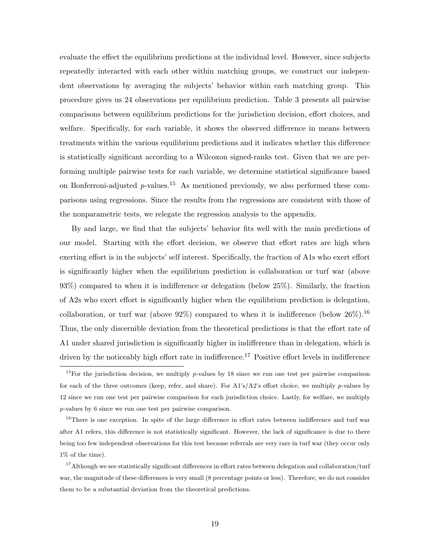evaluate the effect the equilibrium predictions at the individual level. However, since subjects repeatedly interacted with each other within matching groups, we construct our independent observations by averaging the subjects' behavior within each matching group. This procedure gives us 24 observations per equilibrium prediction. Table [3](#page-20-0) presents all pairwise comparisons between equilibrium predictions for the jurisdiction decision, effort choices, and welfare. Specifically, for each variable, it shows the observed difference in means between treatments within the various equilibrium predictions and it indicates whether this difference is statistically significant according to a Wilcoxon signed-ranks test. Given that we are performing multiple pairwise tests for each variable, we determine statistical significance based on Bonferroni-adjusted  $p$ -values.<sup>15</sup> As mentioned previously, we also performed these comparisons using regressions. Since the results from the regressions are consistent with those of the nonparametric tests, we relegate the regression analysis to the appendix.

By and large, we find that the subjects' behavior fits well with the main predictions of our model. Starting with the effort decision, we observe that effort rates are high when exerting effort is in the subjects' self interest. Specifically, the fraction of A1s who exert effort is significantly higher when the equilibrium prediction is collaboration or turf war (above 93%) compared to when it is indifference or delegation (below 25%). Similarly, the fraction of A2s who exert effort is significantly higher when the equilibrium prediction is delegation, collaboration, or turf war (above  $92\%$ ) compared to when it is indifference (below  $26\%$ ).<sup>16</sup> Thus, the only discernible deviation from the theoretical predictions is that the effort rate of A1 under shared jurisdiction is significantly higher in indifference than in delegation, which is driven by the noticeably high effort rate in indifference.<sup>17</sup> Positive effort levels in indifference

<sup>16</sup>There is one exception. In spite of the large difference in effort rates between indifference and turf war after A1 refers, this difference is not statistically significant. However, the lack of significance is due to there being too few independent observations for this test because referrals are very rare in turf war (they occur only 1% of the time).

<sup>17</sup>Although we see statistically significant differences in effort rates between delegation and collaboration/turf war, the magnitude of these differences is very small (8 percentage points or less). Therefore, we do not consider them to be a substantial deviation from the theoretical predictions.

<sup>&</sup>lt;sup>15</sup>For the jurisdiction decision, we multiply p-values by 18 since we run one test per pairwise comparison for each of the three outcomes (keep, refer, and share). For  $A1's/A2's$  effort choice, we multiply p-values by 12 since we run one test per pairwise comparison for each jurisdiction choice. Lastly, for welfare, we multiply p-values by 6 since we run one test per pairwise comparison.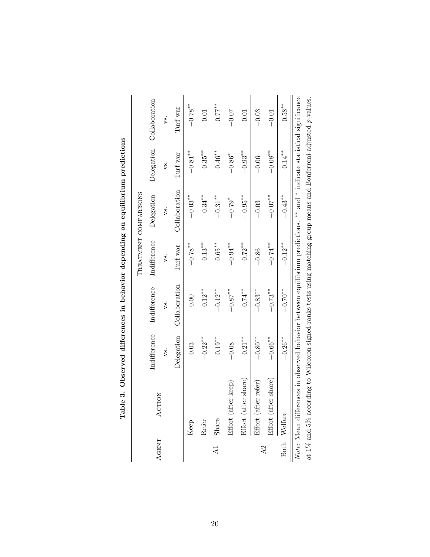<span id="page-20-0"></span>

|                 |                      |                    |                    |              | <b>CONSTRUCTION CONTRACT CONSTRUCTION CONTRACT CONSTRUCTION CONSTRUCTION CONSTRUCTION CONSTRUCTION CONSTRUCTION CONSTRUCTION CONSTRUCTION CONSTRUCTION CONSTRUCTION CONSTRUCTION CONSTRUCTION CONSTRUCTION CONSTRUCTION CONSTRUC</b> |                      |                |
|-----------------|----------------------|--------------------|--------------------|--------------|--------------------------------------------------------------------------------------------------------------------------------------------------------------------------------------------------------------------------------------|----------------------|----------------|
|                 |                      |                    |                    |              | TREATMENT COMPARISONS                                                                                                                                                                                                                |                      |                |
| <b>AGENT</b>    | ACTION               | Indifference       | Indifference       | Indifference | Delegation                                                                                                                                                                                                                           | Delegation           | Collaboration  |
|                 |                      | ys.                | vs.                | vs.          | vs.                                                                                                                                                                                                                                  | ys.                  | ys.            |
|                 |                      | Delegation         | Collaboration      | Turf war     | Collaboration                                                                                                                                                                                                                        | Turf war             | Turf war       |
|                 | Keep                 | 0.03               | 0.00               | $-0.78***$   | $-0.03**$                                                                                                                                                                                                                            | $-0.81**$            | $-0.78$ **     |
|                 | Refer                | $-0.22**$          | $0.12***$          | $0.13***$    | $0.34***$                                                                                                                                                                                                                            | $0.35***$            | 0.01           |
| $\overline{A}$  | Share                | $0.19***$          | $-0.12**$          | $0.65***$    | $-0.31***$                                                                                                                                                                                                                           | $0.46***$            | $0.77$ **      |
|                 | Effort (after keep)  | $-0.08$            | $-0.87^{\ast\ast}$ | $-0.94***$   | $-0.79*$                                                                                                                                                                                                                             | $-0.86$ <sup>*</sup> | $-0.07$        |
|                 | Effort (after share) | $0.21***$          | $-0.74$ **         | $-0.72***$   | $-0.95***$                                                                                                                                                                                                                           | $-0.93***$           | 0.01           |
| $\overline{A2}$ | Effort (after refer) | $-0.80^{\ast\ast}$ | $-0.83***$         | $-0.86$      | $-0.03$                                                                                                                                                                                                                              | $-0.06$              | $-0.03$        |
|                 | Effort (after share) | $-0.66***$         | $-0.73**$          | $-0.74$ **   | $-0.07$ **                                                                                                                                                                                                                           | $-0.08**$            | $-0.01$        |
|                 | Both Welfare         | $-0.26**$          | $-0.70$ **         | $-0.12**$    | $-0.43***$                                                                                                                                                                                                                           | $0.14***$            | $0.58***$      |
|                 | $\ddot{\cdot}$       | .<br>.             |                    | $\vdots$     | $\frac{4}{1}$<br>مل مل                                                                                                                                                                                                               |                      | $\ddot{\cdot}$ |

| <b>CS-0-20-20</b><br>ı                                                         |
|--------------------------------------------------------------------------------|
| てんこう こうしょう<br>i<br>1                                                           |
|                                                                                |
| )<br>Sili<br>)<br>S                                                            |
| j                                                                              |
|                                                                                |
| $\alpha$ : from and in behavior depending on equin-<br>בי בנו שטיבי בנו בינו ב |
| ;<br>;<br>;<br>ï                                                               |
| ノ・ロン・コードー<br>$\overline{a}$<br>$\frac{1}{2}$                                   |

Note: Mean differences in observed behavior between equilibrium predictions. ∗∗ and Note: Mean differences in observed behavior between equilibrium predictions. \*\* and \* indicate statistical significance indicate statistical significance at 1% and 5% according to Wilcoxon signed-ranks tests using matching-group means and Bonferroni-adjusted at 1% and 5% according to Wilcoxon signed-ranks tests using matching-group means and Bonferroni-adjusted  $p$ -values.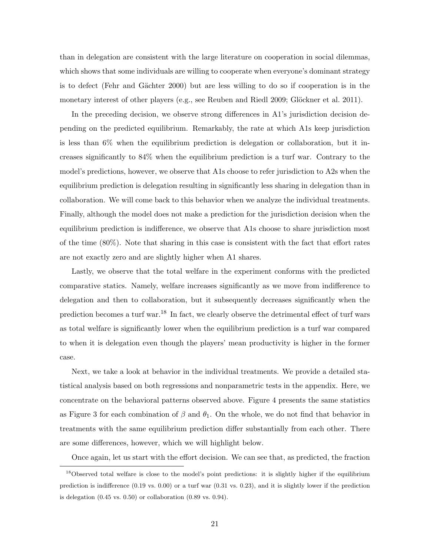than in delegation are consistent with the large literature on cooperation in social dilemmas, which shows that some individuals are willing to cooperate when everyone's dominant strategy is to defect (Fehr and Gächter [2000\)](#page-28-14) but are less willing to do so if cooperation is in the monetary interest of other players (e.g., see [Reuben and Riedl](#page-30-9) [2009;](#page-30-9) Glöckner et al. [2011\)](#page-28-15).

In the preceding decision, we observe strong differences in A1's jurisdiction decision depending on the predicted equilibrium. Remarkably, the rate at which A1s keep jurisdiction is less than 6% when the equilibrium prediction is delegation or collaboration, but it increases significantly to 84% when the equilibrium prediction is a turf war. Contrary to the model's predictions, however, we observe that A1s choose to refer jurisdiction to A2s when the equilibrium prediction is delegation resulting in significantly less sharing in delegation than in collaboration. We will come back to this behavior when we analyze the individual treatments. Finally, although the model does not make a prediction for the jurisdiction decision when the equilibrium prediction is indifference, we observe that A1s choose to share jurisdiction most of the time (80%). Note that sharing in this case is consistent with the fact that effort rates are not exactly zero and are slightly higher when A1 shares.

Lastly, we observe that the total welfare in the experiment conforms with the predicted comparative statics. Namely, welfare increases significantly as we move from indifference to delegation and then to collaboration, but it subsequently decreases significantly when the prediction becomes a turf war.<sup>18</sup> In fact, we clearly observe the detrimental effect of turf wars as total welfare is significantly lower when the equilibrium prediction is a turf war compared to when it is delegation even though the players' mean productivity is higher in the former case.

Next, we take a look at behavior in the individual treatments. We provide a detailed statistical analysis based on both regressions and nonparametric tests in the appendix. Here, we concentrate on the behavioral patterns observed above. Figure [4](#page-23-0) presents the same statistics as Figure [3](#page-18-0) for each combination of  $\beta$  and  $\theta_1$ . On the whole, we do not find that behavior in treatments with the same equilibrium prediction differ substantially from each other. There are some differences, however, which we will highlight below.

Once again, let us start with the effort decision. We can see that, as predicted, the fraction

<sup>&</sup>lt;sup>18</sup>Observed total welfare is close to the model's point predictions: it is slightly higher if the equilibrium prediction is indifference (0.19 vs. 0.00) or a turf war (0.31 vs. 0.23), and it is slightly lower if the prediction is delegation  $(0.45 \text{ vs. } 0.50)$  or collaboration  $(0.89 \text{ vs. } 0.94)$ .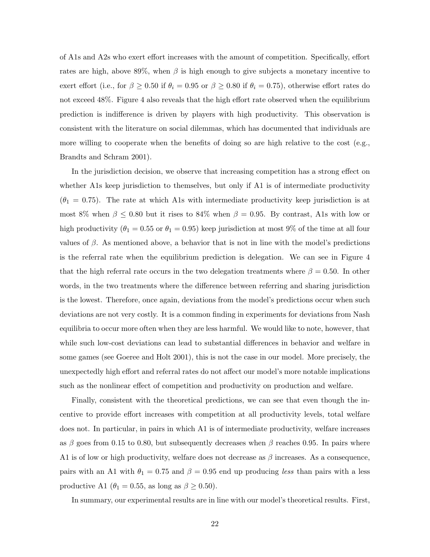of A1s and A2s who exert effort increases with the amount of competition. Specifically, effort rates are high, above 89%, when  $\beta$  is high enough to give subjects a monetary incentive to exert effort (i.e., for  $\beta \geq 0.50$  if  $\theta_i = 0.95$  or  $\beta \geq 0.80$  if  $\theta_i = 0.75$ ), otherwise effort rates do not exceed 48%. Figure [4](#page-23-0) also reveals that the high effort rate observed when the equilibrium prediction is indifference is driven by players with high productivity. This observation is consistent with the literature on social dilemmas, which has documented that individuals are more willing to cooperate when the benefits of doing so are high relative to the cost (e.g., [Brandts and Schram](#page-27-6) [2001\)](#page-27-6).

In the jurisdiction decision, we observe that increasing competition has a strong effect on whether A1s keep jurisdiction to themselves, but only if A1 is of intermediate productivity  $(\theta_1 = 0.75)$ . The rate at which A1s with intermediate productivity keep jurisdiction is at most 8% when  $\beta \leq 0.80$  but it rises to 84% when  $\beta = 0.95$ . By contrast, A1s with low or high productivity ( $\theta_1 = 0.55$  or  $\theta_1 = 0.95$ ) keep jurisdiction at most 9% of the time at all four values of  $\beta$ . As mentioned above, a behavior that is not in line with the model's predictions is the referral rate when the equilibrium prediction is delegation. We can see in Figure [4](#page-23-0) that the high referral rate occurs in the two delegation treatments where  $\beta = 0.50$ . In other words, in the two treatments where the difference between referring and sharing jurisdiction is the lowest. Therefore, once again, deviations from the model's predictions occur when such deviations are not very costly. It is a common finding in experiments for deviations from Nash equilibria to occur more often when they are less harmful. We would like to note, however, that while such low-cost deviations can lead to substantial differences in behavior and welfare in some games (see [Goeree and Holt](#page-28-16) [2001\)](#page-28-16), this is not the case in our model. More precisely, the unexpectedly high effort and referral rates do not affect our model's more notable implications such as the nonlinear effect of competition and productivity on production and welfare.

Finally, consistent with the theoretical predictions, we can see that even though the incentive to provide effort increases with competition at all productivity levels, total welfare does not. In particular, in pairs in which A1 is of intermediate productivity, welfare increases as β goes from 0.15 to 0.80, but subsequently decreases when β reaches 0.95. In pairs where A1 is of low or high productivity, welfare does not decrease as  $\beta$  increases. As a consequence, pairs with an A1 with  $\theta_1 = 0.75$  and  $\beta = 0.95$  end up producing less than pairs with a less productive A1 ( $\theta_1 = 0.55$ , as long as  $\beta \ge 0.50$ ).

In summary, our experimental results are in line with our model's theoretical results. First,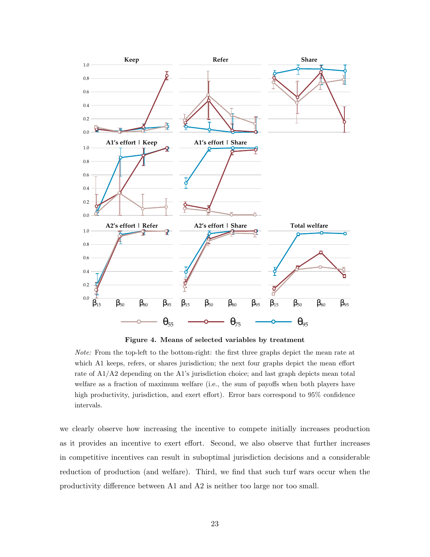<span id="page-23-0"></span>

Figure 4. Means of selected variables by treatment

Note: From the top-left to the bottom-right: the first three graphs depict the mean rate at which A1 keeps, refers, or shares jurisdiction; the next four graphs depict the mean effort rate of A1/A2 depending on the A1's jurisdiction choice; and last graph depicts mean total welfare as a fraction of maximum welfare (i.e., the sum of payoffs when both players have high productivity, jurisdiction, and exert effort). Error bars correspond to 95% confidence intervals.

we clearly observe how increasing the incentive to compete initially increases production as it provides an incentive to exert effort. Second, we also observe that further increases in competitive incentives can result in suboptimal jurisdiction decisions and a considerable reduction of production (and welfare). Third, we find that such turf wars occur when the productivity difference between A1 and A2 is neither too large nor too small.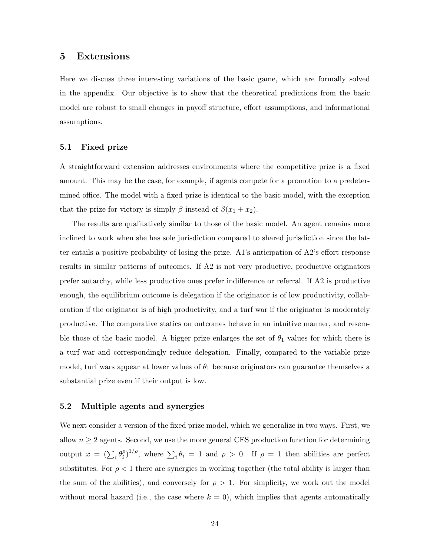# 5 Extensions

Here we discuss three interesting variations of the basic game, which are formally solved in the appendix. Our objective is to show that the theoretical predictions from the basic model are robust to small changes in payoff structure, effort assumptions, and informational assumptions.

# 5.1 Fixed prize

A straightforward extension addresses environments where the competitive prize is a fixed amount. This may be the case, for example, if agents compete for a promotion to a predetermined office. The model with a fixed prize is identical to the basic model, with the exception that the prize for victory is simply  $\beta$  instead of  $\beta(x_1 + x_2)$ .

The results are qualitatively similar to those of the basic model. An agent remains more inclined to work when she has sole jurisdiction compared to shared jurisdiction since the latter entails a positive probability of losing the prize. A1's anticipation of A2's effort response results in similar patterns of outcomes. If A2 is not very productive, productive originators prefer autarchy, while less productive ones prefer indifference or referral. If A2 is productive enough, the equilibrium outcome is delegation if the originator is of low productivity, collaboration if the originator is of high productivity, and a turf war if the originator is moderately productive. The comparative statics on outcomes behave in an intuitive manner, and resemble those of the basic model. A bigger prize enlarges the set of  $\theta_1$  values for which there is a turf war and correspondingly reduce delegation. Finally, compared to the variable prize model, turf wars appear at lower values of  $\theta_1$  because originators can guarantee themselves a substantial prize even if their output is low.

## 5.2 Multiple agents and synergies

We next consider a version of the fixed prize model, which we generalize in two ways. First, we allow  $n \geq 2$  agents. Second, we use the more general CES production function for determining output  $x = (\sum_i \theta_i^{\rho})$  $\int_{i}^{\rho}$ , where  $\sum_{i} \theta_i = 1$  and  $\rho > 0$ . If  $\rho = 1$  then abilities are perfect substitutes. For  $\rho < 1$  there are synergies in working together (the total ability is larger than the sum of the abilities), and conversely for  $\rho > 1$ . For simplicity, we work out the model without moral hazard (i.e., the case where  $k = 0$ ), which implies that agents automatically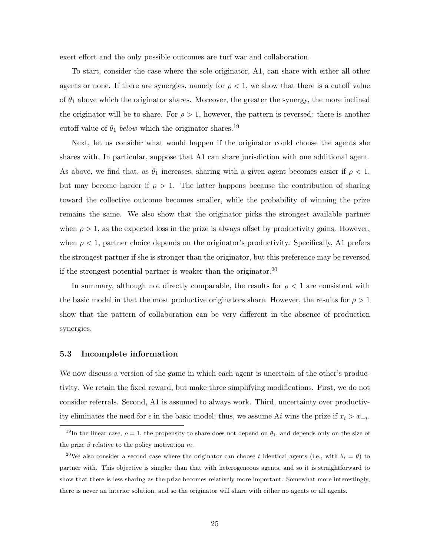exert effort and the only possible outcomes are turf war and collaboration.

To start, consider the case where the sole originator, A1, can share with either all other agents or none. If there are synergies, namely for  $\rho < 1$ , we show that there is a cutoff value of  $\theta_1$  above which the originator shares. Moreover, the greater the synergy, the more inclined the originator will be to share. For  $\rho > 1$ , however, the pattern is reversed: there is another cutoff value of  $\theta_1$  below which the originator shares.<sup>19</sup>

Next, let us consider what would happen if the originator could choose the agents she shares with. In particular, suppose that A1 can share jurisdiction with one additional agent. As above, we find that, as  $\theta_1$  increases, sharing with a given agent becomes easier if  $\rho < 1$ , but may become harder if  $\rho > 1$ . The latter happens because the contribution of sharing toward the collective outcome becomes smaller, while the probability of winning the prize remains the same. We also show that the originator picks the strongest available partner when  $\rho > 1$ , as the expected loss in the prize is always offset by productivity gains. However, when  $\rho < 1$ , partner choice depends on the originator's productivity. Specifically, A1 prefers the strongest partner if she is stronger than the originator, but this preference may be reversed if the strongest potential partner is weaker than the originator.<sup>20</sup>

In summary, although not directly comparable, the results for  $\rho < 1$  are consistent with the basic model in that the most productive originators share. However, the results for  $\rho > 1$ show that the pattern of collaboration can be very different in the absence of production synergies.

### 5.3 Incomplete information

We now discuss a version of the game in which each agent is uncertain of the other's productivity. We retain the fixed reward, but make three simplifying modifications. First, we do not consider referrals. Second, A1 is assumed to always work. Third, uncertainty over productivity eliminates the need for  $\epsilon$  in the basic model; thus, we assume Ai wins the prize if  $x_i > x_{-i}$ .

<sup>&</sup>lt;sup>19</sup>In the linear case,  $\rho = 1$ , the propensity to share does not depend on  $\theta_1$ , and depends only on the size of the prize  $\beta$  relative to the policy motivation m.

<sup>&</sup>lt;sup>20</sup>We also consider a second case where the originator can choose t identical agents (i.e., with  $\theta_i = \theta$ ) to partner with. This objective is simpler than that with heterogeneous agents, and so it is straightforward to show that there is less sharing as the prize becomes relatively more important. Somewhat more interestingly, there is never an interior solution, and so the originator will share with either no agents or all agents.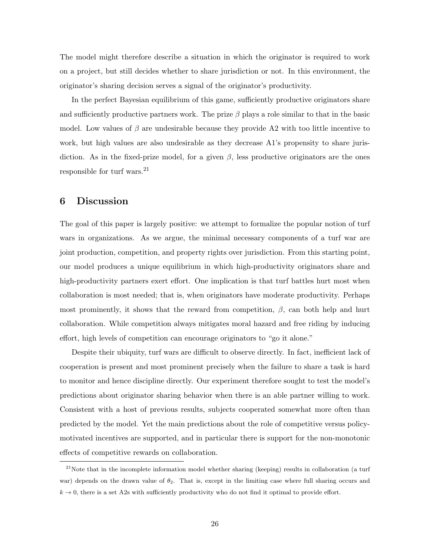The model might therefore describe a situation in which the originator is required to work on a project, but still decides whether to share jurisdiction or not. In this environment, the originator's sharing decision serves a signal of the originator's productivity.

In the perfect Bayesian equilibrium of this game, sufficiently productive originators share and sufficiently productive partners work. The prize  $\beta$  plays a role similar to that in the basic model. Low values of  $\beta$  are undesirable because they provide A2 with too little incentive to work, but high values are also undesirable as they decrease A1's propensity to share jurisdiction. As in the fixed-prize model, for a given  $\beta$ , less productive originators are the ones responsible for turf wars.<sup>21</sup>

# 6 Discussion

The goal of this paper is largely positive: we attempt to formalize the popular notion of turf wars in organizations. As we argue, the minimal necessary components of a turf war are joint production, competition, and property rights over jurisdiction. From this starting point, our model produces a unique equilibrium in which high-productivity originators share and high-productivity partners exert effort. One implication is that turf battles hurt most when collaboration is most needed; that is, when originators have moderate productivity. Perhaps most prominently, it shows that the reward from competition,  $\beta$ , can both help and hurt collaboration. While competition always mitigates moral hazard and free riding by inducing effort, high levels of competition can encourage originators to "go it alone."

Despite their ubiquity, turf wars are difficult to observe directly. In fact, inefficient lack of cooperation is present and most prominent precisely when the failure to share a task is hard to monitor and hence discipline directly. Our experiment therefore sought to test the model's predictions about originator sharing behavior when there is an able partner willing to work. Consistent with a host of previous results, subjects cooperated somewhat more often than predicted by the model. Yet the main predictions about the role of competitive versus policymotivated incentives are supported, and in particular there is support for the non-monotonic effects of competitive rewards on collaboration.

 $21$ Note that in the incomplete information model whether sharing (keeping) results in collaboration (a turf war) depends on the drawn value of  $\theta_2$ . That is, except in the limiting case where full sharing occurs and  $k \to 0$ , there is a set A2s with sufficiently productivity who do not find it optimal to provide effort.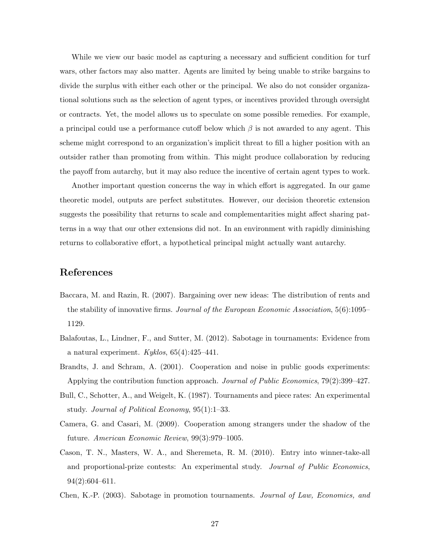While we view our basic model as capturing a necessary and sufficient condition for turf wars, other factors may also matter. Agents are limited by being unable to strike bargains to divide the surplus with either each other or the principal. We also do not consider organizational solutions such as the selection of agent types, or incentives provided through oversight or contracts. Yet, the model allows us to speculate on some possible remedies. For example, a principal could use a performance cutoff below which  $\beta$  is not awarded to any agent. This scheme might correspond to an organization's implicit threat to fill a higher position with an outsider rather than promoting from within. This might produce collaboration by reducing the payoff from autarchy, but it may also reduce the incentive of certain agent types to work.

Another important question concerns the way in which effort is aggregated. In our game theoretic model, outputs are perfect substitutes. However, our decision theoretic extension suggests the possibility that returns to scale and complementarities might affect sharing patterns in a way that our other extensions did not. In an environment with rapidly diminishing returns to collaborative effort, a hypothetical principal might actually want autarchy.

# References

- <span id="page-27-3"></span>Baccara, M. and Razin, R. (2007). Bargaining over new ideas: The distribution of rents and the stability of innovative firms. Journal of the European Economic Association, 5(6):1095– 1129.
- <span id="page-27-2"></span>Balafoutas, L., Lindner, F., and Sutter, M. (2012). Sabotage in tournaments: Evidence from a natural experiment.  $Kyklos, 65(4):425-441$ .
- <span id="page-27-6"></span>Brandts, J. and Schram, A. (2001). Cooperation and noise in public goods experiments: Applying the contribution function approach. Journal of Public Economics, 79(2):399–427.
- <span id="page-27-0"></span>Bull, C., Schotter, A., and Weigelt, K. (1987). Tournaments and piece rates: An experimental study. Journal of Political Economy, 95(1):1–33.
- <span id="page-27-4"></span>Camera, G. and Casari, M. (2009). Cooperation among strangers under the shadow of the future. American Economic Review, 99(3):979–1005.
- <span id="page-27-5"></span>Cason, T. N., Masters, W. A., and Sheremeta, R. M. (2010). Entry into winner-take-all and proportional-prize contests: An experimental study. *Journal of Public Economics*, 94(2):604–611.
- <span id="page-27-1"></span>Chen, K.-P. (2003). Sabotage in promotion tournaments. Journal of Law, Economics, and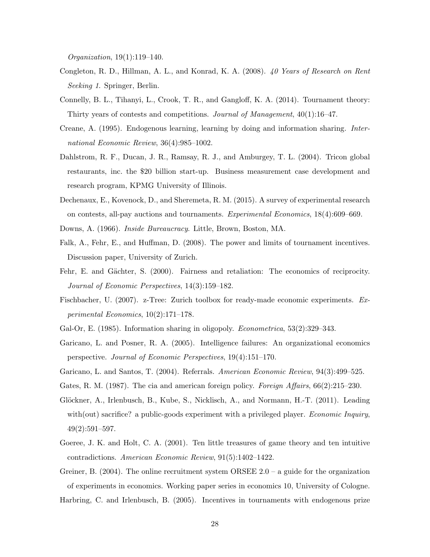Organization, 19(1):119–140.

- <span id="page-28-7"></span>Congleton, R. D., Hillman, A. L., and Konrad, K. A. (2008). 40 Years of Research on Rent Seeking 1. Springer, Berlin.
- <span id="page-28-6"></span>Connelly, B. L., Tihanyi, L., Crook, T. R., and Gangloff, K. A. (2014). Tournament theory: Thirty years of contests and competitions. Journal of Management, 40(1):16–47.
- <span id="page-28-11"></span>Creane, A. (1995). Endogenous learning, learning by doing and information sharing. International Economic Review, 36(4):985–1002.
- <span id="page-28-1"></span>Dahlstrom, R. F., Ducan, J. R., Ramsay, R. J., and Amburgey, T. L. (2004). Tricon global restaurants, inc. the \$20 billion start-up. Business measurement case development and research program, KPMG University of Illinois.
- <span id="page-28-8"></span>Dechenaux, E., Kovenock, D., and Sheremeta, R. M. (2015). A survey of experimental research on contests, all-pay auctions and tournaments. Experimental Economics, 18(4):609–669.
- <span id="page-28-4"></span><span id="page-28-3"></span>Downs, A. (1966). Inside Bureaucracy. Little, Brown, Boston, MA.
- Falk, A., Fehr, E., and Huffman, D. (2008). The power and limits of tournament incentives. Discussion paper, University of Zurich.
- <span id="page-28-14"></span>Fehr, E. and Gächter, S. (2000). Fairness and retaliation: The economics of reciprocity. Journal of Economic Perspectives, 14(3):159–182.
- <span id="page-28-13"></span>Fischbacher, U. (2007). z-Tree: Zurich toolbox for ready-made economic experiments. Experimental Economics, 10(2):171–178.
- <span id="page-28-10"></span><span id="page-28-0"></span>Gal-Or, E. (1985). Information sharing in oligopoly. *Econometrica*, 53(2):329–343.
- Garicano, L. and Posner, R. A. (2005). Intelligence failures: An organizational economics perspective. Journal of Economic Perspectives, 19(4):151–170.
- <span id="page-28-9"></span><span id="page-28-2"></span>Garicano, L. and Santos, T. (2004). Referrals. American Economic Review, 94(3):499–525.
- <span id="page-28-15"></span>Gates, R. M. (1987). The cia and american foreign policy. Foreign Affairs,  $66(2):215-230$ .
- Glöckner, A., Irlenbusch, B., Kube, S., Nicklisch, A., and Normann, H.-T. (2011). Leading with(out) sacrifice? a public-goods experiment with a privileged player. Economic Inquiry, 49(2):591–597.
- <span id="page-28-16"></span>Goeree, J. K. and Holt, C. A. (2001). Ten little treasures of game theory and ten intuitive contradictions. American Economic Review, 91(5):1402–1422.
- <span id="page-28-12"></span><span id="page-28-5"></span>Greiner, B. (2004). The online recruitment system ORSEE  $2.0 - a$  guide for the organization of experiments in economics. Working paper series in economics 10, University of Cologne. Harbring, C. and Irlenbusch, B. (2005). Incentives in tournaments with endogenous prize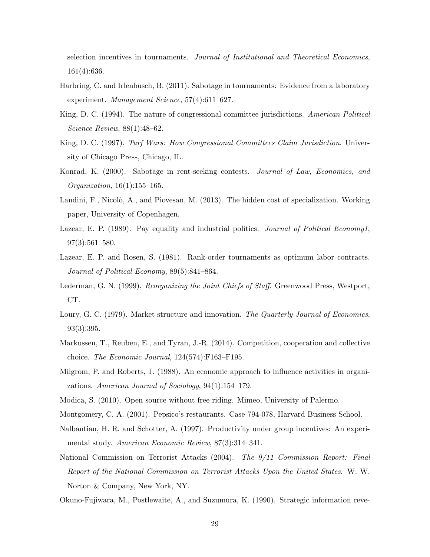selection incentives in tournaments. Journal of Institutional and Theoretical Economics, 161(4):636.

- <span id="page-29-11"></span>Harbring, C. and Irlenbusch, B. (2011). Sabotage in tournaments: Evidence from a laboratory experiment. Management Science, 57(4):611–627.
- <span id="page-29-4"></span>King, D. C. (1994). The nature of congressional committee jurisdictions. American Political Science Review, 88(1):48–62.
- <span id="page-29-5"></span>King, D. C. (1997). Turf Wars: How Congressional Committees Claim Jurisdiction. University of Chicago Press, Chicago, IL.
- <span id="page-29-10"></span>Konrad, K. (2000). Sabotage in rent-seeking contests. Journal of Law, Economics, and Organization, 16(1):155–165.
- <span id="page-29-13"></span>Landini, F., Nicolò, A., and Piovesan, M. (2013). The hidden cost of specialization. Working paper, University of Copenhagen.
- <span id="page-29-9"></span>Lazear, E. P. (1989). Pay equality and industrial politics. Journal of Political Economy1, 97(3):561–580.
- <span id="page-29-6"></span>Lazear, E. P. and Rosen, S. (1981). Rank-order tournaments as optimum labor contracts. Journal of Political Economy, 89(5):841–864.
- <span id="page-29-0"></span>Lederman, G. N. (1999). Reorganizing the Joint Chiefs of Staff. Greenwood Press, Westport, CT.
- <span id="page-29-15"></span>Loury, G. C. (1979). Market structure and innovation. The Quarterly Journal of Economics, 93(3):395.
- <span id="page-29-8"></span>Markussen, T., Reuben, E., and Tyran, J.-R. (2014). Competition, cooperation and collective choice. The Economic Journal, 124(574):F163–F195.
- <span id="page-29-1"></span>Milgrom, P. and Roberts, J. (1988). An economic approach to influence activities in organizations. American Journal of Sociology, 94(1):154–179.
- <span id="page-29-14"></span><span id="page-29-3"></span>Modica, S. (2010). Open source without free riding. Mimeo, University of Palermo.
- <span id="page-29-7"></span>Montgomery, C. A. (2001). Pepsico's restaurants. Case 794-078, Harvard Business School.
- Nalbantian, H. R. and Schotter, A. (1997). Productivity under group incentives: An experimental study. American Economic Review, 87(3):314–341.
- <span id="page-29-2"></span>National Commission on Terrorist Attacks (2004). The 9/11 Commission Report: Final Report of the National Commission on Terrorist Attacks Upon the United States. W. W. Norton & Company, New York, NY.
- <span id="page-29-12"></span>Okuno-Fujiwara, M., Postlewaite, A., and Suzumura, K. (1990). Strategic information reve-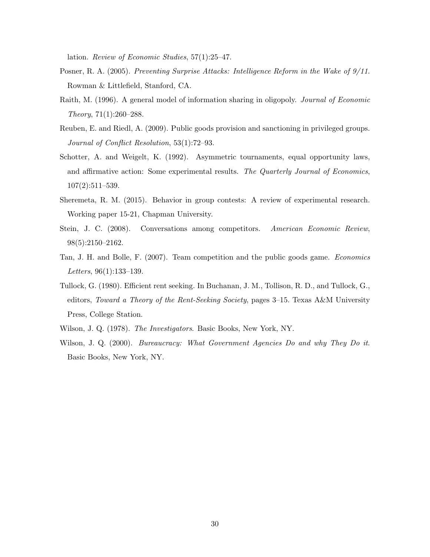lation. Review of Economic Studies, 57(1):25–47.

- <span id="page-30-2"></span>Posner, R. A. (2005). Preventing Surprise Attacks: Intelligence Reform in the Wake of 9/11. Rowman & Littlefield, Stanford, CA.
- <span id="page-30-8"></span>Raith, M. (1996). A general model of information sharing in oligopoly. Journal of Economic Theory, 71(1):260–288.
- <span id="page-30-9"></span>Reuben, E. and Riedl, A. (2009). Public goods provision and sanctioning in privileged groups. Journal of Conflict Resolution, 53(1):72–93.
- <span id="page-30-3"></span>Schotter, A. and Weigelt, K. (1992). Asymmetric tournaments, equal opportunity laws, and affirmative action: Some experimental results. The Quarterly Journal of Economics, 107(2):511–539.
- <span id="page-30-5"></span>Sheremeta, R. M. (2015). Behavior in group contests: A review of experimental research. Working paper 15-21, Chapman University.
- <span id="page-30-7"></span>Stein, J. C. (2008). Conversations among competitors. American Economic Review, 98(5):2150–2162.
- <span id="page-30-4"></span>Tan, J. H. and Bolle, F. (2007). Team competition and the public goods game. Economics Letters, 96(1):133–139.
- <span id="page-30-6"></span>Tullock, G. (1980). Efficient rent seeking. In Buchanan, J. M., Tollison, R. D., and Tullock, G., editors, Toward a Theory of the Rent-Seeking Society, pages 3–15. Texas A&M University Press, College Station.
- <span id="page-30-1"></span><span id="page-30-0"></span>Wilson, J. Q. (1978). The Investigators. Basic Books, New York, NY.
- Wilson, J. Q. (2000). *Bureaucracy: What Government Agencies Do and why They Do it.* Basic Books, New York, NY.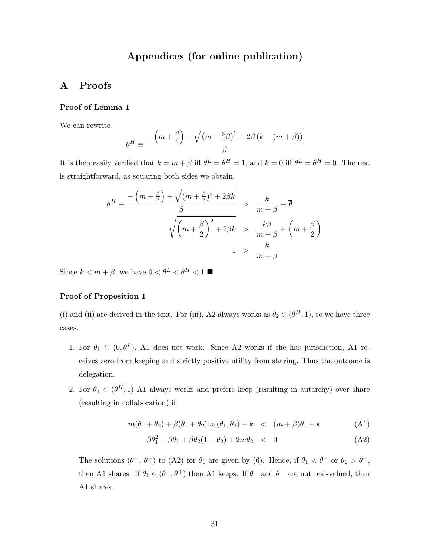# Appendices (for online publication)

# A Proofs

#### Proof of Lemma 1

We can rewrite

$$
\theta^{H} \equiv \frac{-\left(m + \frac{\beta}{2}\right) + \sqrt{\left(m + \frac{3}{2}\beta\right)^{2} + 2\beta\left(k - \left(m + \beta\right)\right)}}{\beta}
$$

It is then easily verified that  $k = m + \beta$  iff  $\theta^L = \theta^H = 1$ , and  $k = 0$  iff  $\theta^L = \theta^H = 0$ . The rest is straightforward, as squaring both sides we obtain.

$$
\theta^H \equiv \frac{-\left(m + \frac{\beta}{2}\right) + \sqrt{(m + \frac{\beta}{2})^2 + 2\beta k}}{\beta} > \frac{k}{m + \beta} \equiv \overline{\theta}
$$
  

$$
\sqrt{\left(m + \frac{\beta}{2}\right)^2 + 2\beta k} > \frac{k\beta}{m + \beta} + \left(m + \frac{\beta}{2}\right)
$$
  

$$
1 > \frac{k}{m + \beta}
$$

Since  $k < m + \beta$ , we have  $0 < \theta^L < \theta^H < 1$ 

## Proof of Proposition 1

(i) and (ii) are derived in the text. For (iii), A2 always works as  $\theta_2 \in (\theta^H, 1)$ , so we have three cases.

- 1. For  $\theta_1 \in (0, \theta^L)$ , A1 does not work. Since A2 works if she has jurisdiction, A1 receives zero from keeping and strictly positive utility from sharing. Thus the outcome is delegation.
- 2. For  $\theta_1 \in (\theta^H, 1)$  A1 always works and prefers keep (resulting in autarchy) over share (resulting in collaboration) if

$$
m(\theta_1 + \theta_2) + \beta(\theta_1 + \theta_2)\omega_1(\theta_1, \theta_2) - k \quad < \quad (m + \beta)\theta_1 - k \tag{A1}
$$

$$
\beta \theta_1^2 - \beta \theta_1 + \beta \theta_2 (1 - \theta_2) + 2m \theta_2 < 0 \tag{A2}
$$

The solutions  $(\theta^-$ ,  $\theta^+)$  to (A2) for  $\theta_1$  are given by (6). Hence, if  $\theta_1 < \theta^-$  or  $\theta_1 > \theta^+$ , then A1 shares. If  $\theta_1 \in (\theta^-,\theta^+)$  then A1 keeps. If  $\theta^-$  and  $\theta^+$  are not real-valued, then A1 shares.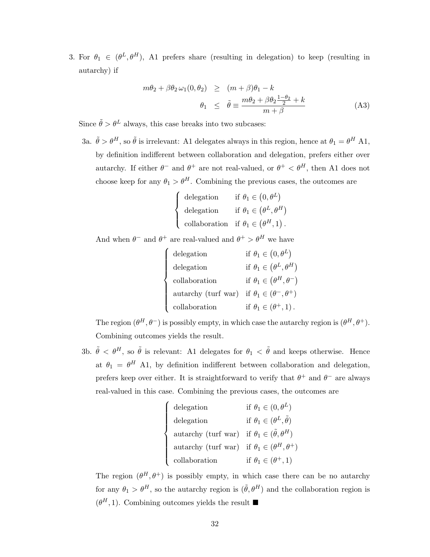3. For  $\theta_1 \in (\theta^L, \theta^H)$ , A1 prefers share (resulting in delegation) to keep (resulting in autarchy) if

$$
m\theta_2 + \beta \theta_2 \omega_1(0, \theta_2) \ge (m + \beta)\theta_1 - k
$$
  

$$
\theta_1 \le \tilde{\theta} \equiv \frac{m\theta_2 + \beta \theta_2 \frac{1 - \theta_2}{2} + k}{m + \beta}
$$
 (A3)

Since  $\tilde{\theta} > \theta^L$  always, this case breaks into two subcases:

3a.  $\tilde{\theta} > \theta^H$ , so  $\tilde{\theta}$  is irrelevant: A1 delegates always in this region, hence at  $\theta_1 = \theta^H$  A1, by definition indifferent between collaboration and delegation, prefers either over autarchy. If either  $\theta^-$  and  $\theta^+$  are not real-valued, or  $\theta^+ < \theta^H$ , then A1 does not choose keep for any  $\theta_1 > \theta^H$ . Combining the previous cases, the outcomes are

$$
\begin{cases}\n\text{delegation} & \text{if } \theta_1 \in (0, \theta^L) \\
\text{delegation} & \text{if } \theta_1 \in (\theta^L, \theta^H) \\
\text{collaboration} & \text{if } \theta_1 \in (\theta^H, 1).\n\end{cases}
$$

And when  $\theta^-$  and  $\theta^+$  are real-valued and  $\theta^+ > \theta^H$  we have

| ${\rm delegation}$                                        | if $\theta_1 \in (0, \theta^L)$        |
|-----------------------------------------------------------|----------------------------------------|
| delegation                                                | if $\theta_1 \in (\theta^L, \theta^H)$ |
| collaboration                                             | if $\theta_1 \in (\theta^H, \theta^-)$ |
| autarchy (turf war) if $\theta_1 \in (\theta^-,\theta^+)$ |                                        |
| collaboration                                             | if $\theta_1 \in (\theta^+, 1)$ .      |

The region  $(\theta^H, \theta^-)$  is possibly empty, in which case the autarchy region is  $(\theta^H, \theta^+)$ . Combining outcomes yields the result.

3b.  $\tilde{\theta} < \theta^H$ , so  $\tilde{\theta}$  is relevant: A1 delegates for  $\theta_1 < \tilde{\theta}$  and keeps otherwise. Hence at  $\theta_1 = \theta^H$  A1, by definition indifferent between collaboration and delegation, prefers keep over either. It is straightforward to verify that  $\theta^+$  and  $\theta^-$  are always real-valued in this case. Combining the previous cases, the outcomes are

$$
\begin{cases}\n\text{delegation} & \text{if } \theta_1 \in (0, \theta^L) \\
\text{delegation} & \text{if } \theta_1 \in (\theta^L, \tilde{\theta}) \\
\text{autarchy (turf war) if } \theta_1 \in (\tilde{\theta}, \theta^H) \\
\text{autarchy (turf war) if } \theta_1 \in (\theta^H, \theta^+) \\
\text{collaboration} & \text{if } \theta_1 \in (\theta^+, 1)\n\end{cases}
$$

The region  $(\theta^H, \theta^+)$  is possibly empty, in which case there can be no autarchy for any  $\theta_1 > \theta^H$ , so the autarchy region is  $(\tilde{\theta}, \theta^H)$  and the collaboration region is  $(\theta^H, 1)$ . Combining outcomes yields the result  $\blacksquare$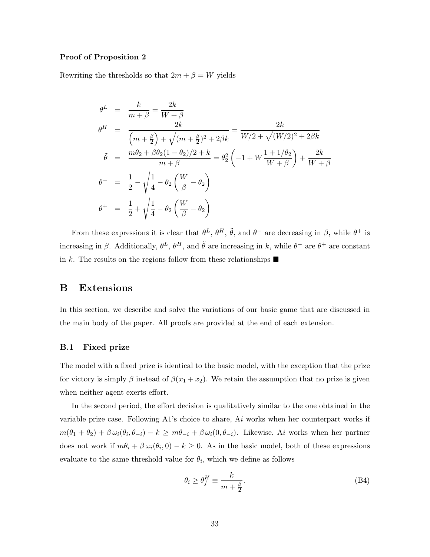## Proof of Proposition 2

Rewriting the thresholds so that  $2m + \beta = W$  yields

$$
\theta^{L} = \frac{k}{m+\beta} = \frac{2k}{W+\beta}
$$
\n
$$
\theta^{H} = \frac{2k}{(m+\frac{\beta}{2}) + \sqrt{(m+\frac{\beta}{2})^{2} + 2\beta k}} = \frac{2k}{W/2 + \sqrt{(W/2)^{2} + 2\beta k}}
$$
\n
$$
\tilde{\theta} = \frac{m\theta_{2} + \beta\theta_{2}(1-\theta_{2})/2 + k}{m+\beta} = \theta_{2}^{2} \left(-1 + W\frac{1+1/\theta_{2}}{W+\beta}\right) + \frac{2k}{W+\beta}
$$
\n
$$
\theta^{-} = \frac{1}{2} - \sqrt{\frac{1}{4} - \theta_{2} \left(\frac{W}{\beta} - \theta_{2}\right)}
$$
\n
$$
\theta^{+} = \frac{1}{2} + \sqrt{\frac{1}{4} - \theta_{2} \left(\frac{W}{\beta} - \theta_{2}\right)}
$$

From these expressions it is clear that  $\theta^L$ ,  $\theta^H$ ,  $\tilde{\theta}$ , and  $\theta^-$  are decreasing in  $\beta$ , while  $\theta^+$  is increasing in β. Additionally,  $\theta^L$ ,  $\theta^H$ , and  $\tilde{\theta}$  are increasing in k, while  $\theta^-$  are  $\theta^+$  are constant in k. The results on the regions follow from these relationships  $\blacksquare$ 

# B Extensions

In this section, we describe and solve the variations of our basic game that are discussed in the main body of the paper. All proofs are provided at the end of each extension.

## B.1 Fixed prize

The model with a fixed prize is identical to the basic model, with the exception that the prize for victory is simply  $\beta$  instead of  $\beta(x_1 + x_2)$ . We retain the assumption that no prize is given when neither agent exerts effort.

In the second period, the effort decision is qualitatively similar to the one obtained in the variable prize case. Following A1's choice to share,  $Ai$  works when her counterpart works if  $m(\theta_1 + \theta_2) + \beta \omega_i(\theta_i, \theta_{-i}) - k \geq m\theta_{-i} + \beta \omega_i(0, \theta_{-i}).$  Likewise, Ai works when her partner does not work if  $m\theta_i + \beta \omega_i(\theta_i, 0) - k \geq 0$ . As in the basic model, both of these expressions evaluate to the same threshold value for  $\theta_i$ , which we define as follows

$$
\theta_i \ge \theta_f^H \equiv \frac{k}{m + \frac{\beta}{2}}.\tag{B4}
$$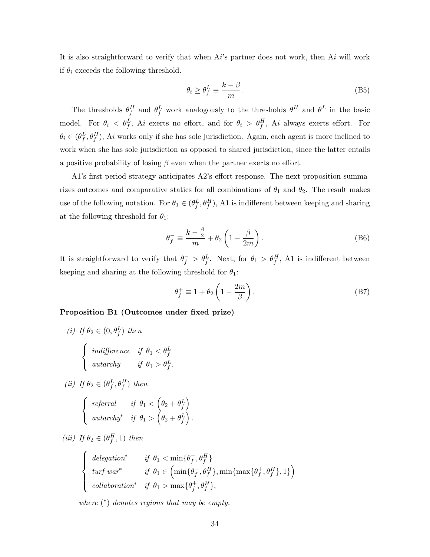It is also straightforward to verify that when  $Ai$ 's partner does not work, then  $Ai$  will work if  $\theta_i$  exceeds the following threshold.

$$
\theta_i \ge \theta_f^L \equiv \frac{k - \beta}{m}.\tag{B5}
$$

The thresholds  $\theta_f^H$  and  $\theta_f^L$  work analogously to the thresholds  $\theta^H$  and  $\theta^L$  in the basic model. For  $\theta_i < \theta_f^L$ , Ai exerts no effort, and for  $\theta_i > \theta_f^H$ , Ai always exerts effort. For  $\theta_i \in (\theta_f^L, \theta_f^H)$ , Ai works only if she has sole jurisdiction. Again, each agent is more inclined to work when she has sole jurisdiction as opposed to shared jurisdiction, since the latter entails a positive probability of losing  $\beta$  even when the partner exerts no effort.

A1's first period strategy anticipates A2's effort response. The next proposition summarizes outcomes and comparative statics for all combinations of  $\theta_1$  and  $\theta_2$ . The result makes use of the following notation. For  $\theta_1 \in (\theta_f^L, \theta_f^H)$ , A1 is indifferent between keeping and sharing at the following threshold for  $\theta_1$ :

$$
\theta_f^- \equiv \frac{k - \frac{\beta}{2}}{m} + \theta_2 \left( 1 - \frac{\beta}{2m} \right). \tag{B6}
$$

It is straightforward to verify that  $\theta_f^- > \theta_f^L$ . Next, for  $\theta_1 > \theta_f^H$ , A1 is indifferent between keeping and sharing at the following threshold for  $\theta_1$ :

$$
\theta_f^+ \equiv 1 + \theta_2 \left( 1 - \frac{2m}{\beta} \right). \tag{B7}
$$

# Proposition B1 (Outcomes under fixed prize)

- (i) If  $\theta_2 \in (0, \theta_f^L)$  then  $\sqrt{ }$ J  $\mathcal{L}$ indifference if  $\theta_1 < \theta_1^L$ autarchy if  $\theta_1 > \theta_f^L$ .
- (*ii*) If  $\theta_2 \in (\theta_f^L, \theta_f^H)$  then

$$
\begin{cases}\n\text{referral} & \text{if } \theta_1 < \left(\theta_2 + \theta_f^L\right) \\
\text{autarchy*} & \text{if } \theta_1 > \left(\theta_2 + \theta_f^L\right).\n\end{cases}
$$

(iii) If  $\theta_2 \in (\theta_f^H, 1)$  then

$$
\begin{cases}\n\text{delegation*} & \text{if } \theta_1 < \min\{\theta_f^-, \theta_f^H\} \\
\text{turf war*} & \text{if } \theta_1 \in \left(\min\{\theta_f^-, \theta_f^H\}, \min\{\max\{\theta_f^+, \theta_f^H\}, 1\}\right) \\
\text{collaboration*} & \text{if } \theta_1 > \max\{\theta_f^+, \theta_f^H\},\n\end{cases}
$$

where  $(*)$  denotes regions that may be empty.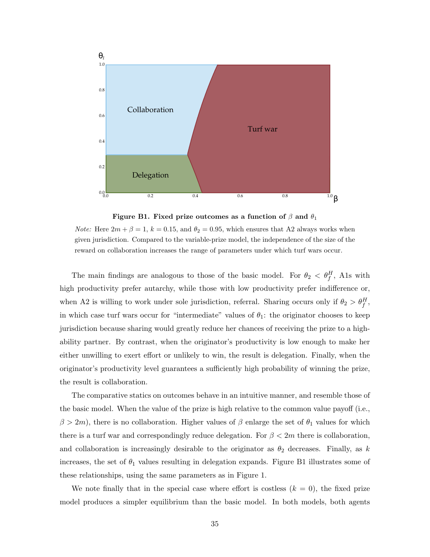

Figure B1. Fixed prize outcomes as a function of  $\beta$  and  $\theta_1$ 

*Note:* Here  $2m + \beta = 1$ ,  $k = 0.15$ , and  $\theta_2 = 0.95$ , which ensures that A2 always works when given jurisdiction. Compared to the variable-prize model, the independence of the size of the reward on collaboration increases the range of parameters under which turf wars occur.

The main findings are analogous to those of the basic model. For  $\theta_2 < \theta_f^H$ , Als with high productivity prefer autarchy, while those with low productivity prefer indifference or, when A2 is willing to work under sole jurisdiction, referral. Sharing occurs only if  $\theta_2 > \theta_f^H$ , in which case turf wars occur for "intermediate" values of  $\theta_1$ : the originator chooses to keep jurisdiction because sharing would greatly reduce her chances of receiving the prize to a highability partner. By contrast, when the originator's productivity is low enough to make her either unwilling to exert effort or unlikely to win, the result is delegation. Finally, when the originator's productivity level guarantees a sufficiently high probability of winning the prize, the result is collaboration.

The comparative statics on outcomes behave in an intuitive manner, and resemble those of the basic model. When the value of the prize is high relative to the common value payoff (i.e.,  $\beta > 2m$ ), there is no collaboration. Higher values of  $\beta$  enlarge the set of  $\theta_1$  values for which there is a turf war and correspondingly reduce delegation. For  $\beta < 2m$  there is collaboration, and collaboration is increasingly desirable to the originator as  $\theta_2$  decreases. Finally, as k increases, the set of  $\theta_1$  values resulting in delegation expands. Figure B1 illustrates some of these relationships, using the same parameters as in Figure 1.

We note finally that in the special case where effort is costless  $(k = 0)$ , the fixed prize model produces a simpler equilibrium than the basic model. In both models, both agents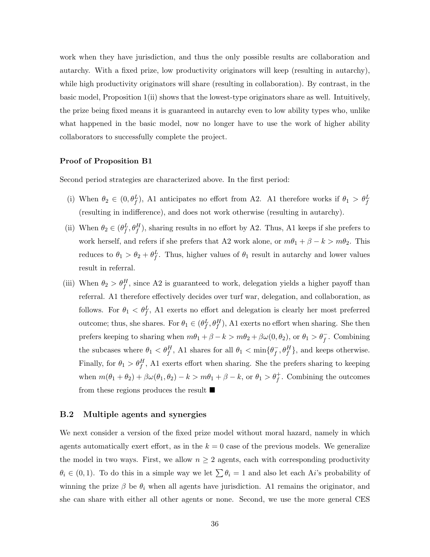work when they have jurisdiction, and thus the only possible results are collaboration and autarchy. With a fixed prize, low productivity originators will keep (resulting in autarchy), while high productivity originators will share (resulting in collaboration). By contrast, in the basic model, Proposition [1\(](#page-11-0)ii) shows that the lowest-type originators share as well. Intuitively, the prize being fixed means it is guaranteed in autarchy even to low ability types who, unlike what happened in the basic model, now no longer have to use the work of higher ability collaborators to successfully complete the project.

#### Proof of Proposition B1

Second period strategies are characterized above. In the first period:

- (i) When  $\theta_2 \in (0, \theta_f^L)$ , A1 anticipates no effort from A2. A1 therefore works if  $\theta_1 > \theta_f^L$ (resulting in indifference), and does not work otherwise (resulting in autarchy).
- (ii) When  $\theta_2 \in (\theta_f^L, \theta_f^H)$ , sharing results in no effort by A2. Thus, A1 keeps if she prefers to work herself, and refers if she prefers that A2 work alone, or  $m\theta_1 + \beta - k > m\theta_2$ . This reduces to  $\theta_1 > \theta_2 + \theta_f^L$ . Thus, higher values of  $\theta_1$  result in autarchy and lower values result in referral.
- (iii) When  $\theta_2 > \theta_f^H$ , since A2 is guaranteed to work, delegation yields a higher payoff than referral. A1 therefore effectively decides over turf war, delegation, and collaboration, as follows. For  $\theta_1 \, \langle \theta_f^L, A_1 \rangle$  exerts no effort and delegation is clearly her most preferred outcome; thus, she shares. For  $\theta_1 \in (\theta_f^L, \theta_f^H)$ , A1 exerts no effort when sharing. She then prefers keeping to sharing when  $m\theta_1 + \beta - k > m\theta_2 + \beta\omega(0, \theta_2)$ , or  $\theta_1 > \theta_f^ \overline{f}$ . Combining the subcases where  $\theta_1 < \theta_f^H$ , A1 shares for all  $\theta_1 < \min\{\theta_f^-\}$  $\bar{f}, \theta_f^H$ , and keeps otherwise. Finally, for  $\theta_1 > \theta_f^H$ , A1 exerts effort when sharing. She the prefers sharing to keeping when  $m(\theta_1 + \theta_2) + \beta \omega(\theta_1, \theta_2) - k > m\theta_1 + \beta - k$ , or  $\theta_1 > \theta_f^+$  $f$ . Combining the outcomes from these regions produces the result  $\blacksquare$

# B.2 Multiple agents and synergies

We next consider a version of the fixed prize model without moral hazard, namely in which agents automatically exert effort, as in the  $k = 0$  case of the previous models. We generalize the model in two ways. First, we allow  $n \geq 2$  agents, each with corresponding productivity  $\theta_i \in (0,1)$ . To do this in a simple way we let  $\sum \theta_i = 1$  and also let each Ai's probability of winning the prize  $\beta$  be  $\theta_i$  when all agents have jurisdiction. A1 remains the originator, and she can share with either all other agents or none. Second, we use the more general CES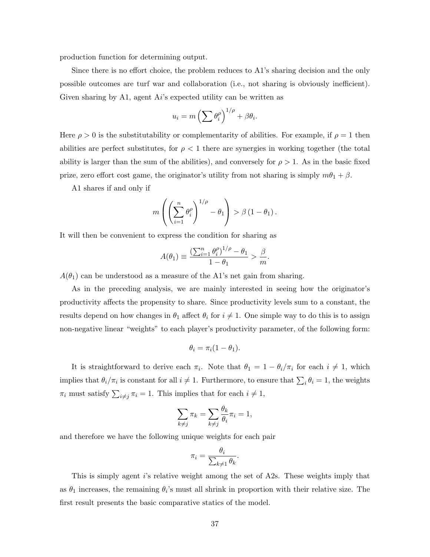production function for determining output.

Since there is no effort choice, the problem reduces to A1's sharing decision and the only possible outcomes are turf war and collaboration (i.e., not sharing is obviously inefficient). Given sharing by A1, agent  $Ai$ 's expected utility can be written as

$$
u_i = m \left( \sum \theta_i^{\rho} \right)^{1/\rho} + \beta \theta_i.
$$

Here  $\rho > 0$  is the substitutability or complementarity of abilities. For example, if  $\rho = 1$  then abilities are perfect substitutes, for  $\rho < 1$  there are synergies in working together (the total ability is larger than the sum of the abilities), and conversely for  $\rho > 1$ . As in the basic fixed prize, zero effort cost game, the originator's utility from not sharing is simply  $m\theta_1 + \beta$ .

A1 shares if and only if

$$
m\left(\left(\sum_{i=1}^n \theta_i^{\rho}\right)^{1/\rho} - \theta_1\right) > \beta (1 - \theta_1).
$$

It will then be convenient to express the condition for sharing as

$$
A(\theta_1) \equiv \frac{\left(\sum_{i=1}^n \theta_i^{\rho}\right)^{1/\rho} - \theta_1}{1 - \theta_1} > \frac{\beta}{m}.
$$

 $A(\theta_1)$  can be understood as a measure of the A1's net gain from sharing.

As in the preceding analysis, we are mainly interested in seeing how the originator's productivity affects the propensity to share. Since productivity levels sum to a constant, the results depend on how changes in  $\theta_1$  affect  $\theta_i$  for  $i \neq 1$ . One simple way to do this is to assign non-negative linear "weights" to each player's productivity parameter, of the following form:

$$
\theta_i = \pi_i(1 - \theta_1).
$$

It is straightforward to derive each  $\pi_i$ . Note that  $\theta_1 = 1 - \theta_i/\pi_i$  for each  $i \neq 1$ , which implies that  $\theta_i/\pi_i$  is constant for all  $i \neq 1$ . Furthermore, to ensure that  $\sum_i \theta_i = 1$ , the weights  $\pi_i$  must satisfy  $\sum_{i \neq j} \pi_i = 1$ . This implies that for each  $i \neq 1$ ,

$$
\sum_{k \neq j} \pi_k = \sum_{k \neq j} \frac{\theta_k}{\theta_i} \pi_i = 1,
$$

and therefore we have the following unique weights for each pair

$$
\pi_i = \frac{\theta_i}{\sum_{k \neq 1} \theta_k}.
$$

This is simply agent i's relative weight among the set of A2s. These weights imply that as  $\theta_1$  increases, the remaining  $\theta_i$ 's must all shrink in proportion with their relative size. The first result presents the basic comparative statics of the model.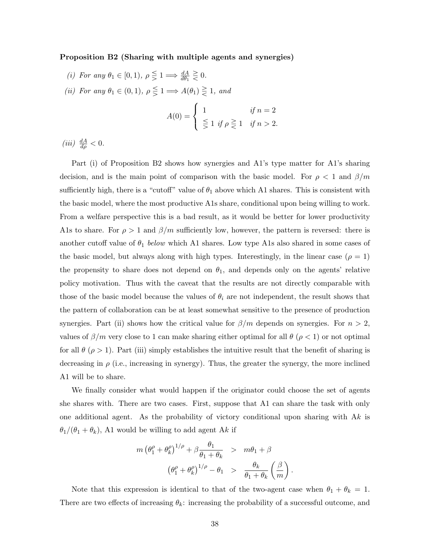#### Proposition B2 (Sharing with multiple agents and synergies)

(i) For any  $\theta_1 \in [0,1)$ ,  $\rho \leq 1 \Longrightarrow \frac{dA}{d\theta_1} \geq 0$ . (ii) For any  $\theta_1 \in (0,1)$ ,  $\rho \leq 1 \Longrightarrow A(\theta_1) \geq 1$ , and

 $\gamma$ 

 $\sqrt{2}$ 

$$
A(0) = \begin{cases} 1 & \text{if } n = 2 \\ \frac{\leq}{\geq} 1 & \text{if } n > 2. \end{cases}
$$

(*iii*)  $\frac{dA}{d\rho} < 0$ .

Part (i) of Proposition [B2](#page-13-0) shows how synergies and A1's type matter for A1's sharing decision, and is the main point of comparison with the basic model. For  $\rho < 1$  and  $\beta/m$ sufficiently high, there is a "cutoff" value of  $\theta_1$  above which A1 shares. This is consistent with the basic model, where the most productive A1s share, conditional upon being willing to work. From a welfare perspective this is a bad result, as it would be better for lower productivity A1s to share. For  $\rho > 1$  and  $\beta/m$  sufficiently low, however, the pattern is reversed: there is another cutoff value of  $\theta_1$  below which A1 shares. Low type A1s also shared in some cases of the basic model, but always along with high types. Interestingly, in the linear case  $(\rho = 1)$ the propensity to share does not depend on  $\theta_1$ , and depends only on the agents' relative policy motivation. Thus with the caveat that the results are not directly comparable with those of the basic model because the values of  $\theta_i$  are not independent, the result shows that the pattern of collaboration can be at least somewhat sensitive to the presence of production synergies. Part (ii) shows how the critical value for  $\beta/m$  depends on synergies. For  $n > 2$ , values of  $\beta/m$  very close to 1 can make sharing either optimal for all  $\theta$  ( $\rho$  < 1) or not optimal for all  $\theta$  ( $\rho > 1$ ). Part (iii) simply establishes the intuitive result that the benefit of sharing is decreasing in  $\rho$  (i.e., increasing in synergy). Thus, the greater the synergy, the more inclined A1 will be to share.

We finally consider what would happen if the originator could choose the set of agents she shares with. There are two cases. First, suppose that A1 can share the task with only one additional agent. As the probability of victory conditional upon sharing with  $Ak$  is  $\theta_1/(\theta_1 + \theta_k)$ , A1 would be willing to add agent Ak if

$$
m \left(\theta_1^{\rho} + \theta_k^{\rho}\right)^{1/\rho} + \beta \frac{\theta_1}{\theta_1 + \theta_k} > m\theta_1 + \beta
$$

$$
\left(\theta_1^{\rho} + \theta_k^{\rho}\right)^{1/\rho} - \theta_1 > \frac{\theta_k}{\theta_1 + \theta_k} \left(\frac{\beta}{m}\right).
$$

Note that this expression is identical to that of the two-agent case when  $\theta_1 + \theta_k = 1$ . There are two effects of increasing  $\theta_k$ : increasing the probability of a successful outcome, and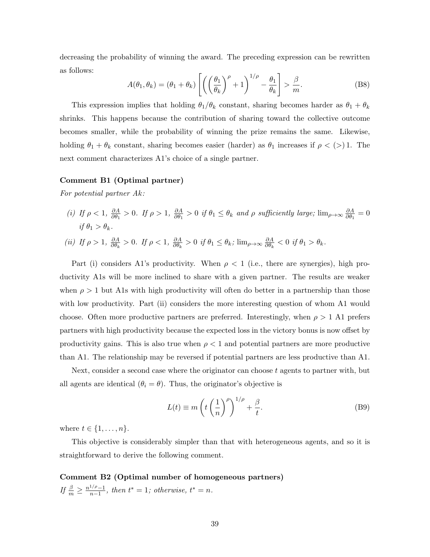decreasing the probability of winning the award. The preceding expression can be rewritten as follows:

$$
A(\theta_1, \theta_k) = (\theta_1 + \theta_k) \left[ \left( \left( \frac{\theta_1}{\theta_k} \right)^{\rho} + 1 \right)^{1/\rho} - \frac{\theta_1}{\theta_k} \right] > \frac{\beta}{m}.
$$
 (B8)

This expression implies that holding  $\theta_1/\theta_k$  constant, sharing becomes harder as  $\theta_1 + \theta_k$ shrinks. This happens because the contribution of sharing toward the collective outcome becomes smaller, while the probability of winning the prize remains the same. Likewise, holding  $\theta_1 + \theta_k$  constant, sharing becomes easier (harder) as  $\theta_1$  increases if  $\rho < (>) 1$ . The next comment characterizes A1's choice of a single partner.

#### Comment B1 (Optimal partner)

For potential partner Ak:

(i) If  $\rho < 1$ ,  $\frac{\partial A}{\partial \theta_1}$  $\frac{\partial A}{\partial \theta_1} > 0$ . If  $\rho > 1$ ,  $\frac{\partial A}{\partial \theta_1}$  $\frac{\partial A}{\partial \theta_1} > 0$  if  $\theta_1 \le \theta_k$  and  $\rho$  sufficiently large;  $\lim_{\rho \to \infty} \frac{\partial A}{\partial \theta_1}$  $\frac{\partial A}{\partial \theta_1} = 0$ if  $\theta_1 > \theta_k$ .

(ii) If 
$$
\rho > 1
$$
,  $\frac{\partial A}{\partial \theta_k} > 0$ . If  $\rho < 1$ ,  $\frac{\partial A}{\partial \theta_k} > 0$  if  $\theta_1 \le \theta_k$ ;  $\lim_{\rho \to \infty} \frac{\partial A}{\partial \theta_k} < 0$  if  $\theta_1 > \theta_k$ .

Part (i) considers A1's productivity. When  $\rho < 1$  (i.e., there are synergies), high productivity A1s will be more inclined to share with a given partner. The results are weaker when  $\rho > 1$  but A1s with high productivity will often do better in a partnership than those with low productivity. Part (ii) considers the more interesting question of whom A1 would choose. Often more productive partners are preferred. Interestingly, when  $\rho > 1$  A1 prefers partners with high productivity because the expected loss in the victory bonus is now offset by productivity gains. This is also true when  $\rho < 1$  and potential partners are more productive than A1. The relationship may be reversed if potential partners are less productive than A1.

Next, consider a second case where the originator can choose  $t$  agents to partner with, but all agents are identical  $(\theta_i = \theta)$ . Thus, the originator's objective is

$$
L(t) \equiv m\left(t\left(\frac{1}{n}\right)^{\rho}\right)^{1/\rho} + \frac{\beta}{t}.
$$
 (B9)

where  $t \in \{1, \ldots, n\}$ .

This objective is considerably simpler than that with heterogeneous agents, and so it is straightforward to derive the following comment.

Comment B2 (Optimal number of homogeneous partners) If  $\frac{\beta}{m} \geq \frac{n^{1/\rho}-1}{n-1}$  $\frac{1}{n-1}$ , then  $t^* = 1$ ; otherwise,  $t^* = n$ .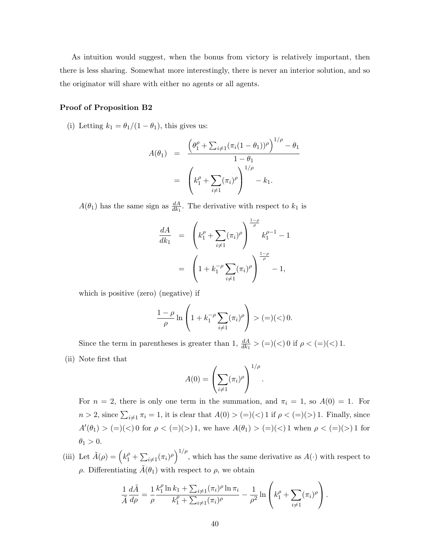As intuition would suggest, when the bonus from victory is relatively important, then there is less sharing. Somewhat more interestingly, there is never an interior solution, and so the originator will share with either no agents or all agents.

## Proof of Proposition B2

(i) Letting  $k_1 = \theta_1/(1 - \theta_1)$ , this gives us:

$$
A(\theta_1) = \frac{\left(\theta_1^{\rho} + \sum_{i \neq 1} (\pi_i (1 - \theta_1))^{\rho}\right)^{1/\rho} - \theta_1}{1 - \theta_1}
$$
  
=  $\left(k_1^{\rho} + \sum_{i \neq 1} (\pi_i)^{\rho}\right)^{1/\rho} - k_1.$ 

 $A(\theta_1)$  has the same sign as  $\frac{dA}{dk_1}$ . The derivative with respect to  $k_1$  is

$$
\frac{dA}{dk_1} = \left(k_1^{\rho} + \sum_{i \neq 1} (\pi_i)^{\rho}\right)^{\frac{1-\rho}{\rho}} k_1^{\rho-1} - 1
$$

$$
= \left(1 + k_1^{-\rho} \sum_{i \neq 1} (\pi_i)^{\rho}\right)^{\frac{1-\rho}{\rho}} - 1,
$$

which is positive (zero) (negative) if

$$
\frac{1-\rho}{\rho} \ln \left( 1 + k_1^{-\rho} \sum_{i \neq 1} (\pi_i)^{\rho} \right) > (=)(<) 0.
$$

Since the term in parentheses is greater than 1,  $\frac{dA}{dk_1} > (=)(<) 0$  if  $\rho < (=)(<) 1$ . (ii) Note first that

$$
A(0) = \left(\sum_{i \neq 1} (\pi_i)^{\rho}\right)^{1/\rho}
$$

.

For  $n = 2$ , there is only one term in the summation, and  $\pi_i = 1$ , so  $A(0) = 1$ . For  $n > 2$ , since  $\sum_{i \neq 1} \pi_i = 1$ , it is clear that  $A(0) > (=)(<) 1$  if  $\rho < (=)(>) 1$ . Finally, since  $A'(\theta_1) > (=)(<) 0$  for  $\rho < (=)(>) 1$ , we have  $A(\theta_1) > (=)(<) 1$  when  $\rho < (=)(>) 1$  for  $\theta_1 > 0$ .

(iii) Let  $\tilde{A}(\rho) = \left(k_1^{\rho} + \sum_{i \neq 1} (\pi_i)^{\rho}\right)^{1/\rho}$ , which has the same derivative as  $A(\cdot)$  with respect to  $ρ$ . Differentiating  $\tilde{A}$ ( $θ$ <sub>1</sub>) with respect to  $ρ$ , we obtain

$$
\frac{1}{\tilde{A}}\frac{d\tilde{A}}{d\rho} = \frac{1}{\rho}\frac{k_1^{\rho}\ln k_1 + \sum_{i\neq 1}(\pi_i)^{\rho}\ln \pi_i}{k_1^{\rho} + \sum_{i\neq 1}(\pi_i)^{\rho}} - \frac{1}{\rho^2}\ln\left(k_1^{\rho} + \sum_{i\neq 1}(\pi_i)^{\rho}\right).
$$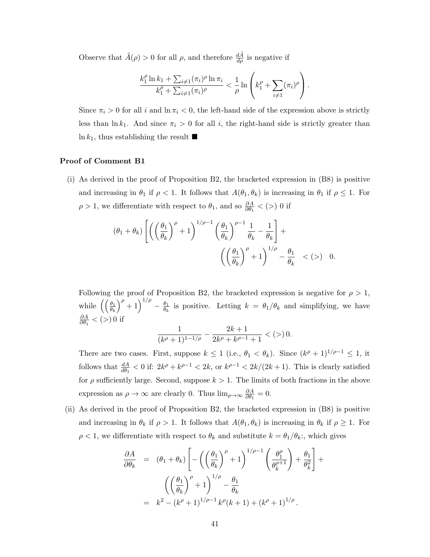Observe that  $\tilde{A}(\rho) > 0$  for all  $\rho$ , and therefore  $\frac{d\tilde{A}}{d\rho}$  is negative if

$$
\frac{k_1^{\rho} \ln k_1 + \sum_{i \neq 1} (\pi_i)^{\rho} \ln \pi_i}{k_1^{\rho} + \sum_{i \neq 1} (\pi_i)^{\rho}} < \frac{1}{\rho} \ln \left( k_1^{\rho} + \sum_{i \neq 1} (\pi_i)^{\rho} \right).
$$

Since  $\pi_i > 0$  for all i and  $\ln \pi_i < 0$ , the left-hand side of the expression above is strictly less than  $\ln k_1$ . And since  $\pi_i > 0$  for all i, the right-hand side is strictly greater than  $\ln k_1$ , thus establishing the result  $\blacksquare$ 

## Proof of Comment B1

(i) As derived in the proof of Proposition [B2,](#page-13-0) the bracketed expression in (B8) is positive and increasing in  $\theta_1$  if  $\rho < 1$ . It follows that  $A(\theta_1, \theta_k)$  is increasing in  $\theta_1$  if  $\rho \leq 1$ . For  $\rho > 1$ , we differentiate with respect to  $\theta_1$ , and so  $\frac{\partial A}{\partial \theta_1} < (>) 0$  if

$$
(\theta_1 + \theta_k) \left[ \left( \left( \frac{\theta_1}{\theta_k} \right)^{\rho} + 1 \right)^{1/\rho - 1} \left( \frac{\theta_1}{\theta_k} \right)^{\rho - 1} \frac{1}{\theta_k} - \frac{1}{\theta_k} \right] + \left( \left( \frac{\theta_1}{\theta_k} \right)^{\rho} + 1 \right)^{1/\rho} - \frac{\theta_1}{\theta_k} \quad \langle \langle \rangle \rangle \quad 0.
$$

Following the proof of Proposition [B2,](#page-13-0) the bracketed expression is negative for  $\rho > 1$ , while  $\left(\left(\frac{\theta_1}{\theta_k}\right)\right)$  $\int^{\rho} + 1 \, \bigg)^{1/\rho} - \frac{\theta_1}{\theta_2}$  $\frac{\theta_1}{\theta_k}$  is positive. Letting  $k = \theta_1/\theta_k$  and simplifying, we have ∂A  $\frac{\partial A}{\partial \theta_1}$  < (>) 0 if

$$
\frac{1}{(k^{\rho}+1)^{1-1/\rho}} - \frac{2k+1}{2k^{\rho}+k^{\rho-1}+1} < (>)\,0.
$$

There are two cases. First, suppose  $k \leq 1$  (i.e.,  $\theta_1 < \theta_k$ ). Since  $(k^{\rho} + 1)^{1/\rho - 1} \leq 1$ , it follows that  $\frac{dA}{d\theta_1} < 0$  if:  $2k^{\rho} + k^{\rho-1} < 2k$ , or  $k^{\rho-1} < 2k/(2k+1)$ . This is clearly satisfied for  $\rho$  sufficiently large. Second, suppose  $k > 1$ . The limits of both fractions in the above expression as  $\rho \to \infty$  are clearly 0. Thus  $\lim_{\rho \to \infty} \frac{\partial A}{\partial \theta_1}$  $\frac{\partial A}{\partial \theta_1} = 0.$ 

(ii) As derived in the proof of Proposition [B2,](#page-13-0) the bracketed expression in (B8) is positive and increasing in  $\theta_k$  if  $\rho > 1$ . It follows that  $A(\theta_1, \theta_k)$  is increasing in  $\theta_k$  if  $\rho \geq 1$ . For  $\rho < 1$ , we differentiate with respect to  $\theta_k$  and substitute  $k = \theta_1/\theta_k$ ; which gives

$$
\frac{\partial A}{\partial \theta_k} = (\theta_1 + \theta_k) \left[ -\left( \left( \frac{\theta_1}{\theta_k} \right)^{\rho} + 1 \right)^{1/\rho - 1} \left( \frac{\theta_1^{\rho}}{\theta_k^{\rho + 1}} \right) + \frac{\theta_1}{\theta_k^2} \right] + \left( \left( \frac{\theta_1}{\theta_k} \right)^{\rho} + 1 \right)^{1/\rho} - \frac{\theta_1}{\theta_k}
$$

$$
= k^2 - (k^{\rho} + 1)^{1/\rho - 1} k^{\rho} (k + 1) + (k^{\rho} + 1)^{1/\rho}.
$$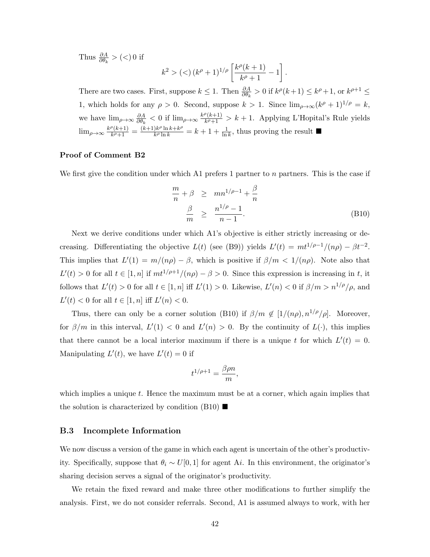Thus  $\frac{\partial A}{\partial \theta_k}$  > (<) 0 if

$$
k^{2} > (<) (k^{\rho} + 1)^{1/\rho} \left[ \frac{k^{\rho}(k+1)}{k^{\rho} + 1} - 1 \right].
$$

There are two cases. First, suppose  $k \leq 1$ . Then  $\frac{\partial A}{\partial \theta_k} > 0$  if  $k^{\rho}(k+1) \leq k^{\rho}+1$ , or  $k^{\rho+1} \leq$ 1, which holds for any  $\rho > 0$ . Second, suppose  $k > 1$ . Since  $\lim_{\rho \to \infty} (k^{\rho} + 1)^{1/\rho} = k$ , we have  $\lim_{\rho \to \infty} \frac{\partial A}{\partial \theta_k}$  $\frac{\partial A}{\partial \theta_k} < 0$  if  $\lim_{\rho \to \infty} \frac{k^{\rho}(k+1)}{k^{\rho}+1}$  $\frac{k(k+1)}{k+1} > k+1$ . Applying L'Hopital's Rule yields  $\lim_{\rho\to\infty}\frac{k^{\rho}(k+1)}{k^{\rho}+1}$  $\frac{\rho(k+1)}{k^{\rho}+1} = \frac{(k+1)k^{\rho}\ln k + k^{\rho}}{k^{\rho}\ln k}$  $\frac{\partial k^{\rho} \ln k + k^{\rho}}{\partial k^{\rho} \ln k} = k + 1 + \frac{1}{\ln k}$  $\frac{1}{\ln k}$ , thus proving the result  $\blacksquare$ 

# Proof of Comment B2

We first give the condition under which A1 prefers 1 partner to  $n$  partners. This is the case if

$$
\frac{m}{n} + \beta \ge mn^{1/\rho - 1} + \frac{\beta}{n}
$$
  

$$
\frac{\beta}{m} \ge \frac{n^{1/\rho} - 1}{n - 1}.
$$
 (B10)

Next we derive conditions under which A1's objective is either strictly increasing or decreasing. Differentiating the objective  $L(t)$  (see (B9)) yields  $L'(t) = mt^{1/\rho-1}/(n\rho) - \beta t^{-2}$ . This implies that  $L'(1) = m/(n\rho) - \beta$ , which is positive if  $\beta/m < 1/(n\rho)$ . Note also that  $L'(t) > 0$  for all  $t \in [1, n]$  if  $m t^{1/\rho+1}/(n\rho) - \beta > 0$ . Since this expression is increasing in t, it follows that  $L'(t) > 0$  for all  $t \in [1, n]$  iff  $L'(1) > 0$ . Likewise,  $L'(n) < 0$  if  $\beta/m > n^{1/\rho}/\rho$ , and  $L'(t) < 0$  for all  $t \in [1, n]$  iff  $L'(n) < 0$ .

Thus, there can only be a corner solution (B10) if  $\beta/m \notin [1/(n\rho), n^{1/\rho}/\rho]$ . Moreover, for  $\beta/m$  in this interval,  $L'(1) < 0$  and  $L'(n) > 0$ . By the continuity of  $L(\cdot)$ , this implies that there cannot be a local interior maximum if there is a unique t for which  $L'(t) = 0$ . Manipulating  $L'(t)$ , we have  $L'(t) = 0$  if

$$
t^{1/\rho+1}=\frac{\beta\rho n}{m},
$$

which implies a unique  $t$ . Hence the maximum must be at a corner, which again implies that the solution is characterized by condition  $(B10)$ 

# B.3 Incomplete Information

We now discuss a version of the game in which each agent is uncertain of the other's productivity. Specifically, suppose that  $\theta_i \sim U[0, 1]$  for agent A*i*. In this environment, the originator's sharing decision serves a signal of the originator's productivity.

We retain the fixed reward and make three other modifications to further simplify the analysis. First, we do not consider referrals. Second, A1 is assumed always to work, with her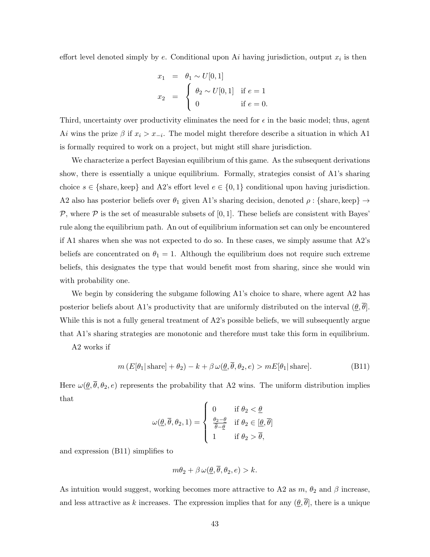effort level denoted simply by  $e$ . Conditional upon  $Ai$  having jurisdiction, output  $x_i$  is then

$$
x_1 = \theta_1 \sim U[0, 1]
$$
  
\n
$$
x_2 = \begin{cases} \theta_2 \sim U[0, 1] & \text{if } e = 1 \\ 0 & \text{if } e = 0. \end{cases}
$$

Third, uncertainty over productivity eliminates the need for  $\epsilon$  in the basic model; thus, agent Ai wins the prize  $\beta$  if  $x_i > x_{-i}$ . The model might therefore describe a situation in which A1 is formally required to work on a project, but might still share jurisdiction.

We characterize a perfect Bayesian equilibrium of this game. As the subsequent derivations show, there is essentially a unique equilibrium. Formally, strategies consist of A1's sharing choice  $s \in \{\text{share}, \text{keep}\}\$  and A2's effort level  $e \in \{0, 1\}$  conditional upon having jurisdiction. A2 also has posterior beliefs over  $\theta_1$  given A1's sharing decision, denoted  $\rho: \{\text{share}, \text{keep}\} \to$  $P$ , where  $P$  is the set of measurable subsets of [0, 1]. These beliefs are consistent with Bayes' rule along the equilibrium path. An out of equilibrium information set can only be encountered if A1 shares when she was not expected to do so. In these cases, we simply assume that A2's beliefs are concentrated on  $\theta_1 = 1$ . Although the equilibrium does not require such extreme beliefs, this designates the type that would benefit most from sharing, since she would win with probability one.

We begin by considering the subgame following A1's choice to share, where agent A2 has posterior beliefs about A1's productivity that are uniformly distributed on the interval  $(\theta, \theta)$ . While this is not a fully general treatment of A2's possible beliefs, we will subsequently argue that A1's sharing strategies are monotonic and therefore must take this form in equilibrium.

A2 works if

$$
m(E[\theta_1|\,\text{share}] + \theta_2) - k + \beta \,\omega(\underline{\theta}, \overline{\theta}, \theta_2, e) > mE[\theta_1|\,\text{share}].\tag{B11}
$$

Here  $\omega(\underline{\theta}, \overline{\theta}, \theta_2, e)$  represents the probability that A2 wins. The uniform distribution implies that

$$
\omega(\underline{\theta}, \overline{\theta}, \theta_2, 1) = \begin{cases} 0 & \text{if } \theta_2 < \underline{\theta} \\ \frac{\theta_2 - \underline{\theta}}{\overline{\theta} - \underline{\theta}} & \text{if } \theta_2 \in [\underline{\theta}, \overline{\theta}] \\ 1 & \text{if } \theta_2 > \overline{\theta}, \end{cases}
$$

and expression (B11) simplifies to

$$
m\theta_2 + \beta \,\omega(\underline{\theta}, \overline{\theta}, \theta_2, e) > k.
$$

As intuition would suggest, working becomes more attractive to A2 as  $m$ ,  $\theta_2$  and  $\beta$  increase, and less attractive as k increases. The expression implies that for any  $(\underline{\theta}, \overline{\theta})$ , there is a unique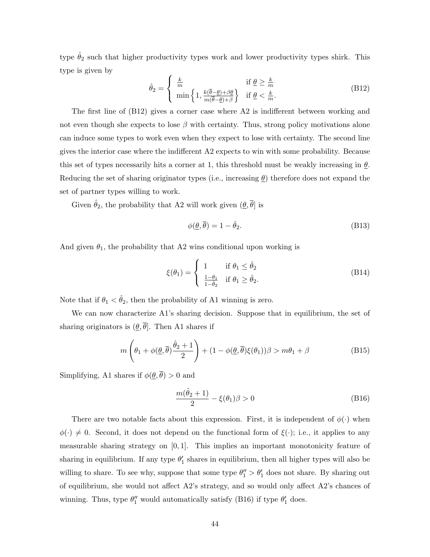type  $\hat{\theta}_2$  such that higher productivity types work and lower productivity types shirk. This type is given by

$$
\hat{\theta}_2 = \begin{cases} \frac{k}{m} & \text{if } \underline{\theta} \ge \frac{k}{m} \\ \min\left\{1, \frac{k(\overline{\theta} - \underline{\theta}) + \beta \underline{\theta}}{m(\overline{\theta} - \underline{\theta}) + \beta}\right\} & \text{if } \underline{\theta} < \frac{k}{m} . \end{cases}
$$
(B12)

The first line of (B12) gives a corner case where A2 is indifferent between working and not even though she expects to lose  $\beta$  with certainty. Thus, strong policy motivations alone can induce some types to work even when they expect to lose with certainty. The second line gives the interior case where the indifferent A2 expects to win with some probability. Because this set of types necessarily hits a corner at 1, this threshold must be weakly increasing in  $\theta$ . Reducing the set of sharing originator types (i.e., increasing  $\theta$ ) therefore does not expand the set of partner types willing to work.

Given  $\hat{\theta}_2,$  the probability that A2 will work given  $(\underline{\theta},\overline{\theta}]$  is

$$
\phi(\underline{\theta}, \overline{\theta}) = 1 - \hat{\theta}_2. \tag{B13}
$$

And given  $\theta_1$ , the probability that A2 wins conditional upon working is

$$
\xi(\theta_1) = \begin{cases} 1 & \text{if } \theta_1 \le \hat{\theta}_2 \\ \frac{1-\theta_1}{1-\hat{\theta}_2} & \text{if } \theta_1 \ge \hat{\theta}_2. \end{cases}
$$
 (B14)

Note that if  $\theta_1 < \hat{\theta}_2$ , then the probability of A1 winning is zero.

We can now characterize A1's sharing decision. Suppose that in equilibrium, the set of sharing originators is  $(\underline{\theta}, \overline{\theta})$ . Then A1 shares if

$$
m\left(\theta_1 + \phi(\underline{\theta}, \overline{\theta})\frac{\hat{\theta}_2 + 1}{2}\right) + (1 - \phi(\underline{\theta}, \overline{\theta})\xi(\theta_1))\beta > m\theta_1 + \beta\tag{B15}
$$

Simplifying, A1 shares if  $\phi(\underline{\theta}, \overline{\theta}) > 0$  and

$$
\frac{m(\hat{\theta}_2+1)}{2} - \xi(\theta_1)\beta > 0
$$
 (B16)

There are two notable facts about this expression. First, it is independent of  $\phi(\cdot)$  when  $\phi(\cdot) \neq 0$ . Second, it does not depend on the functional form of  $\xi(\cdot)$ ; i.e., it applies to any measurable sharing strategy on  $[0, 1]$ . This implies an important monotonicity feature of sharing in equilibrium. If any type  $\theta'_1$  shares in equilibrium, then all higher types will also be willing to share. To see why, suppose that some type  $\theta''_1 > \theta'_1$  does not share. By sharing out of equilibrium, she would not affect A2's strategy, and so would only affect A2's chances of winning. Thus, type  $\theta_1''$  would automatically satisfy (B16) if type  $\theta_1'$  does.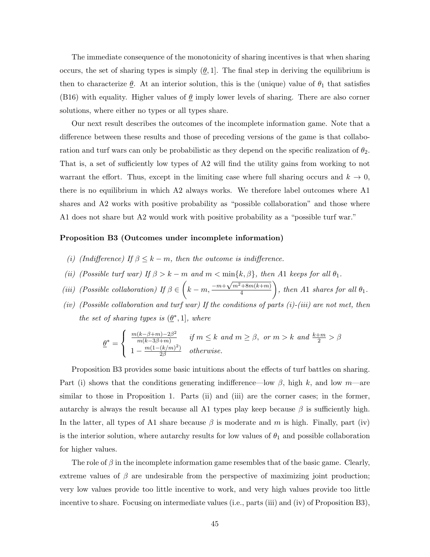The immediate consequence of the monotonicity of sharing incentives is that when sharing occurs, the set of sharing types is simply  $(\theta, 1]$ . The final step in deriving the equilibrium is then to characterize  $\underline{\theta}$ . At an interior solution, this is the (unique) value of  $\theta_1$  that satisfies (B16) with equality. Higher values of  $\theta$  imply lower levels of sharing. There are also corner solutions, where either no types or all types share.

Our next result describes the outcomes of the incomplete information game. Note that a difference between these results and those of preceding versions of the game is that collaboration and turf wars can only be probabilistic as they depend on the specific realization of  $\theta_2$ . That is, a set of sufficiently low types of A2 will find the utility gains from working to not warrant the effort. Thus, except in the limiting case where full sharing occurs and  $k \to 0$ , there is no equilibrium in which A2 always works. We therefore label outcomes where A1 shares and A2 works with positive probability as "possible collaboration" and those where A1 does not share but A2 would work with positive probability as a "possible turf war."

#### Proposition B3 (Outcomes under incomplete information)

- (i) (Indifference) If  $\beta \leq k m$ , then the outcome is indifference.
- (ii) (Possible turf war) If  $\beta > k m$  and  $m < \min\{k, \beta\}$ , then A1 keeps for all  $\theta_1$ .
- (iii) (Possible collaboration) If  $\beta \in \left(k m, \frac{-m + \sqrt{m^2 + 8m(k+m)}}{4}\right)$ 4 ), then A1 shares for all  $\theta_1$ .
- (iv) (Possible collaboration and turf war) If the conditions of parts  $(i)$ -(iii) are not met, then the set of sharing types is  $(\underline{\theta}^*, 1]$ , where

$$
\underline{\theta}^* = \begin{cases} \frac{m(k-\beta+m)-2\beta^2}{m(k-3\beta+m)} & \text{if } m \le k \text{ and } m \ge \beta, \text{ or } m > k \text{ and } \frac{k+m}{2} > \beta\\ 1 - \frac{m(1-(k/m)^2)}{2\beta} & \text{otherwise.} \end{cases}
$$

Proposition B3 provides some basic intuitions about the effects of turf battles on sharing. Part (i) shows that the conditions generating indifference—low  $\beta$ , high k, and low m—are similar to those in Proposition [1.](#page-11-0) Parts (ii) and (iii) are the corner cases; in the former, autarchy is always the result because all A1 types play keep because  $\beta$  is sufficiently high. In the latter, all types of A1 share because  $\beta$  is moderate and m is high. Finally, part (iv) is the interior solution, where autarchy results for low values of  $\theta_1$  and possible collaboration for higher values.

The role of  $\beta$  in the incomplete information game resembles that of the basic game. Clearly, extreme values of  $\beta$  are undesirable from the perspective of maximizing joint production; very low values provide too little incentive to work, and very high values provide too little incentive to share. Focusing on intermediate values (i.e., parts (iii) and (iv) of Proposition B3),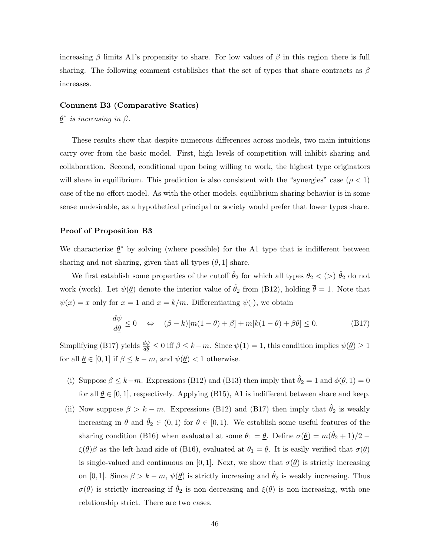increasing  $\beta$  limits A1's propensity to share. For low values of  $\beta$  in this region there is full sharing. The following comment establishes that the set of types that share contracts as  $\beta$ increases.

#### Comment B3 (Comparative Statics)

 $\underline{\theta}^*$  is increasing in  $\beta$ .

These results show that despite numerous differences across models, two main intuitions carry over from the basic model. First, high levels of competition will inhibit sharing and collaboration. Second, conditional upon being willing to work, the highest type originators will share in equilibrium. This prediction is also consistent with the "synergies" case ( $\rho < 1$ ) case of the no-effort model. As with the other models, equilibrium sharing behavior is in some sense undesirable, as a hypothetical principal or society would prefer that lower types share.

## Proof of Proposition B3

We characterize  $\underline{\theta}^*$  by solving (where possible) for the A1 type that is indifferent between sharing and not sharing, given that all types  $(\underline{\theta}, 1]$  share.

We first establish some properties of the cutoff  $\hat{\theta}_2$  for which all types  $\theta_2 < (>) \hat{\theta}_2$  do not work (work). Let  $\psi(\underline{\theta})$  denote the interior value of  $\hat{\theta}_2$  from (B12), holding  $\overline{\theta} = 1$ . Note that  $\psi(x) = x$  only for  $x = 1$  and  $x = k/m$ . Differentiating  $\psi(\cdot)$ , we obtain

$$
\frac{d\psi}{d\underline{\theta}} \le 0 \quad \Leftrightarrow \quad (\beta - k)[m(1 - \underline{\theta}) + \beta] + m[k(1 - \underline{\theta}) + \beta \underline{\theta}] \le 0. \tag{B17}
$$

Simplifying (B17) yields  $\frac{d\psi}{d\theta} \leq 0$  iff  $\beta \leq k-m$ . Since  $\psi(1) = 1$ , this condition implies  $\psi(\underline{\theta}) \geq 1$ for all  $\underline{\theta} \in [0,1]$  if  $\beta \leq k - m$ , and  $\psi(\underline{\theta}) < 1$  otherwise.

- (i) Suppose  $\beta \leq k-m$ . Expressions (B12) and (B13) then imply that  $\hat{\theta}_2 = 1$  and  $\phi(\underline{\theta}, 1) = 0$ for all  $\underline{\theta} \in [0,1]$ , respectively. Applying (B15), A1 is indifferent between share and keep.
- (ii) Now suppose  $\beta > k m$ . Expressions (B12) and (B17) then imply that  $\hat{\theta}_2$  is weakly increasing in  $\underline{\theta}$  and  $\hat{\theta}_2 \in (0,1)$  for  $\underline{\theta} \in [0,1)$ . We establish some useful features of the sharing condition (B16) when evaluated at some  $\theta_1 = \underline{\theta}$ . Define  $\sigma(\underline{\theta}) = m(\hat{\theta}_2 + 1)/2$  –  $\xi(\underline{\theta})\beta$  as the left-hand side of (B16), evaluated at  $\theta_1 = \underline{\theta}$ . It is easily verified that  $\sigma(\underline{\theta})$ is single-valued and continuous on [0, 1]. Next, we show that  $\sigma(\theta)$  is strictly increasing on [0, 1]. Since  $\beta > k - m$ ,  $\psi(\underline{\theta})$  is strictly increasing and  $\hat{\theta}_2$  is weakly increasing. Thus  $\sigma(\underline{\theta})$  is strictly increasing if  $\hat{\theta}_2$  is non-decreasing and  $\xi(\underline{\theta})$  is non-increasing, with one relationship strict. There are two cases.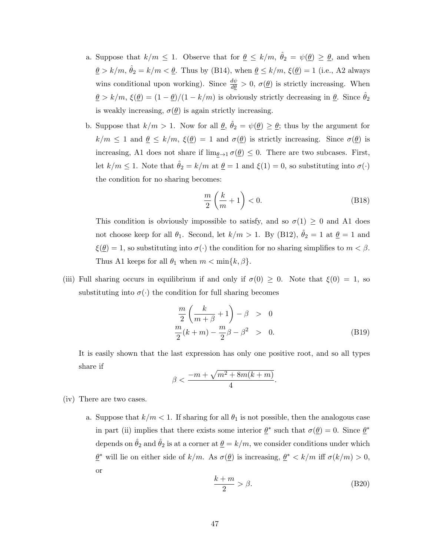- a. Suppose that  $k/m \leq 1$ . Observe that for  $\underline{\theta} \leq k/m$ ,  $\hat{\theta}_2 = \psi(\underline{\theta}) \geq \underline{\theta}$ , and when  $\underline{\theta} > k/m$ ,  $\hat{\theta}_2 = k/m < \underline{\theta}$ . Thus by (B14), when  $\underline{\theta} \le k/m$ ,  $\xi(\underline{\theta}) = 1$  (i.e., A2 always wins conditional upon working). Since  $\frac{d\psi}{d\theta} > 0$ ,  $\sigma(\underline{\theta})$  is strictly increasing. When  $\underline{\theta} > k/m$ ,  $\xi(\underline{\theta}) = (1 - \underline{\theta})/(1 - k/m)$  is obviously strictly decreasing in  $\underline{\theta}$ . Since  $\hat{\theta}_2$ is weakly increasing,  $\sigma(\underline{\theta})$  is again strictly increasing.
- b. Suppose that  $k/m > 1$ . Now for all  $\underline{\theta}$ ,  $\hat{\theta}_2 = \psi(\underline{\theta}) \ge \underline{\theta}$ ; thus by the argument for  $k/m \leq 1$  and  $\underline{\theta} \leq k/m$ ,  $\xi(\underline{\theta}) = 1$  and  $\sigma(\underline{\theta})$  is strictly increasing. Since  $\sigma(\underline{\theta})$  is increasing, A1 does not share if  $\lim_{\theta \to 1} \sigma(\theta) \leq 0$ . There are two subcases. First, let  $k/m \leq 1$ . Note that  $\hat{\theta}_2 = k/m$  at  $\underline{\theta} = 1$  and  $\xi(1) = 0$ , so substituting into  $\sigma(\cdot)$ the condition for no sharing becomes:

$$
\frac{m}{2}\left(\frac{k}{m}+1\right) < 0.\tag{B18}
$$

This condition is obviously impossible to satisfy, and so  $\sigma(1) \geq 0$  and A1 does not choose keep for all  $\theta_1$ . Second, let  $k/m > 1$ . By (B12),  $\hat{\theta}_2 = 1$  at  $\underline{\theta} = 1$  and  $\xi(\underline{\theta}) = 1$ , so substituting into  $\sigma(\cdot)$  the condition for no sharing simplifies to  $m < \beta$ . Thus A1 keeps for all  $\theta_1$  when  $m < \min\{k, \beta\}$ .

(iii) Full sharing occurs in equilibrium if and only if  $\sigma(0) \geq 0$ . Note that  $\xi(0) = 1$ , so substituting into  $\sigma(\cdot)$  the condition for full sharing becomes

$$
\frac{m}{2}\left(\frac{k}{m+\beta}+1\right)-\beta > 0
$$
  

$$
\frac{m}{2}(k+m)-\frac{m}{2}\beta-\beta^2 > 0.
$$
 (B19)

It is easily shown that the last expression has only one positive root, and so all types share if

$$
\beta < \frac{-m + \sqrt{m^2 + 8m(k+m)}}{4}.
$$

- (iv) There are two cases.
	- a. Suppose that  $k/m < 1$ . If sharing for all  $\theta_1$  is not possible, then the analogous case in part (ii) implies that there exists some interior  $\underline{\theta}^*$  such that  $\sigma(\underline{\theta}) = 0$ . Since  $\underline{\theta}^*$ depends on  $\hat{\theta}_2$  and  $\hat{\theta}_2$  is at a corner at  $\underline{\theta} = k/m$ , we consider conditions under which  $\underline{\theta}^*$  will lie on either side of  $k/m$ . As  $\sigma(\underline{\theta})$  is increasing,  $\underline{\theta}^* < k/m$  iff  $\sigma(k/m) > 0$ , or

$$
\frac{k+m}{2} > \beta.
$$
 (B20)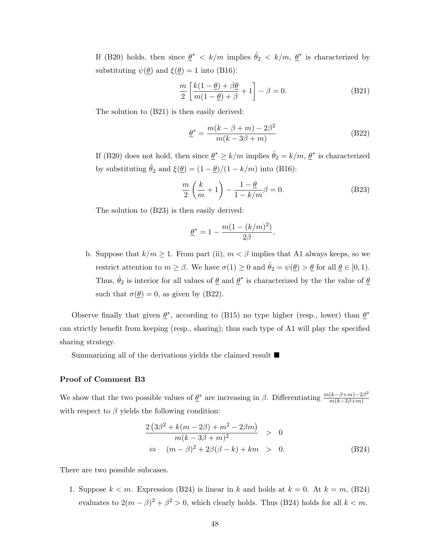If (B20) holds, then since  $\underline{\theta}^* < k/m$  implies  $\hat{\theta}_2 < k/m$ ,  $\underline{\theta}^*$  is characterized by substituting  $\psi(\theta)$  and  $\xi(\theta) = 1$  into (B16):

$$
\frac{m}{2} \left[ \frac{k(1-\underline{\theta}) + \beta \underline{\theta}}{m(1-\underline{\theta}) + \beta} + 1 \right] - \beta = 0.
$$
 (B21)

The solution to (B21) is then easily derived:

$$
\underline{\theta}^* = \frac{m(k - \beta + m) - 2\beta^2}{m(k - 3\beta + m)}
$$
(B22)

If (B20) does not hold, then since  $\underline{\theta}^* \ge k/m$  implies  $\hat{\theta}_2 = k/m$ ,  $\underline{\theta}^*$  is characterized by substituting  $\hat{\theta}_2$  and  $\xi(\underline{\theta}) = (1 - \underline{\theta})/(1 - k/m)$  into (B16):

$$
\frac{m}{2}\left(\frac{k}{m}+1\right) - \frac{1-\theta}{1-k/m}\beta = 0.
$$
 (B23)

The solution to (B23) is then easily derived:

$$
\underline{\theta}^*=1-\frac{m(1-(k/m)^2)}{2\beta}.
$$

b. Suppose that  $k/m \geq 1$ . From part (ii),  $m < \beta$  implies that A1 always keeps, so we restrict attention to  $m \ge \beta$ . We have  $\sigma(1) \ge 0$  and  $\hat{\theta}_2 = \psi(\underline{\theta}) > \underline{\theta}$  for all  $\underline{\theta} \in [0,1)$ . Thus,  $\hat{\theta}_2$  is interior for all values of  $\underline{\theta}$  and  $\underline{\theta}^*$  is characterized by the the value of  $\underline{\theta}$ such that  $\sigma(\underline{\theta}) = 0$ , as given by (B22).

Observe finally that given  $\underline{\theta}^*$ , according to (B15) no type higher (resp., lower) than  $\underline{\theta}^*$ can strictly benefit from keeping (resp., sharing); thus each type of A1 will play the specified sharing strategy.

Summarizing all of the derivations yields the claimed result  $\blacksquare$ 

### Proof of Comment B3

We show that the two possible values of  $\underline{\theta}^*$  are increasing in  $\beta$ . Differentiating  $\frac{m(k-\beta+m)-2\beta^2}{m(k-3\beta+m)}$  $m(k-3\beta+m)$ with respect to  $\beta$  yields the following condition:

$$
\frac{2(3\beta^2 + k(m - 2\beta) + m^2 - 2\beta m)}{m(k - 3\beta + m)^2} > 0
$$
  
\n
$$
\Leftrightarrow (m - \beta)^2 + 2\beta(\beta - k) + km > 0.
$$
 (B24)

There are two possible subcases.

1. Suppose  $k < m$ . Expression (B24) is linear in k and holds at  $k = 0$ . At  $k = m$ , (B24) evaluates to  $2(m - \beta)^2 + \beta^2 > 0$ , which clearly holds. Thus (B24) holds for all  $k < m$ .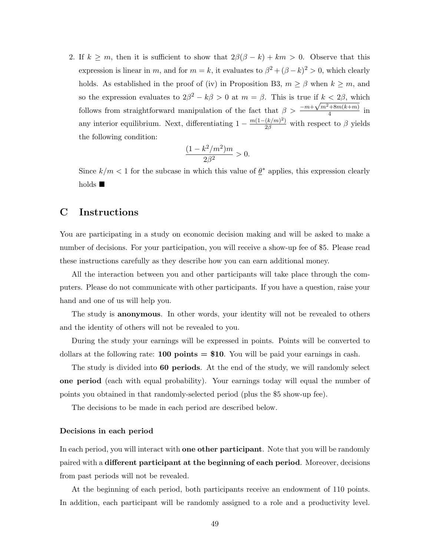2. If  $k \geq m$ , then it is sufficient to show that  $2\beta(\beta - k) + km > 0$ . Observe that this expression is linear in m, and for  $m = k$ , it evaluates to  $\beta^2 + (\beta - k)^2 > 0$ , which clearly holds. As established in the proof of (iv) in Proposition B3,  $m \ge \beta$  when  $k \ge m$ , and so the expression evaluates to  $2\beta^2 - k\beta > 0$  at  $m = \beta$ . This is true if  $k < 2\beta$ , which follows from straightforward manipulation of the fact that  $\beta > \frac{-m+\sqrt{m^2+8m(k+m)}}{4}$  $\frac{1}{4}$  in any interior equilibrium. Next, differentiating  $1 - \frac{m(1 - (k/m)^2)}{2\beta}$  with respect to  $\beta$  yields the following condition:

$$
\frac{(1 - k^2/m^2)m}{2\beta^2} > 0.
$$

Since  $k/m < 1$  for the subcase in which this value of  $\underline{\theta}^*$  applies, this expression clearly holds  $\blacksquare$ 

# C Instructions

You are participating in a study on economic decision making and will be asked to make a number of decisions. For your participation, you will receive a show-up fee of \$5. Please read these instructions carefully as they describe how you can earn additional money.

All the interaction between you and other participants will take place through the computers. Please do not communicate with other participants. If you have a question, raise your hand and one of us will help you.

The study is anonymous. In other words, your identity will not be revealed to others and the identity of others will not be revealed to you.

During the study your earnings will be expressed in points. Points will be converted to dollars at the following rate: **100 points = \$10**. You will be paid your earnings in cash.

The study is divided into 60 periods. At the end of the study, we will randomly select one period (each with equal probability). Your earnings today will equal the number of points you obtained in that randomly-selected period (plus the \$5 show-up fee).

The decisions to be made in each period are described below.

## Decisions in each period

In each period, you will interact with **one other participant**. Note that you will be randomly paired with a different participant at the beginning of each period. Moreover, decisions from past periods will not be revealed.

At the beginning of each period, both participants receive an endowment of 110 points. In addition, each participant will be randomly assigned to a role and a productivity level.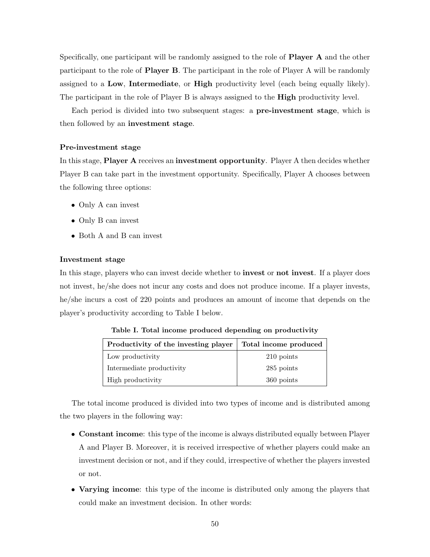Specifically, one participant will be randomly assigned to the role of **Player A** and the other participant to the role of Player B. The participant in the role of Player A will be randomly assigned to a Low, Intermediate, or High productivity level (each being equally likely). The participant in the role of Player B is always assigned to the **High** productivity level.

Each period is divided into two subsequent stages: a pre-investment stage, which is then followed by an investment stage.

# Pre-investment stage

In this stage, Player A receives an investment opportunity. Player A then decides whether Player B can take part in the investment opportunity. Specifically, Player A chooses between the following three options:

- Only A can invest
- Only B can invest
- Both A and B can invest

## Investment stage

In this stage, players who can invest decide whether to **invest** or **not invest**. If a player does not invest, he/she does not incur any costs and does not produce income. If a player invests, he/she incurs a cost of 220 points and produces an amount of income that depends on the player's productivity according to Table I below.

| Productivity of the investing player | Total income produced |
|--------------------------------------|-----------------------|
| Low productivity                     | 210 points            |
| Intermediate productivity            | 285 points            |
| High productivity                    | 360 points            |

Table I. Total income produced depending on productivity

The total income produced is divided into two types of income and is distributed among the two players in the following way:

- Constant income: this type of the income is always distributed equally between Player A and Player B. Moreover, it is received irrespective of whether players could make an investment decision or not, and if they could, irrespective of whether the players invested or not.
- Varying income: this type of the income is distributed only among the players that could make an investment decision. In other words: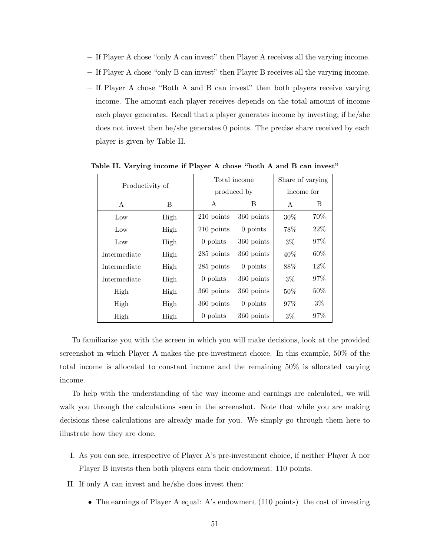- If Player A chose "only A can invest" then Player A receives all the varying income.
- If Player A chose "only B can invest" then Player B receives all the varying income.
- If Player A chose "Both A and B can invest" then both players receive varying income. The amount each player receives depends on the total amount of income each player generates. Recall that a player generates income by investing; if he/she does not invest then he/she generates 0 points. The precise share received by each player is given by Table II.

| Productivity of |      |                          | Total income | Share of varying |        |
|-----------------|------|--------------------------|--------------|------------------|--------|
|                 |      |                          | produced by  | income for       |        |
| A               | B    | A<br>B                   |              | A                | B      |
| Low             | High | $210$ points             | 360 points   | 30%              | 70\%   |
| Low             | High | 210 points               | $0$ points   | 78%              | 22%    |
| Low             | High | 0 points                 | 360 points   | $3\%$            | 97%    |
| Intermediate    | High | 285 points               | 360 points   | $40\%$           | $60\%$ |
| Intermediate    | High | 285 points               | $0$ points   | 88%              | 12%    |
| Intermediate    | High |                          | 360 points   | $3\%$            | 97\%   |
| High<br>High    |      | 360 points               | 360 points   | 50%              | $50\%$ |
| High            | High | 360 points               | $0$ points   | $97\%$           | $3\%$  |
| High            | High | $0$ points<br>360 points |              | $3\%$            | 97\%   |

Table II. Varying income if Player A chose "both A and B can invest"

To familiarize you with the screen in which you will make decisions, look at the provided screenshot in which Player A makes the pre-investment choice. In this example, 50% of the total income is allocated to constant income and the remaining 50% is allocated varying income.

To help with the understanding of the way income and earnings are calculated, we will walk you through the calculations seen in the screenshot. Note that while you are making decisions these calculations are already made for you. We simply go through them here to illustrate how they are done.

- I. As you can see, irrespective of Player A's pre-investment choice, if neither Player A nor Player B invests then both players earn their endowment: 110 points.
- II. If only A can invest and he/she does invest then:
	- The earnings of Player A equal: A's endowment (110 points) the cost of investing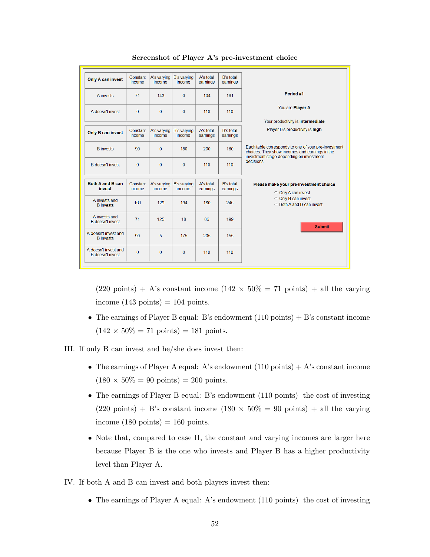| <b>Only A can invest</b>                        | Constant<br>income | A's varying<br>income | <b>B's varving</b><br>income | A's total<br>earnings | <b>B's total</b><br>earnings |                                                                                                                                                    |
|-------------------------------------------------|--------------------|-----------------------|------------------------------|-----------------------|------------------------------|----------------------------------------------------------------------------------------------------------------------------------------------------|
| A invests                                       | 71                 | 143                   | $\Omega$                     | 104                   | 181                          | Period #1                                                                                                                                          |
| A doesn't invest                                | $\Omega$           | $\mathbf{0}$          | $\mathbf{0}$                 | 110                   | 110                          | You are Player A                                                                                                                                   |
|                                                 |                    |                       |                              |                       |                              | Your productivity is intermediate                                                                                                                  |
| Only B can invest                               | Constant<br>income | A's varying<br>income | <b>B's varying</b><br>income | A's total<br>earnings | <b>B's total</b><br>earnings | Player B's productivity is high                                                                                                                    |
| <b>B</b> invests                                | 90                 | $\mathbf{0}$          | 180                          | 200                   | 160                          | Each table corresponds to one of your pre-investment<br>choices. They show incomes and earnings in the<br>investment stage depending on investment |
| <b>B</b> doesn't invest                         | $\Omega$           | 0                     | $\Omega$                     | 110                   | 110                          | decisions.                                                                                                                                         |
|                                                 |                    |                       |                              |                       |                              |                                                                                                                                                    |
| Both A and B can<br>invest                      | Constant<br>income | A's varying<br>income | B's varying<br>income        | A's total<br>earnings | B's total<br>earnings        | Please make your pre-investment choice<br>© Only A can invest                                                                                      |
| A invests and<br><b>B</b> invests               | 161                | 129                   | 194                          | 180                   | 245                          | <b>C</b> Only B can invest<br><b>C</b> Both A and B can invest                                                                                     |
| A invests and<br><b>B</b> doesn't invest        | 71                 | 125                   | 18                           | 86                    | 199                          | <b>Submit</b>                                                                                                                                      |
| A doesn't invest and<br><b>B</b> invests        | 90                 | 5                     | 175                          | 205                   | 155                          |                                                                                                                                                    |
| A doesn't invest and<br><b>B</b> doesn't invest | $\Omega$           | $\Omega$              | $\Omega$                     | 110                   | 110                          |                                                                                                                                                    |
|                                                 |                    |                       |                              |                       |                              |                                                                                                                                                    |

#### Screenshot of Player A's pre-investment choice

 $(220 \text{ points}) + A$ 's constant income  $(142 \times 50\% = 71 \text{ points}) + \text{all}$  the varying income  $(143 \text{ points}) = 104 \text{ points}.$ 

• The earnings of Player B equal: B's endowment  $(110 \text{ points}) + B$ 's constant income  $(142 \times 50\% = 71 \text{ points}) = 181 \text{ points}.$ 



- The earnings of Player A equal: A's endowment  $(110 \text{ points}) + A$ 's constant income  $(180 \times 50\% = 90 \text{ points}) = 200 \text{ points}.$
- The earnings of Player B equal: B's endowment (110 points) the cost of investing  $(220 \text{ points}) + \text{B's constant income } (180 \times 50\% = 90 \text{ points}) + \text{all the varying}$ income  $(180 \text{ points}) = 160 \text{ points}.$
- Note that, compared to case II, the constant and varying incomes are larger here because Player B is the one who invests and Player B has a higher productivity level than Player A.

IV. If both A and B can invest and both players invest then:

• The earnings of Player A equal: A's endowment (110 points) the cost of investing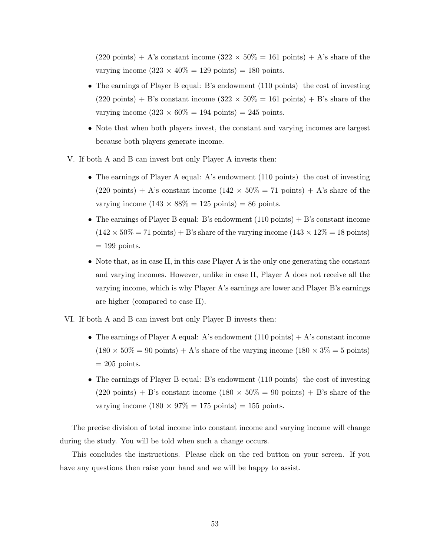$(220 \text{ points}) + A$ 's constant income  $(322 \times 50\% = 161 \text{ points}) + A$ 's share of the varying income  $(323 \times 40\% = 129 \text{ points}) = 180 \text{ points}.$ 

- The earnings of Player B equal: B's endowment (110 points) the cost of investing  $(220 \text{ points}) + B$ 's constant income  $(322 \times 50\% = 161 \text{ points}) + B$ 's share of the varying income  $(323 \times 60\% = 194 \text{ points}) = 245 \text{ points}.$
- Note that when both players invest, the constant and varying incomes are largest because both players generate income.
- V. If both A and B can invest but only Player A invests then:
	- The earnings of Player A equal: A's endowment (110 points) the cost of investing  $(220 \text{ points}) + A$ 's constant income  $(142 \times 50\% = 71 \text{ points}) + A$ 's share of the varying income  $(143 \times 88\% = 125 \text{ points}) = 86 \text{ points}.$
	- The earnings of Player B equal: B's endowment  $(110 \text{ points}) + B$ 's constant income  $(142 \times 50\% = 71 \text{ points}) + B$ 's share of the varying income  $(143 \times 12\% = 18 \text{ points})$  $= 199$  points.
	- Note that, as in case II, in this case Player A is the only one generating the constant and varying incomes. However, unlike in case II, Player A does not receive all the varying income, which is why Player A's earnings are lower and Player B's earnings are higher (compared to case II).
- VI. If both A and B can invest but only Player B invests then:
	- The earnings of Player A equal: A's endowment  $(110 \text{ points}) + A$ 's constant income  $(180 \times 50\% = 90 \text{ points}) + A$ 's share of the varying income  $(180 \times 3\% = 5 \text{ points})$  $= 205$  points.
	- The earnings of Player B equal: B's endowment (110 points) the cost of investing  $(220 \text{ points}) + B$ 's constant income  $(180 \times 50\% = 90 \text{ points}) + B$ 's share of the varying income  $(180 \times 97\% = 175 \text{ points}) = 155 \text{ points}.$

The precise division of total income into constant income and varying income will change during the study. You will be told when such a change occurs.

This concludes the instructions. Please click on the red button on your screen. If you have any questions then raise your hand and we will be happy to assist.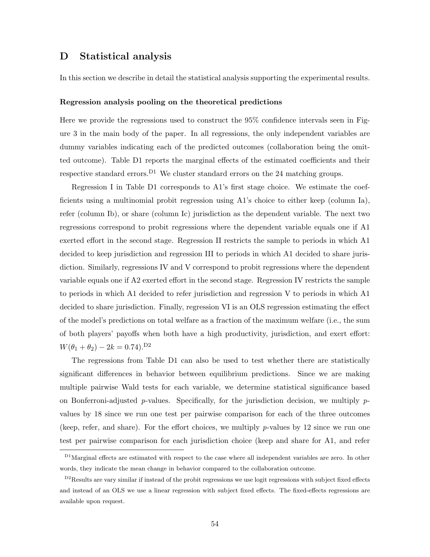# D Statistical analysis

In this section we describe in detail the statistical analysis supporting the experimental results.

#### Regression analysis pooling on the theoretical predictions

Here we provide the regressions used to construct the 95% confidence intervals seen in Figure [3](#page-18-0) in the main body of the paper. In all regressions, the only independent variables are dummy variables indicating each of the predicted outcomes (collaboration being the omitted outcome). Table D1 reports the marginal effects of the estimated coefficients and their respective standard errors.<sup>D1</sup> We cluster standard errors on the 24 matching groups.

Regression I in Table D1 corresponds to A1's first stage choice. We estimate the coefficients using a multinomial probit regression using A1's choice to either keep (column Ia), refer (column Ib), or share (column Ic) jurisdiction as the dependent variable. The next two regressions correspond to probit regressions where the dependent variable equals one if A1 exerted effort in the second stage. Regression II restricts the sample to periods in which A1 decided to keep jurisdiction and regression III to periods in which A1 decided to share jurisdiction. Similarly, regressions IV and V correspond to probit regressions where the dependent variable equals one if A2 exerted effort in the second stage. Regression IV restricts the sample to periods in which A1 decided to refer jurisdiction and regression V to periods in which A1 decided to share jurisdiction. Finally, regression VI is an OLS regression estimating the effect of the model's predictions on total welfare as a fraction of the maximum welfare (i.e., the sum of both players' payoffs when both have a high productivity, jurisdiction, and exert effort:  $W(\theta_1 + \theta_2) - 2k = 0.74$ .<sup>D2</sup>

The regressions from Table D1 can also be used to test whether there are statistically significant differences in behavior between equilibrium predictions. Since we are making multiple pairwise Wald tests for each variable, we determine statistical significance based on Bonferroni-adjusted p-values. Specifically, for the jurisdiction decision, we multiply  $p$ values by 18 since we run one test per pairwise comparison for each of the three outcomes (keep, refer, and share). For the effort choices, we multiply  $p$ -values by 12 since we run one test per pairwise comparison for each jurisdiction choice (keep and share for A1, and refer

D1Marginal effects are estimated with respect to the case where all independent variables are zero. In other words, they indicate the mean change in behavior compared to the collaboration outcome.

D<sub>2</sub>Results are vary similar if instead of the probit regressions we use logit regressions with subject fixed effects and instead of an OLS we use a linear regression with subject fixed effects. The fixed-effects regressions are available upon request.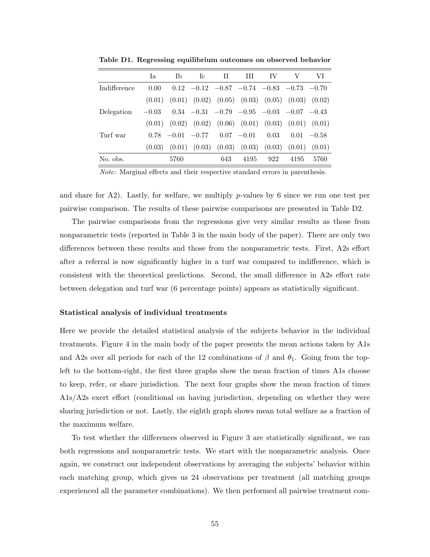|              | Ia      | <b>Ib</b>              | Ic. | $\mathbf{H}$ | Ш             | TV.  | V                                                                       | VI            |
|--------------|---------|------------------------|-----|--------------|---------------|------|-------------------------------------------------------------------------|---------------|
| Indifference | 0.00    |                        |     |              |               |      | $0.12$ $-0.12$ $-0.87$ $-0.74$ $-0.83$ $-0.73$ $-0.70$                  |               |
|              | (0.01)  |                        |     |              |               |      | $(0.01)$ $(0.02)$ $(0.05)$ $(0.03)$ $(0.05)$ $(0.03)$ $(0.02)$          |               |
| Delegation   | $-0.03$ |                        |     |              |               |      | $0.34$ $-0.31$ $-0.79$ $-0.95$ $-0.03$ $-0.07$ $-0.43$                  |               |
|              |         |                        |     |              |               |      | $(0.01)$ $(0.02)$ $(0.02)$ $(0.06)$ $(0.01)$ $(0.03)$ $(0.01)$ $(0.01)$ |               |
| Turf war     |         | $0.78$ $-0.01$ $-0.77$ |     |              | $0.07 - 0.01$ | 0.03 |                                                                         | $0.01 - 0.58$ |
|              | (0.03)  |                        |     |              |               |      | $(0.01)$ $(0.03)$ $(0.03)$ $(0.03)$ $(0.03)$ $(0.01)$ $(0.01)$          |               |
| No. obs.     |         | 5760                   |     | 643          | 4195          | 922  | 4195                                                                    | 5760          |
|              |         |                        |     |              |               |      |                                                                         |               |

Table D1. Regressing equilibrium outcomes on observed behavior

Note: Marginal effects and their respective standard errors in parenthesis.

and share for A2). Lastly, for welfare, we multiply p-values by 6 since we run one test per pairwise comparison. The results of these pairwise comparisons are presented in Table D2.

The pairwise comparisons from the regressions give very similar results as those from nonparametric tests (reported in Table [3](#page-20-0) in the main body of the paper). There are only two differences between these results and those from the nonparametric tests. First, A2s effort after a referral is now significantly higher in a turf war compared to indifference, which is consistent with the theoretical predictions. Second, the small difference in A2s effort rate between delegation and turf war (6 percentage points) appears as statistically significant.

## Statistical analysis of individual treatments

Here we provide the detailed statistical analysis of the subjects behavior in the individual treatments. Figure [4](#page-23-0) in the main body of the paper presents the mean actions taken by A1s and A2s over all periods for each of the 12 combinations of  $\beta$  and  $\theta_1$ . Going from the topleft to the bottom-right, the first three graphs show the mean fraction of times A1s choose to keep, refer, or share jurisdiction. The next four graphs show the mean fraction of times A1s/A2s exert effort (conditional on having jurisdiction, depending on whether they were sharing jurisdiction or not. Lastly, the eighth graph shows mean total welfare as a fraction of the maximum welfare.

To test whether the differences observed in Figure [3](#page-18-0) are statistically significant, we ran both regressions and nonparametric tests. We start with the nonparametric analysis. Once again, we construct our independent observations by averaging the subjects' behavior within each matching group, which gives us 24 observations per treatment (all matching groups experienced all the parameter combinations). We then performed all pairwise treatment com-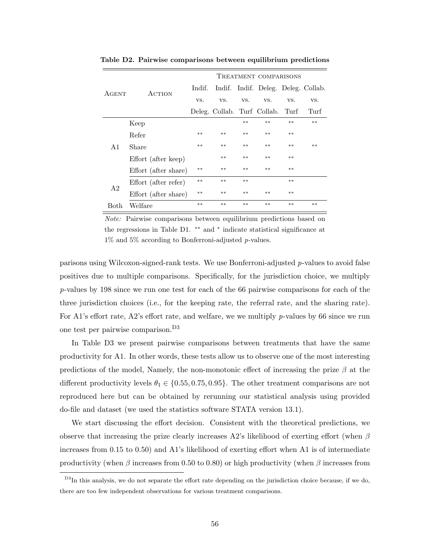|                |                      | TREATMENT COMPARISONS |                                  |       |                                     |       |       |  |
|----------------|----------------------|-----------------------|----------------------------------|-------|-------------------------------------|-------|-------|--|
| AGENT          | <b>ACTION</b>        | Indif.                |                                  |       | Indif. Indif. Deleg. Deleg. Collab. |       |       |  |
|                |                      | VS.                   | VS.                              | VS.   | VS.                                 | VS.   | VS.   |  |
|                |                      |                       | Deleg. Collab. Turf Collab. Turf |       |                                     |       | Turf  |  |
|                | Keep                 |                       |                                  | $***$ | $***$                               | $***$ | $***$ |  |
|                | Refer                | $***$                 | $***$                            | $***$ | $***$                               | $***$ |       |  |
| A1             | Share                | $***$                 | $***$                            | $***$ | $***$                               | $***$ | $**$  |  |
|                | Effort (after keep)  |                       | $**$                             | $**$  | $***$                               | $***$ |       |  |
|                | Effort (after share) | $***$                 | $***$                            | $***$ | $***$                               | $***$ |       |  |
| A <sub>2</sub> | Effort (after refer) | $***$                 | $***$                            | $***$ |                                     | $**$  |       |  |
|                | Effort (after share) | $**$                  | $***$                            | $***$ | $***$                               | $***$ |       |  |
| <b>Both</b>    | Welfare              | $**$                  | $**$                             | $**$  | $**$                                | $**$  | $**$  |  |

Table D2. Pairwise comparisons between equilibrium predictions

Note: Pairwise comparisons between equilibrium predictions based on the regressions in Table D1. ∗∗ and <sup>∗</sup> indicate statistical significance at 1% and 5% according to Bonferroni-adjusted p-values.

parisons using Wilcoxon-signed-rank tests. We use Bonferroni-adjusted  $p$ -values to avoid false positives due to multiple comparisons. Specifically, for the jurisdiction choice, we multiply p-values by 198 since we run one test for each of the 66 pairwise comparisons for each of the three jurisdiction choices (i.e., for the keeping rate, the referral rate, and the sharing rate). For A1's effort rate, A2's effort rate, and welfare, we we multiply  $p$ -values by 66 since we run one test per pairwise comparison.D3

In Table D3 we present pairwise comparisons between treatments that have the same productivity for A1. In other words, these tests allow us to observe one of the most interesting predictions of the model, Namely, the non-monotonic effect of increasing the prize  $\beta$  at the different productivity levels  $\theta_1 \in \{0.55, 0.75, 0.95\}$ . The other treatment comparisons are not reproduced here but can be obtained by rerunning our statistical analysis using provided do-file and dataset (we used the statistics software STATA version 13.1).

We start discussing the effort decision. Consistent with the theoretical predictions, we observe that increasing the prize clearly increases A2's likelihood of exerting effort (when  $\beta$ increases from 0.15 to 0.50) and A1's likelihood of exerting effort when A1 is of intermediate productivity (when β increases from 0.50 to 0.80) or high productivity (when β increases from

D<sup>3</sup>In this analysis, we do not separate the effort rate depending on the jurisdiction choice because, if we do, there are too few independent observations for various treatment comparisons.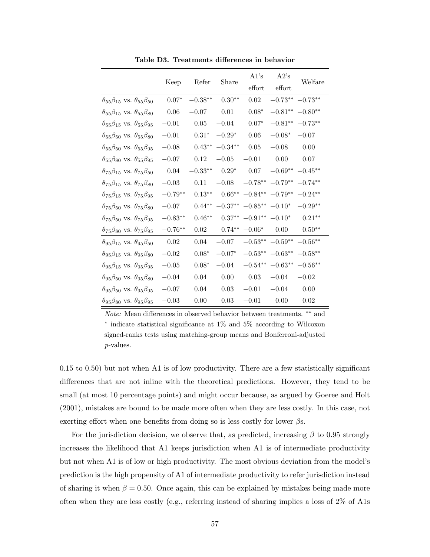|                                                     | Keep      | Refer     | Share     | A1's<br>effort     | A2's<br>effort     | Welfare               |
|-----------------------------------------------------|-----------|-----------|-----------|--------------------|--------------------|-----------------------|
| $\theta_{55}\beta_{15}$ vs. $\theta_{55}\beta_{50}$ | $0.07*$   | $-0.38**$ | $0.30**$  | 0.02               |                    | $-0.73***$ $-0.73***$ |
| $\theta_{55}\beta_{15}$ vs. $\theta_{55}\beta_{80}$ | 0.06      | $-0.07$   | 0.01      | $0.08*$            |                    | $-0.81***$ $-0.80**$  |
| $\theta_{55}\beta_{15}$ vs. $\theta_{55}\beta_{95}$ | $-0.01$   | 0.05      | $-0.04$   | $0.07*$            |                    | $-0.81***$ $-0.73**$  |
| $\theta_{55}\beta_{50}$ vs. $\theta_{55}\beta_{80}$ | $-0.01$   | $0.31*$   | $-0.29*$  | 0.06               | $-0.08*$           | $-0.07$               |
| $\theta_{55}\beta_{50}$ vs. $\theta_{55}\beta_{95}$ | $-0.08$   | $0.43**$  | $-0.34**$ | 0.05               | $-0.08$            | 0.00                  |
| $\theta_{55}\beta_{80}$ vs. $\theta_{55}\beta_{95}$ | $-0.07$   | 0.12      | $-0.05$   | $-0.01$            | 0.00               | 0.07                  |
| $\theta_{75}\beta_{15}$ vs. $\theta_{75}\beta_{50}$ | 0.04      | $-0.33**$ | $0.29*$   | 0.07               |                    | $-0.69** -0.45**$     |
| $\theta_{75}\beta_{15}$ vs. $\theta_{75}\beta_{80}$ | $-0.03$   | 0.11      | $-0.08$   | $-0.78**$          | $-0.79**$          | $-0.74**$             |
| $\theta_{75}\beta_{15}$ vs. $\theta_{75}\beta_{95}$ | $-0.79**$ | $0.13***$ | $0.66***$ | $-0.84**$          | $-0.79**$          | $-0.24**$             |
| $\theta_{75}\beta_{50}$ vs. $\theta_{75}\beta_{80}$ | $-0.07$   | $0.44***$ | $-0.37**$ | $-0.85***$         | $-0.10*$           | $-0.29**$             |
| $\theta_{75}\beta_{50}$ vs. $\theta_{75}\beta_{95}$ | $-0.83**$ | $0.46**$  | $0.37**$  | $-0.91** -0.10*$   |                    | $0.21***$             |
| $\theta_{75}\beta_{80}$ vs. $\theta_{75}\beta_{95}$ | $-0.76**$ | 0.02      | $0.74**$  | $-0.06*$           | 0.00               | $0.50**$              |
| $\theta_{95}\beta_{15}$ vs. $\theta_{95}\beta_{50}$ | 0.02      | 0.04      | $-0.07$   | $-0.53**$          | $-0.59**$          | $-0.56***$            |
| $\theta_{95}\beta_{15}$ vs. $\theta_{95}\beta_{80}$ | $-0.02$   | $0.08*$   | $-0.07*$  | $-0.53**$          | $-0.63**$          | $-0.58**$             |
| $\theta_{95}\beta_{15}$ vs. $\theta_{95}\beta_{95}$ | $-0.05$   | $0.08*$   | $-0.04$   | $-0.54^{\ast\ast}$ | $-0.63^{\ast\ast}$ | $-0.56**$             |
| $\theta_{95}\beta_{50}$ vs. $\theta_{95}\beta_{80}$ | $-0.04$   | 0.04      | 0.00      | 0.03               | $-0.04$            | $-0.02$               |
| $\theta_{95}\beta_{50}$ vs. $\theta_{95}\beta_{95}$ | $-0.07$   | 0.04      | 0.03      | $-0.01$            | $-0.04$            | 0.00                  |
| $\theta_{95}\beta_{80}$ vs. $\theta_{95}\beta_{95}$ | $-0.03$   | 0.00      | 0.03      | $-0.01$            | 0.00               | 0.02                  |

Table D3. Treatments differences in behavior

Note: Mean differences in observed behavior between treatments. ∗∗ and ∗ indicate statistical significance at 1% and 5% according to Wilcoxon signed-ranks tests using matching-group means and Bonferroni-adjusted p-values.

0.15 to 0.50) but not when A1 is of low productivity. There are a few statistically significant differences that are not inline with the theoretical predictions. However, they tend to be small (at most 10 percentage points) and might occur because, as argued by Goeree and Holt (2001), mistakes are bound to be made more often when they are less costly. In this case, not exerting effort when one benefits from doing so is less costly for lower  $\beta s$ .

For the jurisdiction decision, we observe that, as predicted, increasing  $\beta$  to 0.95 strongly increases the likelihood that A1 keeps jurisdiction when A1 is of intermediate productivity but not when A1 is of low or high productivity. The most obvious deviation from the model's prediction is the high propensity of A1 of intermediate productivity to refer jurisdiction instead of sharing it when  $\beta = 0.50$ . Once again, this can be explained by mistakes being made more often when they are less costly (e.g., referring instead of sharing implies a loss of 2% of A1s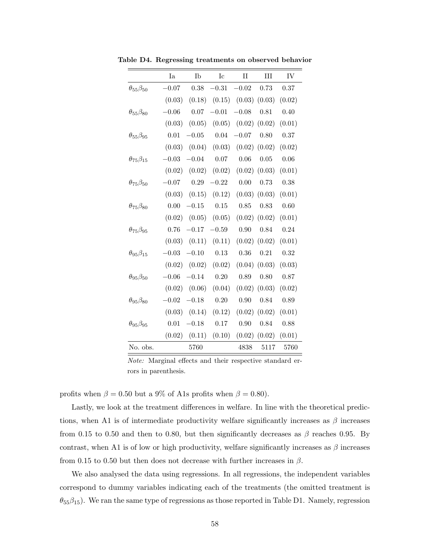|                         | Ia      | Ib      | Ic       | $\rm II$                   | III               | IV       |
|-------------------------|---------|---------|----------|----------------------------|-------------------|----------|
| $\theta_{55}\beta_{50}$ | $-0.07$ | 0.38    | $-0.31$  | $-0.02$                    | 0.73              | 0.37     |
|                         | (0.03)  | (0.18)  |          | $(0.15)$ $(0.03)$ $(0.03)$ |                   | (0.02)   |
| $\theta_{55}\beta_{80}$ | $-0.06$ | 0.07    | $-0.01$  | $-0.08$                    | 0.81              | 0.40     |
|                         | (0.03)  | (0.05)  | (0.05)   | (0.02)                     | (0.02)            | (0.01)   |
| $\theta_{55}\beta_{95}$ | 0.01    | $-0.05$ | $0.04\,$ | $-0.07$                    | 0.80              | 0.37     |
|                         | (0.03)  | (0.04)  | (0.03)   | (0.02)                     | (0.02)            | (0.02)   |
| $\theta_{75}\beta_{15}$ | $-0.03$ | $-0.04$ | 0.07     | 0.06                       | 0.05              | 0.06     |
|                         | (0.02)  | (0.02)  | (0.02)   | (0.02)                     | (0.03)            | (0.01)   |
| $\theta_{75}\beta_{50}$ | $-0.07$ | 0.29    | $-0.22$  | 0.00                       | 0.73              | $0.38\,$ |
|                         | (0.03)  | (0.15)  | (0.12)   |                            | $(0.03)$ $(0.03)$ | (0.01)   |
| $\theta_{75}\beta_{80}$ | 0.00    | $-0.15$ | 0.15     | 0.85                       | 0.83              | 0.60     |
|                         | (0.02)  | (0.05)  | (0.05)   |                            | $(0.02)$ $(0.02)$ | (0.01)   |
| $\theta_{75}\beta_{95}$ | 0.76    | $-0.17$ | $-0.59$  | 0.90                       | 0.84              | 0.24     |
|                         | (0.03)  | (0.11)  | (0.11)   |                            | $(0.02)$ $(0.02)$ | (0.01)   |
| $\theta_{95}\beta_{15}$ | $-0.03$ | $-0.10$ | 0.13     | 0.36                       | 0.21              | 0.32     |
|                         | (0.02)  | (0.02)  | (0.02)   | (0.04)                     | (0.03)            | (0.03)   |
| $\theta_{95}\beta_{50}$ | $-0.06$ | $-0.14$ | 0.20     | 0.89                       | 0.80              | 0.87     |
|                         | (0.02)  | (0.06)  | (0.04)   | (0.02)                     | (0.03)            | (0.02)   |
| $\theta_{95}\beta_{80}$ | $-0.02$ | $-0.18$ | 0.20     | 0.90                       | 0.84              | 0.89     |
|                         | (0.03)  | (0.14)  | (0.12)   | (0.02)                     | (0.02)            | (0.01)   |
| $\theta_{95}\beta_{95}$ | 0.01    | $-0.18$ | $0.17\,$ | 0.90                       | 0.84              | 0.88     |
|                         | (0.02)  | (0.11)  | (0.10)   | (0.02)                     | (0.02)            | (0.01)   |
| No. obs.                |         | 5760    |          | 4838                       | 5117              | 5760     |

Table D4. Regressing treatments on observed behavior

Note: Marginal effects and their respective standard errors in parenthesis.

profits when  $\beta = 0.50$  but a 9% of A1s profits when  $\beta = 0.80$ .

Lastly, we look at the treatment differences in welfare. In line with the theoretical predictions, when A1 is of intermediate productivity welfare significantly increases as  $\beta$  increases from 0.15 to 0.50 and then to 0.80, but then significantly decreases as  $\beta$  reaches 0.95. By contrast, when A1 is of low or high productivity, welfare significantly increases as  $\beta$  increases from 0.15 to 0.50 but then does not decrease with further increases in  $\beta$ .

We also analysed the data using regressions. In all regressions, the independent variables correspond to dummy variables indicating each of the treatments (the omitted treatment is  $\theta_{55}\beta_{15}$ ). We ran the same type of regressions as those reported in Table D1. Namely, regression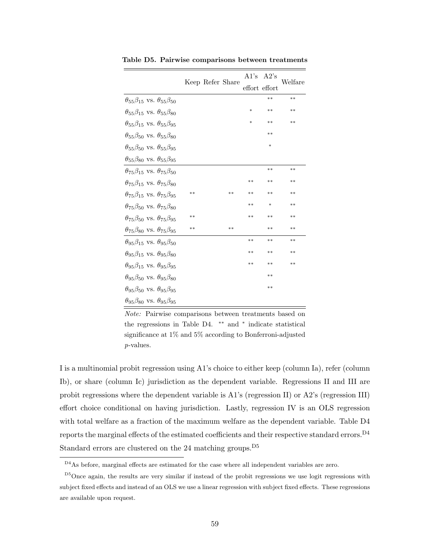|                                                     |       | Keep Refer Share | A1's   | A2's          | Welfare |
|-----------------------------------------------------|-------|------------------|--------|---------------|---------|
|                                                     |       |                  |        | effort effort |         |
| $\theta_{55}\beta_{15}$ vs. $\theta_{55}\beta_{50}$ |       |                  |        | $**$          | $**$    |
| $\theta_{55}\beta_{15}$ vs. $\theta_{55}\beta_{80}$ |       |                  | $\ast$ | $**$          | $**$    |
| $\theta_{55}\beta_{15}$ vs. $\theta_{55}\beta_{95}$ |       |                  | $\ast$ | $**$          | $**$    |
| $\theta_{55}\beta_{50}$ vs. $\theta_{55}\beta_{80}$ |       |                  |        | $**$          |         |
| $\theta_{55}\beta_{50}$ vs. $\theta_{55}\beta_{95}$ |       |                  |        | $\ast$        |         |
| $\theta_{55}\beta_{80}$ vs. $\theta_{55}\beta_{95}$ |       |                  |        |               |         |
| $\theta$ 75 $\beta$ 15 VS. $\theta$ 75 $\beta$ 50   |       |                  |        | $**$          | $**$    |
| $\theta_{75}\beta_{15}$ vs. $\theta_{75}\beta_{80}$ |       |                  | $**$   | $**$          | $**$    |
| $\theta_{75}\beta_{15}$ vs. $\theta_{75}\beta_{95}$ | $***$ | $**$             | $**$   | $**$          | $**$    |
| $\theta_{75}\beta_{50}$ vs. $\theta_{75}\beta_{80}$ |       |                  | $**$   | $\ast$        | $***$   |
| $\theta_{75}\beta_{50}$ vs. $\theta_{75}\beta_{95}$ | $***$ |                  | **     | $**$          | $***$   |
| $\theta_{75}\beta_{80}$ vs. $\theta_{75}\beta_{95}$ | $**$  | **               |        | $**$          | $**$    |
| $\theta_{95}\beta_{15}$ vs. $\theta_{95}\beta_{50}$ |       |                  | **     | $**$          | $**$    |
| $\theta$ 95 $\beta$ 15 VS. $\theta$ 95 $\beta$ 80   |       |                  | **     | $**$          | $***$   |
| $\theta_{95}\beta_{15}$ vs. $\theta_{95}\beta_{95}$ |       |                  | **     | $**$          | $**$    |
| $\theta_{95}\beta_{50}$ vs. $\theta_{95}\beta_{80}$ |       |                  |        | $**$          |         |
| $\theta_{95}\beta_{50}$ vs. $\theta_{95}\beta_{95}$ |       |                  |        | $**$          |         |
| $\theta_{95}\beta_{80}$ vs. $\theta_{95}\beta_{95}$ |       |                  |        |               |         |

Table D5. Pairwise comparisons between treatments

Note: Pairwise comparisons between treatments based on the regressions in Table D4. \*\* and \* indicate statistical significance at 1% and 5% according to Bonferroni-adjusted p-values.

I is a multinomial probit regression using A1's choice to either keep (column Ia), refer (column Ib), or share (column Ic) jurisdiction as the dependent variable. Regressions II and III are probit regressions where the dependent variable is A1's (regression II) or A2's (regression III) effort choice conditional on having jurisdiction. Lastly, regression IV is an OLS regression with total welfare as a fraction of the maximum welfare as the dependent variable. Table D4 reports the marginal effects of the estimated coefficients and their respective standard errors.  $^{\mathrm{D4}}$ Standard errors are clustered on the 24 matching groups.<sup>D5</sup>

D4As before, marginal effects are estimated for the case where all independent variables are zero.

D5Once again, the results are very similar if instead of the probit regressions we use logit regressions with subject fixed effects and instead of an OLS we use a linear regression with subject fixed effects. These regressions are available upon request.